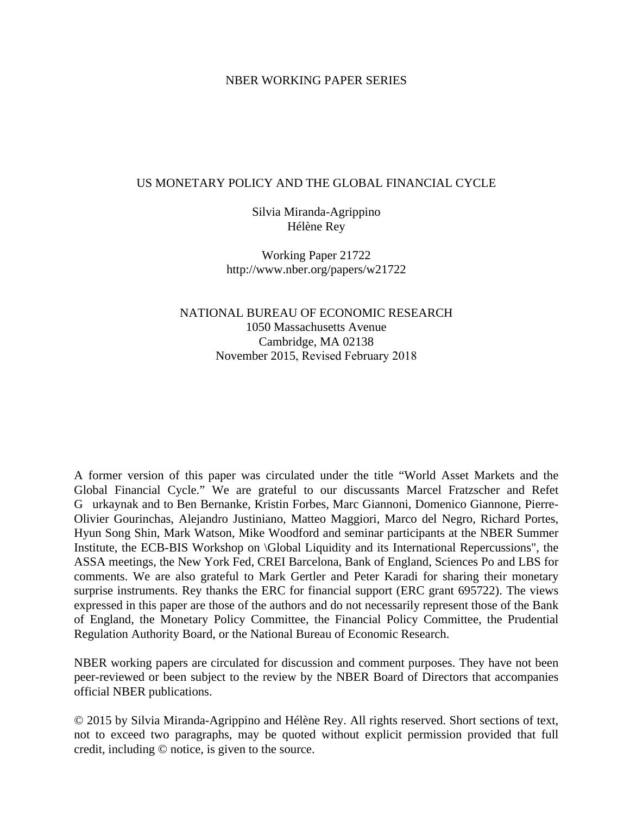#### NBER WORKING PAPER SERIES

#### US MONETARY POLICY AND THE GLOBAL FINANCIAL CYCLE

Silvia Miranda-Agrippino Hélène Rey

Working Paper 21722 http://www.nber.org/papers/w21722

NATIONAL BUREAU OF ECONOMIC RESEARCH 1050 Massachusetts Avenue Cambridge, MA 02138 November 2015, Revised February 2018

A former version of this paper was circulated under the title "World Asset Markets and the Global Financial Cycle." We are grateful to our discussants Marcel Fratzscher and Refet G urkaynak and to Ben Bernanke, Kristin Forbes, Marc Giannoni, Domenico Giannone, Pierre-Olivier Gourinchas, Alejandro Justiniano, Matteo Maggiori, Marco del Negro, Richard Portes, Hyun Song Shin, Mark Watson, Mike Woodford and seminar participants at the NBER Summer Institute, the ECB-BIS Workshop on \Global Liquidity and its International Repercussions", the ASSA meetings, the New York Fed, CREI Barcelona, Bank of England, Sciences Po and LBS for comments. We are also grateful to Mark Gertler and Peter Karadi for sharing their monetary surprise instruments. Rey thanks the ERC for financial support (ERC grant 695722). The views expressed in this paper are those of the authors and do not necessarily represent those of the Bank of England, the Monetary Policy Committee, the Financial Policy Committee, the Prudential Regulation Authority Board, or the National Bureau of Economic Research.

NBER working papers are circulated for discussion and comment purposes. They have not been peer-reviewed or been subject to the review by the NBER Board of Directors that accompanies official NBER publications.

© 2015 by Silvia Miranda-Agrippino and Hélène Rey. All rights reserved. Short sections of text, not to exceed two paragraphs, may be quoted without explicit permission provided that full credit, including © notice, is given to the source.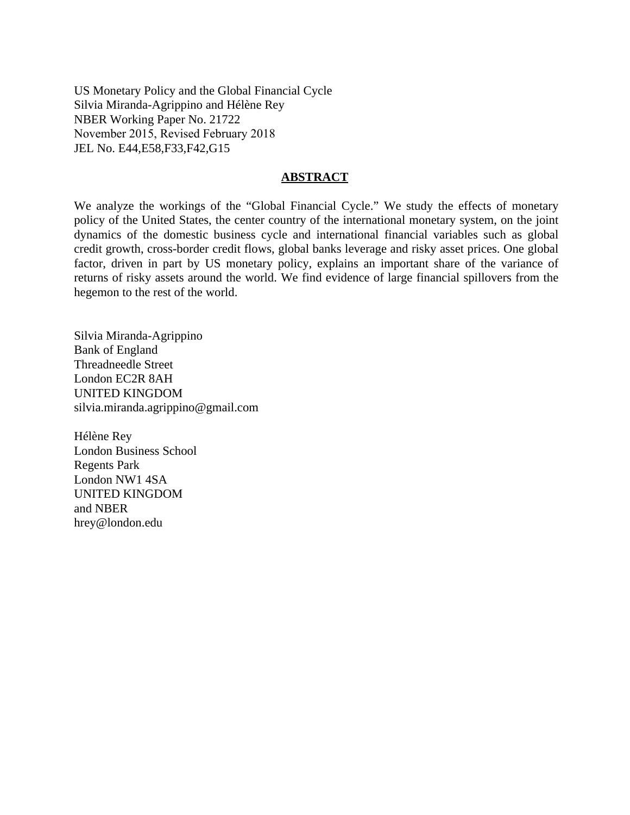US Monetary Policy and the Global Financial Cycle Silvia Miranda-Agrippino and Hélène Rey NBER Working Paper No. 21722 November 2015, Revised February 2018 JEL No. E44,E58,F33,F42,G15

#### **ABSTRACT**

We analyze the workings of the "Global Financial Cycle." We study the effects of monetary policy of the United States, the center country of the international monetary system, on the joint dynamics of the domestic business cycle and international financial variables such as global credit growth, cross-border credit flows, global banks leverage and risky asset prices. One global factor, driven in part by US monetary policy, explains an important share of the variance of returns of risky assets around the world. We find evidence of large financial spillovers from the hegemon to the rest of the world.

Silvia Miranda-Agrippino Bank of England Threadneedle Street London EC2R 8AH UNITED KINGDOM silvia.miranda.agrippino@gmail.com

Hélène Rey London Business School Regents Park London NW1 4SA UNITED KINGDOM and NBER hrey@london.edu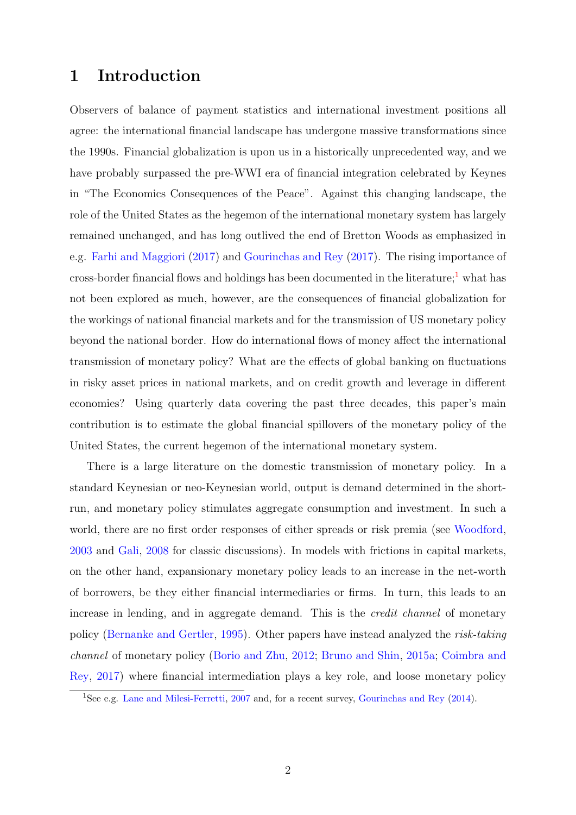# 1 Introduction

Observers of balance of payment statistics and international investment positions all agree: the international financial landscape has undergone massive transformations since the 1990s. Financial globalization is upon us in a historically unprecedented way, and we have probably surpassed the pre-WWI era of financial integration celebrated by Keynes in "The Economics Consequences of the Peace". Against this changing landscape, the role of the United States as the hegemon of the international monetary system has largely remained unchanged, and has long outlived the end of Bretton Woods as emphasized in e.g. [Farhi and Maggiori](#page-34-0) [\(2017\)](#page-34-0) and [Gourinchas and Rey](#page-35-0) [\(2017\)](#page-35-0). The rising importance of cross-border financial flows and holdings has been documented in the literature;<sup>[1](#page-2-0)</sup> what has not been explored as much, however, are the consequences of financial globalization for the workings of national financial markets and for the transmission of US monetary policy beyond the national border. How do international flows of money affect the international transmission of monetary policy? What are the effects of global banking on fluctuations in risky asset prices in national markets, and on credit growth and leverage in different economies? Using quarterly data covering the past three decades, this paper's main contribution is to estimate the global financial spillovers of the monetary policy of the United States, the current hegemon of the international monetary system.

There is a large literature on the domestic transmission of monetary policy. In a standard Keynesian or neo-Keynesian world, output is demand determined in the shortrun, and monetary policy stimulates aggregate consumption and investment. In such a world, there are no first order responses of either spreads or risk premia (see [Woodford,](#page-37-0) [2003](#page-37-0) and [Gali,](#page-35-1) [2008](#page-35-1) for classic discussions). In models with frictions in capital markets, on the other hand, expansionary monetary policy leads to an increase in the net-worth of borrowers, be they either financial intermediaries or firms. In turn, this leads to an increase in lending, and in aggregate demand. This is the *credit channel* of monetary policy [\(Bernanke and Gertler,](#page-33-0) [1995\)](#page-33-0). Other papers have instead analyzed the risk-taking channel of monetary policy [\(Borio and Zhu,](#page-33-1) [2012;](#page-33-1) [Bruno and Shin,](#page-33-2) [2015a;](#page-33-2) [Coimbra and](#page-34-1) [Rey,](#page-34-1) [2017\)](#page-34-1) where financial intermediation plays a key role, and loose monetary policy

<span id="page-2-0"></span><sup>&</sup>lt;sup>1</sup>See e.g. [Lane and Milesi-Ferretti,](#page-36-0) [2007](#page-36-0) and, for a recent survey, [Gourinchas and Rey](#page-35-2) [\(2014\)](#page-35-2).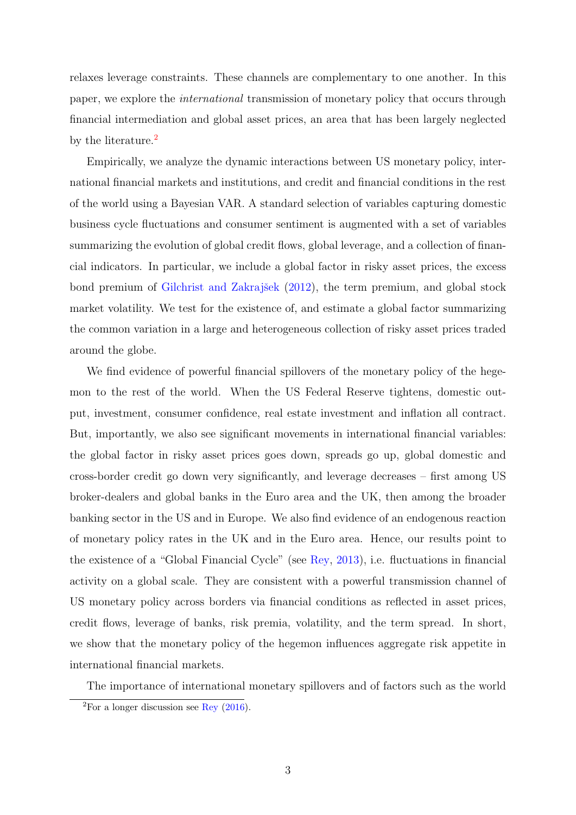relaxes leverage constraints. These channels are complementary to one another. In this paper, we explore the international transmission of monetary policy that occurs through financial intermediation and global asset prices, an area that has been largely neglected by the literature.<sup>[2](#page-3-0)</sup>

Empirically, we analyze the dynamic interactions between US monetary policy, international financial markets and institutions, and credit and financial conditions in the rest of the world using a Bayesian VAR. A standard selection of variables capturing domestic business cycle fluctuations and consumer sentiment is augmented with a set of variables summarizing the evolution of global credit flows, global leverage, and a collection of financial indicators. In particular, we include a global factor in risky asset prices, the excess bond premium of Gilchrist and Zakrajšek [\(2012\)](#page-35-3), the term premium, and global stock market volatility. We test for the existence of, and estimate a global factor summarizing the common variation in a large and heterogeneous collection of risky asset prices traded around the globe.

We find evidence of powerful financial spillovers of the monetary policy of the hegemon to the rest of the world. When the US Federal Reserve tightens, domestic output, investment, consumer confidence, real estate investment and inflation all contract. But, importantly, we also see significant movements in international financial variables: the global factor in risky asset prices goes down, spreads go up, global domestic and cross-border credit go down very significantly, and leverage decreases – first among US broker-dealers and global banks in the Euro area and the UK, then among the broader banking sector in the US and in Europe. We also find evidence of an endogenous reaction of monetary policy rates in the UK and in the Euro area. Hence, our results point to the existence of a "Global Financial Cycle" (see [Rey,](#page-36-1) [2013\)](#page-36-1), i.e. fluctuations in financial activity on a global scale. They are consistent with a powerful transmission channel of US monetary policy across borders via financial conditions as reflected in asset prices, credit flows, leverage of banks, risk premia, volatility, and the term spread. In short, we show that the monetary policy of the hegemon influences aggregate risk appetite in international financial markets.

The importance of international monetary spillovers and of factors such as the world

<span id="page-3-0"></span><sup>&</sup>lt;sup>2</sup>For a longer discussion see [Rey](#page-37-1)  $(2016)$ .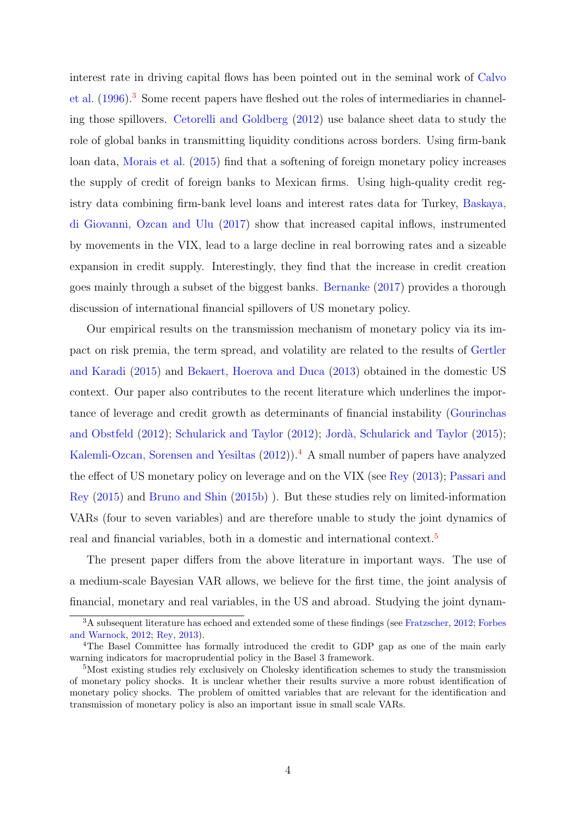interest rate in driving capital flows has been pointed out in the seminal work of [Calvo](#page-33-3) [et al.](#page-33-3) [\(1996\)](#page-33-3).<sup>[3](#page-4-0)</sup> Some recent papers have fleshed out the roles of intermediaries in channeling those spillovers. [Cetorelli and Goldberg](#page-34-2) [\(2012\)](#page-34-2) use balance sheet data to study the role of global banks in transmitting liquidity conditions across borders. Using firm-bank loan data, [Morais et al.](#page-36-2) [\(2015\)](#page-36-2) find that a softening of foreign monetary policy increases the supply of credit of foreign banks to Mexican firms. Using high-quality credit registry data combining firm-bank level loans and interest rates data for Turkey, [Baskaya,](#page-33-4) [di Giovanni, Ozcan and Ulu](#page-33-4) [\(2017\)](#page-33-4) show that increased capital inflows, instrumented by movements in the VIX, lead to a large decline in real borrowing rates and a sizeable expansion in credit supply. Interestingly, they find that the increase in credit creation goes mainly through a subset of the biggest banks. [Bernanke](#page-33-5) [\(2017\)](#page-33-5) provides a thorough discussion of international financial spillovers of US monetary policy.

Our empirical results on the transmission mechanism of monetary policy via its impact on risk premia, the term spread, and volatility are related to the results of [Gertler](#page-35-4) [and Karadi](#page-35-4) [\(2015\)](#page-35-4) and [Bekaert, Hoerova and Duca](#page-33-6) [\(2013\)](#page-33-6) obtained in the domestic US context. Our paper also contributes to the recent literature which underlines the importance of leverage and credit growth as determinants of financial instability [\(Gourinchas](#page-35-5) [and Obstfeld](#page-35-5) [\(2012\)](#page-37-2); [Schularick and Taylor](#page-37-2) (2012); Jordà, Schularick and Taylor [\(2015\)](#page-35-6); [Kalemli-Ozcan, Sorensen and Yesiltas](#page-35-7) [\(2012\)](#page-35-7)).<sup>[4](#page-4-1)</sup> A small number of papers have analyzed the effect of US monetary policy on leverage and on the VIX (see [Rey](#page-36-1) [\(2013\)](#page-36-1); [Passari and](#page-36-3) [Rey](#page-36-3) [\(2015\)](#page-36-3) and [Bruno and Shin](#page-33-7) [\(2015b\)](#page-33-7) ). But these studies rely on limited-information VARs (four to seven variables) and are therefore unable to study the joint dynamics of real and financial variables, both in a domestic and international context.<sup>[5](#page-4-2)</sup>

The present paper differs from the above literature in important ways. The use of a medium-scale Bayesian VAR allows, we believe for the first time, the joint analysis of financial, monetary and real variables, in the US and abroad. Studying the joint dynam-

<span id="page-4-0"></span><sup>&</sup>lt;sup>3</sup>A subsequent literature has echoed and extended some of these findings (see [Fratzscher,](#page-34-3) [2012;](#page-34-3) [Forbes](#page-34-4) [and Warnock,](#page-34-4) [2012;](#page-34-4) [Rey,](#page-36-1) [2013\)](#page-36-1).

<span id="page-4-1"></span><sup>4</sup>The Basel Committee has formally introduced the credit to GDP gap as one of the main early warning indicators for macroprudential policy in the Basel 3 framework.

<span id="page-4-2"></span><sup>&</sup>lt;sup>5</sup>Most existing studies rely exclusively on Cholesky identification schemes to study the transmission of monetary policy shocks. It is unclear whether their results survive a more robust identification of monetary policy shocks. The problem of omitted variables that are relevant for the identification and transmission of monetary policy is also an important issue in small scale VARs.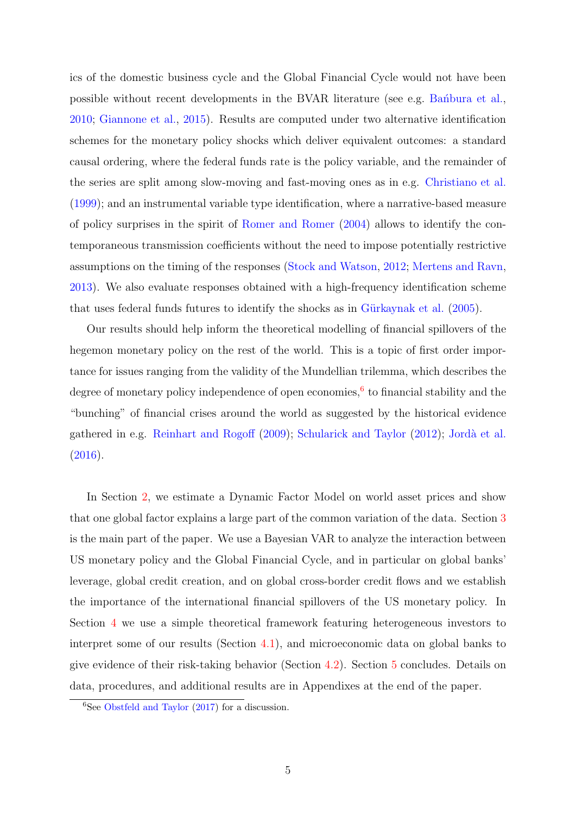ics of the domestic business cycle and the Global Financial Cycle would not have been possible without recent developments in the BVAR literature (see e.g. Bandbura et al., [2010;](#page-33-8) [Giannone et al.,](#page-35-8) [2015\)](#page-35-8). Results are computed under two alternative identification schemes for the monetary policy shocks which deliver equivalent outcomes: a standard causal ordering, where the federal funds rate is the policy variable, and the remainder of the series are split among slow-moving and fast-moving ones as in e.g. [Christiano et al.](#page-34-5) [\(1999\)](#page-34-5); and an instrumental variable type identification, where a narrative-based measure of policy surprises in the spirit of [Romer and Romer](#page-37-3) [\(2004\)](#page-37-3) allows to identify the contemporaneous transmission coefficients without the need to impose potentially restrictive assumptions on the timing of the responses [\(Stock and Watson,](#page-37-4) [2012;](#page-37-4) [Mertens and Ravn,](#page-36-4) [2013\)](#page-36-4). We also evaluate responses obtained with a high-frequency identification scheme that uses federal funds futures to identify the shocks as in Gürkaynak et al.  $(2005)$ .

Our results should help inform the theoretical modelling of financial spillovers of the hegemon monetary policy on the rest of the world. This is a topic of first order importance for issues ranging from the validity of the Mundellian trilemma, which describes the degree of monetary policy independence of open economies,<sup>[6](#page-5-0)</sup> to financial stability and the "bunching" of financial crises around the world as suggested by the historical evidence gathered in e.g. [Reinhart and Rogoff](#page-36-5) [\(2009\)](#page-36-5); [Schularick and Taylor](#page-37-2) [\(2012\)](#page-37-2); Jordà et al.  $(2016).$  $(2016).$ 

In Section [2,](#page-6-0) we estimate a Dynamic Factor Model on world asset prices and show that one global factor explains a large part of the common variation of the data. Section [3](#page-10-0) is the main part of the paper. We use a Bayesian VAR to analyze the interaction between US monetary policy and the Global Financial Cycle, and in particular on global banks' leverage, global credit creation, and on global cross-border credit flows and we establish the importance of the international financial spillovers of the US monetary policy. In Section [4](#page-25-0) we use a simple theoretical framework featuring heterogeneous investors to interpret some of our results (Section [4.1\)](#page-25-1), and microeconomic data on global banks to give evidence of their risk-taking behavior (Section [4.2\)](#page-28-0). Section [5](#page-30-0) concludes. Details on data, procedures, and additional results are in Appendixes at the end of the paper.

<span id="page-5-0"></span> ${}^{6}$ See [Obstfeld and Taylor](#page-36-6) [\(2017\)](#page-36-6) for a discussion.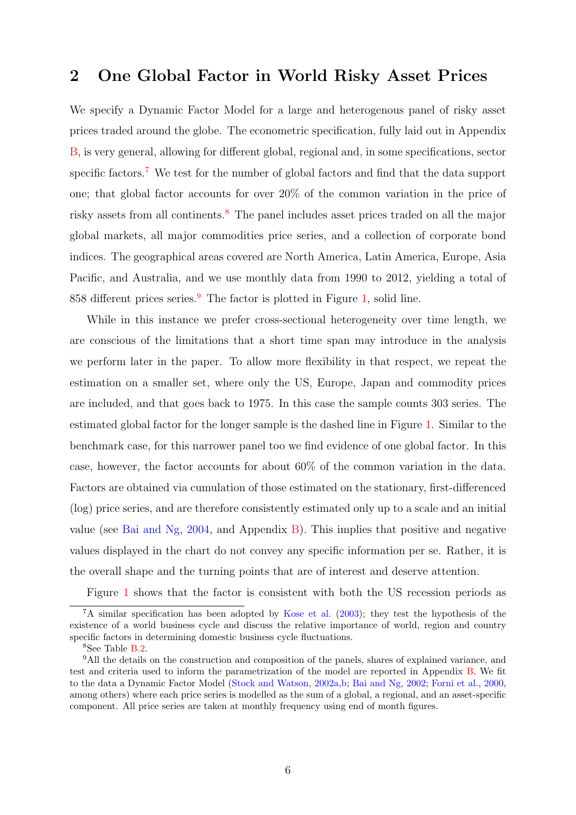# <span id="page-6-0"></span>2 One Global Factor in World Risky Asset Prices

We specify a Dynamic Factor Model for a large and heterogenous panel of risky asset prices traded around the globe. The econometric specification, fully laid out in Appendix [B,](#page-47-0) is very general, allowing for different global, regional and, in some specifications, sector specific factors.[7](#page-6-1) We test for the number of global factors and find that the data support one; that global factor accounts for over 20% of the common variation in the price of risky assets from all continents.[8](#page-6-2) The panel includes asset prices traded on all the major global markets, all major commodities price series, and a collection of corporate bond indices. The geographical areas covered are North America, Latin America, Europe, Asia Pacific, and Australia, and we use monthly data from 1990 to 2012, yielding a total of 858 different prices series.[9](#page-6-3) The factor is plotted in Figure [1,](#page-7-0) solid line.

While in this instance we prefer cross-sectional heterogeneity over time length, we are conscious of the limitations that a short time span may introduce in the analysis we perform later in the paper. To allow more flexibility in that respect, we repeat the estimation on a smaller set, where only the US, Europe, Japan and commodity prices are included, and that goes back to 1975. In this case the sample counts 303 series. The estimated global factor for the longer sample is the dashed line in Figure [1.](#page-7-0) Similar to the benchmark case, for this narrower panel too we find evidence of one global factor. In this case, however, the factor accounts for about 60% of the common variation in the data. Factors are obtained via cumulation of those estimated on the stationary, first-differenced (log) price series, and are therefore consistently estimated only up to a scale and an initial value (see [Bai and Ng,](#page-33-9) [2004,](#page-33-9) and Appendix [B\)](#page-47-0). This implies that positive and negative values displayed in the chart do not convey any specific information per se. Rather, it is the overall shape and the turning points that are of interest and deserve attention.

<span id="page-6-1"></span>Figure [1](#page-7-0) shows that the factor is consistent with both the US recession periods as

 $7A$  similar specification has been adopted by [Kose et al.](#page-35-11) [\(2003\)](#page-35-11); they test the hypothesis of the existence of a world business cycle and discuss the relative importance of world, region and country specific factors in determining domestic business cycle fluctuations.

<span id="page-6-3"></span><span id="page-6-2"></span> $8$ See Table [B.2.](#page-50-0)

<sup>&</sup>lt;sup>9</sup>All the details on the construction and composition of the panels, shares of explained variance, and test and criteria used to inform the parametrization of the model are reported in Appendix [B.](#page-47-0) We fit to the data a Dynamic Factor Model [\(Stock and Watson,](#page-37-5) [2002a,](#page-37-5)[b;](#page-37-6) [Bai and Ng,](#page-33-10) [2002;](#page-33-10) [Forni et al.,](#page-34-6) [2000,](#page-34-6) among others) where each price series is modelled as the sum of a global, a regional, and an asset-specific component. All price series are taken at monthly frequency using end of month figures.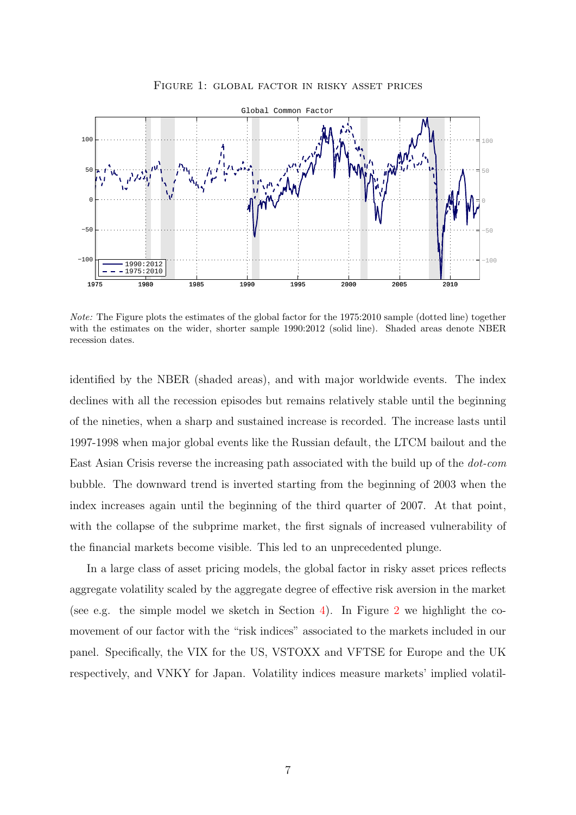<span id="page-7-0"></span>

Figure 1: global factor in risky asset prices

Note: The Figure plots the estimates of the global factor for the 1975:2010 sample (dotted line) together with the estimates on the wider, shorter sample 1990:2012 (solid line). Shaded areas denote NBER recession dates.

identified by the NBER (shaded areas), and with major worldwide events. The index declines with all the recession episodes but remains relatively stable until the beginning of the nineties, when a sharp and sustained increase is recorded. The increase lasts until 1997-1998 when major global events like the Russian default, the LTCM bailout and the East Asian Crisis reverse the increasing path associated with the build up of the dot-com bubble. The downward trend is inverted starting from the beginning of 2003 when the index increases again until the beginning of the third quarter of 2007. At that point, with the collapse of the subprime market, the first signals of increased vulnerability of the financial markets become visible. This led to an unprecedented plunge.

In a large class of asset pricing models, the global factor in risky asset prices reflects aggregate volatility scaled by the aggregate degree of effective risk aversion in the market (see e.g. the simple model we sketch in Section [4\)](#page-25-0). In Figure [2](#page-8-0) we highlight the comovement of our factor with the "risk indices" associated to the markets included in our panel. Specifically, the VIX for the US, VSTOXX and VFTSE for Europe and the UK respectively, and VNKY for Japan. Volatility indices measure markets' implied volatil-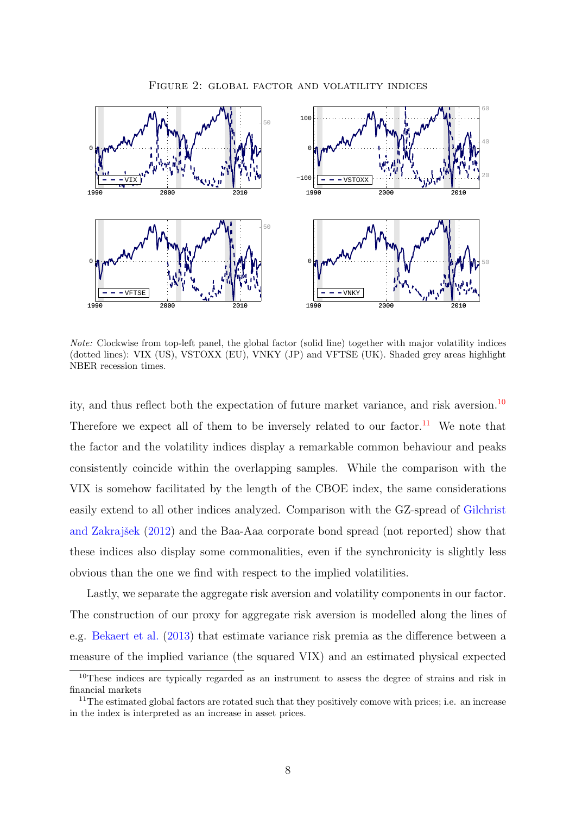<span id="page-8-0"></span>

Figure 2: global factor and volatility indices

Note: Clockwise from top-left panel, the global factor (solid line) together with major volatility indices (dotted lines): VIX (US), VSTOXX (EU), VNKY (JP) and VFTSE (UK). Shaded grey areas highlight NBER recession times.

ity, and thus reflect both the expectation of future market variance, and risk aversion.<sup>[10](#page-8-1)</sup> Therefore we expect all of them to be inversely related to our factor.<sup>[11](#page-8-2)</sup> We note that the factor and the volatility indices display a remarkable common behaviour and peaks consistently coincide within the overlapping samples. While the comparison with the VIX is somehow facilitated by the length of the CBOE index, the same considerations easily extend to all other indices analyzed. Comparison with the GZ-spread of [Gilchrist](#page-35-3) and Zakrajšek [\(2012\)](#page-35-3) and the Baa-Aaa corporate bond spread (not reported) show that these indices also display some commonalities, even if the synchronicity is slightly less obvious than the one we find with respect to the implied volatilities.

Lastly, we separate the aggregate risk aversion and volatility components in our factor. The construction of our proxy for aggregate risk aversion is modelled along the lines of e.g. [Bekaert et al.](#page-33-6) [\(2013\)](#page-33-6) that estimate variance risk premia as the difference between a measure of the implied variance (the squared VIX) and an estimated physical expected

<span id="page-8-1"></span><sup>&</sup>lt;sup>10</sup>These indices are typically regarded as an instrument to assess the degree of strains and risk in financial markets

<span id="page-8-2"></span><sup>&</sup>lt;sup>11</sup>The estimated global factors are rotated such that they positively comove with prices; i.e. an increase in the index is interpreted as an increase in asset prices.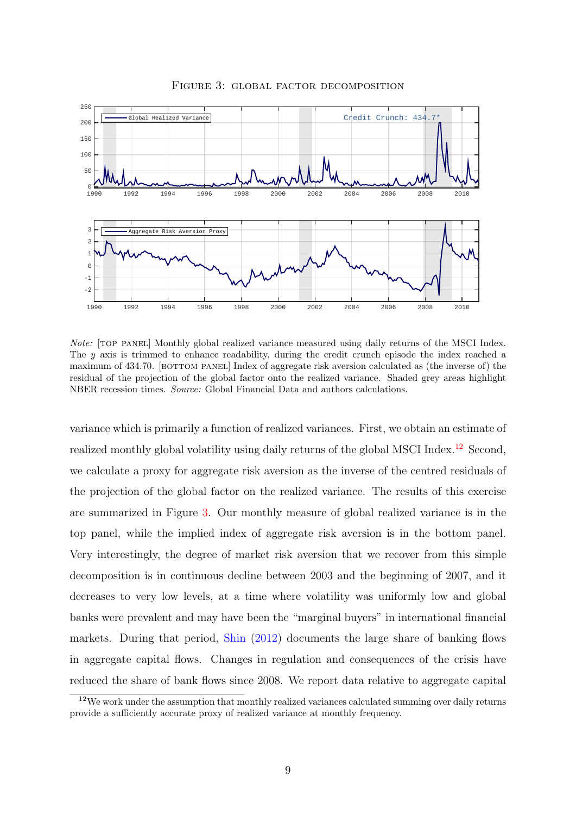<span id="page-9-1"></span>

Figure 3: global factor decomposition

Note: [top panel] Monthly global realized variance measured using daily returns of the MSCI Index. The y axis is trimmed to enhance readability, during the credit crunch episode the index reached a maximum of 434.70. [BOTTOM PANEL] Index of aggregate risk aversion calculated as (the inverse of) the residual of the projection of the global factor onto the realized variance. Shaded grey areas highlight NBER recession times. Source: Global Financial Data and authors calculations.

variance which is primarily a function of realized variances. First, we obtain an estimate of realized monthly global volatility using daily returns of the global MSCI Index.<sup>[12](#page-9-0)</sup> Second, we calculate a proxy for aggregate risk aversion as the inverse of the centred residuals of the projection of the global factor on the realized variance. The results of this exercise are summarized in Figure [3.](#page-9-1) Our monthly measure of global realized variance is in the top panel, while the implied index of aggregate risk aversion is in the bottom panel. Very interestingly, the degree of market risk aversion that we recover from this simple decomposition is in continuous decline between 2003 and the beginning of 2007, and it decreases to very low levels, at a time where volatility was uniformly low and global banks were prevalent and may have been the "marginal buyers" in international financial markets. During that period, [Shin](#page-37-7) [\(2012\)](#page-37-7) documents the large share of banking flows in aggregate capital flows. Changes in regulation and consequences of the crisis have reduced the share of bank flows since 2008. We report data relative to aggregate capital

<span id="page-9-0"></span> $12\,\text{We work under the assumption that monthly realized variances calculated summing over daily returns}$ provide a sufficiently accurate proxy of realized variance at monthly frequency.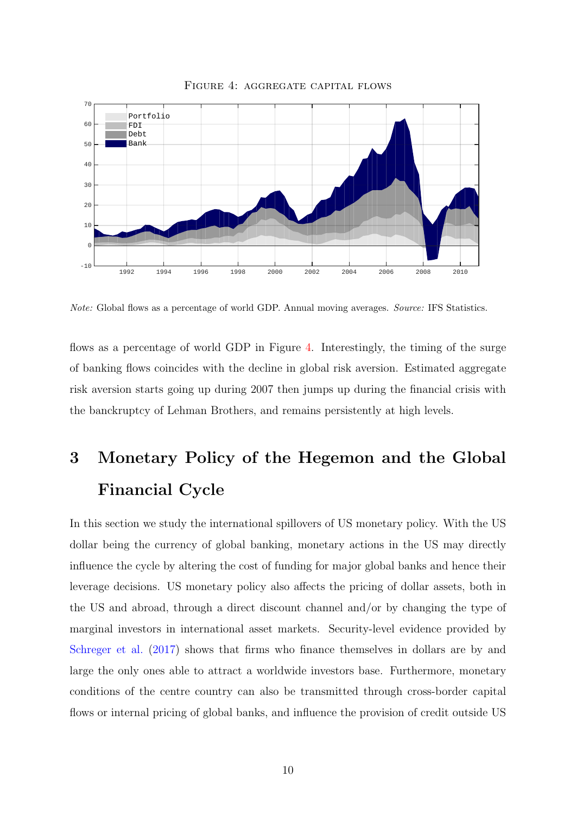<span id="page-10-1"></span>

Figure 4: aggregate capital flows

Note: Global flows as a percentage of world GDP. Annual moving averages. Source: IFS Statistics.

flows as a percentage of world GDP in Figure [4.](#page-10-1) Interestingly, the timing of the surge of banking flows coincides with the decline in global risk aversion. Estimated aggregate risk aversion starts going up during 2007 then jumps up during the financial crisis with the banckruptcy of Lehman Brothers, and remains persistently at high levels.

# <span id="page-10-0"></span>3 Monetary Policy of the Hegemon and the Global Financial Cycle

In this section we study the international spillovers of US monetary policy. With the US dollar being the currency of global banking, monetary actions in the US may directly influence the cycle by altering the cost of funding for major global banks and hence their leverage decisions. US monetary policy also affects the pricing of dollar assets, both in the US and abroad, through a direct discount channel and/or by changing the type of marginal investors in international asset markets. Security-level evidence provided by [Schreger et al.](#page-37-8)  $(2017)$  shows that firms who finance themselves in dollars are by and large the only ones able to attract a worldwide investors base. Furthermore, monetary conditions of the centre country can also be transmitted through cross-border capital flows or internal pricing of global banks, and influence the provision of credit outside US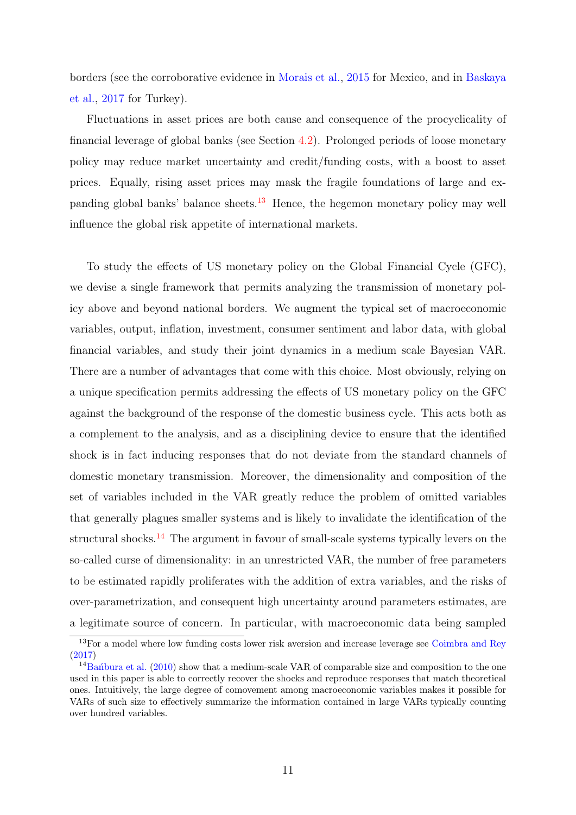borders (see the corroborative evidence in [Morais et al.,](#page-36-2) [2015](#page-36-2) for Mexico, and in [Baskaya](#page-33-4) [et al.,](#page-33-4) [2017](#page-33-4) for Turkey).

Fluctuations in asset prices are both cause and consequence of the procyclicality of financial leverage of global banks (see Section [4.2\)](#page-28-0). Prolonged periods of loose monetary policy may reduce market uncertainty and credit/funding costs, with a boost to asset prices. Equally, rising asset prices may mask the fragile foundations of large and ex-panding global banks' balance sheets.<sup>[13](#page-11-0)</sup> Hence, the hegemon monetary policy may well influence the global risk appetite of international markets.

To study the effects of US monetary policy on the Global Financial Cycle (GFC), we devise a single framework that permits analyzing the transmission of monetary policy above and beyond national borders. We augment the typical set of macroeconomic variables, output, inflation, investment, consumer sentiment and labor data, with global financial variables, and study their joint dynamics in a medium scale Bayesian VAR. There are a number of advantages that come with this choice. Most obviously, relying on a unique specification permits addressing the effects of US monetary policy on the GFC against the background of the response of the domestic business cycle. This acts both as a complement to the analysis, and as a disciplining device to ensure that the identified shock is in fact inducing responses that do not deviate from the standard channels of domestic monetary transmission. Moreover, the dimensionality and composition of the set of variables included in the VAR greatly reduce the problem of omitted variables that generally plagues smaller systems and is likely to invalidate the identification of the structural shocks.<sup>[14](#page-11-1)</sup> The argument in favour of small-scale systems typically levers on the so-called curse of dimensionality: in an unrestricted VAR, the number of free parameters to be estimated rapidly proliferates with the addition of extra variables, and the risks of over-parametrization, and consequent high uncertainty around parameters estimates, are a legitimate source of concern. In particular, with macroeconomic data being sampled

<span id="page-11-0"></span> $\frac{13}{13}$  For a model where low funding costs lower risk aversion and increase leverage see [Coimbra and Rey](#page-34-1)  $(2017)$ 

<span id="page-11-1"></span><sup>&</sup>lt;sup>14</sup>Ba $\hat{n}$ bura et al. [\(2010\)](#page-33-8) show that a medium-scale VAR of comparable size and composition to the one used in this paper is able to correctly recover the shocks and reproduce responses that match theoretical ones. Intuitively, the large degree of comovement among macroeconomic variables makes it possible for VARs of such size to effectively summarize the information contained in large VARs typically counting over hundred variables.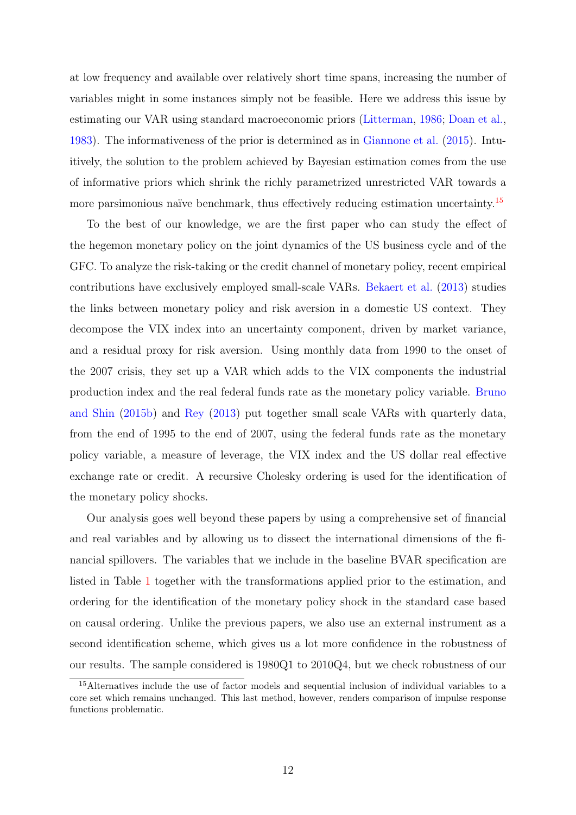at low frequency and available over relatively short time spans, increasing the number of variables might in some instances simply not be feasible. Here we address this issue by estimating our VAR using standard macroeconomic priors [\(Litterman,](#page-36-7) [1986;](#page-36-7) [Doan et al.,](#page-34-7) [1983\)](#page-34-7). The informativeness of the prior is determined as in [Giannone et al.](#page-35-8) [\(2015\)](#page-35-8). Intuitively, the solution to the problem achieved by Bayesian estimation comes from the use of informative priors which shrink the richly parametrized unrestricted VAR towards a more parsimonious naïve benchmark, thus effectively reducing estimation uncertainty.<sup>[15](#page-12-0)</sup>

To the best of our knowledge, we are the first paper who can study the effect of the hegemon monetary policy on the joint dynamics of the US business cycle and of the GFC. To analyze the risk-taking or the credit channel of monetary policy, recent empirical contributions have exclusively employed small-scale VARs. [Bekaert et al.](#page-33-6) [\(2013\)](#page-33-6) studies the links between monetary policy and risk aversion in a domestic US context. They decompose the VIX index into an uncertainty component, driven by market variance, and a residual proxy for risk aversion. Using monthly data from 1990 to the onset of the 2007 crisis, they set up a VAR which adds to the VIX components the industrial production index and the real federal funds rate as the monetary policy variable. [Bruno](#page-33-7) [and Shin](#page-33-7) [\(2015b\)](#page-33-7) and [Rey](#page-36-1) [\(2013\)](#page-36-1) put together small scale VARs with quarterly data, from the end of 1995 to the end of 2007, using the federal funds rate as the monetary policy variable, a measure of leverage, the VIX index and the US dollar real effective exchange rate or credit. A recursive Cholesky ordering is used for the identification of the monetary policy shocks.

Our analysis goes well beyond these papers by using a comprehensive set of financial and real variables and by allowing us to dissect the international dimensions of the financial spillovers. The variables that we include in the baseline BVAR specification are listed in Table [1](#page-13-0) together with the transformations applied prior to the estimation, and ordering for the identification of the monetary policy shock in the standard case based on causal ordering. Unlike the previous papers, we also use an external instrument as a second identification scheme, which gives us a lot more confidence in the robustness of our results. The sample considered is 1980Q1 to 2010Q4, but we check robustness of our

<span id="page-12-0"></span><sup>15</sup>Alternatives include the use of factor models and sequential inclusion of individual variables to a core set which remains unchanged. This last method, however, renders comparison of impulse response functions problematic.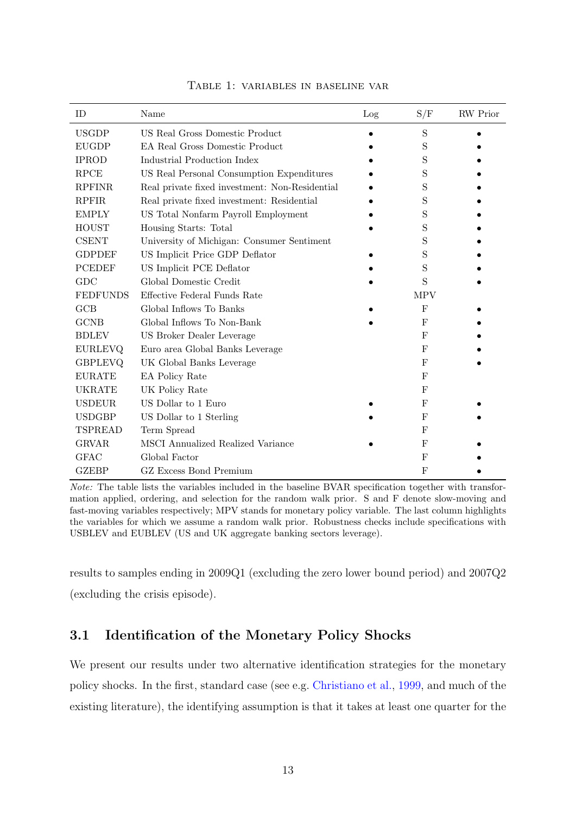<span id="page-13-0"></span>

| ID              | Name                                           | Log | S/F        | <b>RW</b> Prior |
|-----------------|------------------------------------------------|-----|------------|-----------------|
| <b>USGDP</b>    | US Real Gross Domestic Product                 |     | S          |                 |
| <b>EUGDP</b>    | <b>EA Real Gross Domestic Product</b>          |     | S          |                 |
| <b>IPROD</b>    | Industrial Production Index                    |     | S          |                 |
| <b>RPCE</b>     | US Real Personal Consumption Expenditures      |     | S          |                 |
| <b>RPFINR</b>   | Real private fixed investment: Non-Residential |     | S          |                 |
| <b>RPFIR</b>    | Real private fixed investment: Residential     |     | S          |                 |
| <b>EMPLY</b>    | US Total Nonfarm Payroll Employment            |     | S          |                 |
| <b>HOUST</b>    | Housing Starts: Total                          |     | S          |                 |
| <b>CSENT</b>    | University of Michigan: Consumer Sentiment     |     | S          |                 |
| <b>GDPDEF</b>   | US Implicit Price GDP Deflator                 |     | S          |                 |
| <b>PCEDEF</b>   | US Implicit PCE Deflator                       |     | S          |                 |
| GDC             | Global Domestic Credit                         |     | S          |                 |
| <b>FEDFUNDS</b> | Effective Federal Funds Rate                   |     | <b>MPV</b> |                 |
| GCB             | Global Inflows To Banks                        |     | F          |                 |
| <b>GCNB</b>     | Global Inflows To Non-Bank                     |     | F          |                 |
| <b>BDLEV</b>    | US Broker Dealer Leverage                      |     | F          |                 |
| <b>EURLEVQ</b>  | Euro area Global Banks Leverage                |     | F          |                 |
| <b>GBPLEVQ</b>  | UK Global Banks Leverage                       |     | $_{\rm F}$ |                 |
| <b>EURATE</b>   | EA Policy Rate                                 |     | F          |                 |
| UKRATE          | UK Policy Rate                                 |     | F          |                 |
| <b>USDEUR</b>   | US Dollar to 1 Euro                            |     | F          |                 |
| <b>USDGBP</b>   | US Dollar to 1 Sterling                        |     | F          |                 |
| <b>TSPREAD</b>  | Term Spread                                    |     | F          |                 |
| <b>GRVAR</b>    | <b>MSCI</b> Annualized Realized Variance       |     | F          |                 |
| <b>GFAC</b>     | Global Factor                                  |     | F          |                 |
| <b>GZEBP</b>    | GZ Excess Bond Premium                         |     | F          |                 |

Table 1: variables in baseline var

Note: The table lists the variables included in the baseline BVAR specification together with transformation applied, ordering, and selection for the random walk prior. S and F denote slow-moving and fast-moving variables respectively; MPV stands for monetary policy variable. The last column highlights the variables for which we assume a random walk prior. Robustness checks include specifications with USBLEV and EUBLEV (US and UK aggregate banking sectors leverage).

results to samples ending in 2009Q1 (excluding the zero lower bound period) and 2007Q2 (excluding the crisis episode).

## 3.1 Identification of the Monetary Policy Shocks

We present our results under two alternative identification strategies for the monetary policy shocks. In the first, standard case (see e.g. [Christiano et al.,](#page-34-5) [1999,](#page-34-5) and much of the existing literature), the identifying assumption is that it takes at least one quarter for the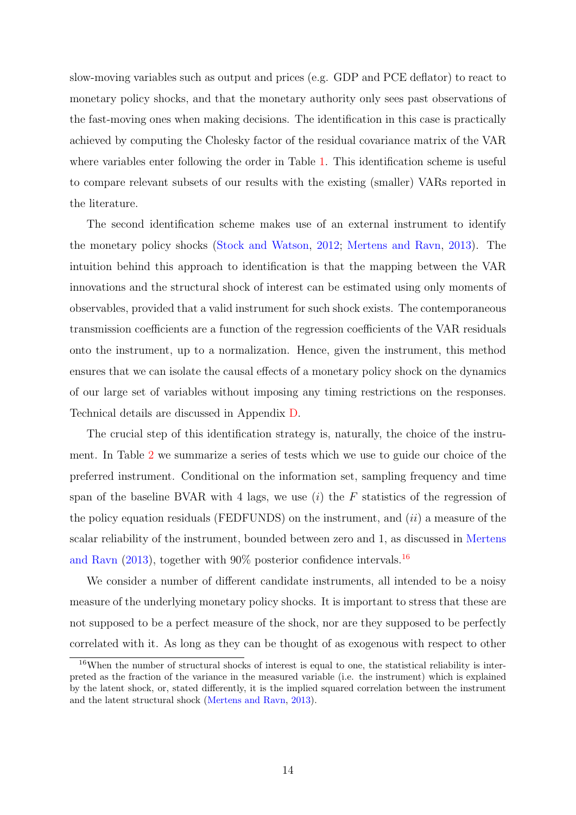slow-moving variables such as output and prices (e.g. GDP and PCE deflator) to react to monetary policy shocks, and that the monetary authority only sees past observations of the fast-moving ones when making decisions. The identification in this case is practically achieved by computing the Cholesky factor of the residual covariance matrix of the VAR where variables enter following the order in Table [1.](#page-13-0) This identification scheme is useful to compare relevant subsets of our results with the existing (smaller) VARs reported in the literature.

The second identification scheme makes use of an external instrument to identify the monetary policy shocks [\(Stock and Watson,](#page-37-4) [2012;](#page-37-4) [Mertens and Ravn,](#page-36-4) [2013\)](#page-36-4). The intuition behind this approach to identification is that the mapping between the VAR innovations and the structural shock of interest can be estimated using only moments of observables, provided that a valid instrument for such shock exists. The contemporaneous transmission coefficients are a function of the regression coefficients of the VAR residuals onto the instrument, up to a normalization. Hence, given the instrument, this method ensures that we can isolate the causal effects of a monetary policy shock on the dynamics of our large set of variables without imposing any timing restrictions on the responses. Technical details are discussed in Appendix [D.](#page-51-0)

The crucial step of this identification strategy is, naturally, the choice of the instrument. In Table [2](#page-17-0) we summarize a series of tests which we use to guide our choice of the preferred instrument. Conditional on the information set, sampling frequency and time span of the baseline BVAR with 4 lags, we use  $(i)$  the F statistics of the regression of the policy equation residuals (FEDFUNDS) on the instrument, and  $(ii)$  a measure of the scalar reliability of the instrument, bounded between zero and 1, as discussed in [Mertens](#page-36-4) [and Ravn](#page-36-4)  $(2013)$ , together with 90% posterior confidence intervals.<sup>[16](#page-14-0)</sup>

We consider a number of different candidate instruments, all intended to be a noisy measure of the underlying monetary policy shocks. It is important to stress that these are not supposed to be a perfect measure of the shock, nor are they supposed to be perfectly correlated with it. As long as they can be thought of as exogenous with respect to other

<span id="page-14-0"></span><sup>16</sup>When the number of structural shocks of interest is equal to one, the statistical reliability is interpreted as the fraction of the variance in the measured variable (i.e. the instrument) which is explained by the latent shock, or, stated differently, it is the implied squared correlation between the instrument and the latent structural shock [\(Mertens and Ravn,](#page-36-4) [2013\)](#page-36-4).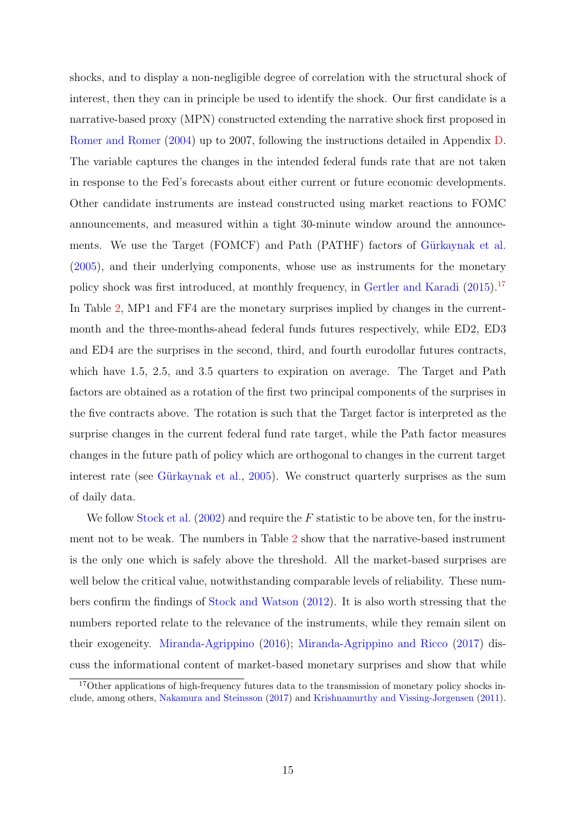shocks, and to display a non-negligible degree of correlation with the structural shock of interest, then they can in principle be used to identify the shock. Our first candidate is a narrative-based proxy (MPN) constructed extending the narrative shock first proposed in [Romer and Romer](#page-37-3) [\(2004\)](#page-37-3) up to 2007, following the instructions detailed in Appendix [D.](#page-51-0) The variable captures the changes in the intended federal funds rate that are not taken in response to the Fed's forecasts about either current or future economic developments. Other candidate instruments are instead constructed using market reactions to FOMC announcements, and measured within a tight 30-minute window around the announcements. We use the Target (FOMCF) and Path (PATHF) factors of Gürkaynak et al. [\(2005\)](#page-35-9), and their underlying components, whose use as instruments for the monetary policy shock was first introduced, at monthly frequency, in [Gertler and Karadi](#page-35-4) [\(2015\)](#page-35-4).[17](#page-15-0) In Table [2,](#page-17-0) MP1 and FF4 are the monetary surprises implied by changes in the currentmonth and the three-months-ahead federal funds futures respectively, while ED2, ED3 and ED4 are the surprises in the second, third, and fourth eurodollar futures contracts, which have 1.5, 2.5, and 3.5 quarters to expiration on average. The Target and Path factors are obtained as a rotation of the first two principal components of the surprises in the five contracts above. The rotation is such that the Target factor is interpreted as the surprise changes in the current federal fund rate target, while the Path factor measures changes in the future path of policy which are orthogonal to changes in the current target interest rate (see Gürkaynak et al.,  $2005$ ). We construct quarterly surprises as the sum of daily data.

We follow [Stock et al.](#page-37-9)  $(2002)$  and require the F statistic to be above ten, for the instrument not to be weak. The numbers in Table [2](#page-17-0) show that the narrative-based instrument is the only one which is safely above the threshold. All the market-based surprises are well below the critical value, notwithstanding comparable levels of reliability. These numbers confirm the findings of [Stock and Watson](#page-37-4) [\(2012\)](#page-37-4). It is also worth stressing that the numbers reported relate to the relevance of the instruments, while they remain silent on their exogeneity. [Miranda-Agrippino](#page-36-8) [\(2016\)](#page-36-8); [Miranda-Agrippino and Ricco](#page-36-9) [\(2017\)](#page-36-9) discuss the informational content of market-based monetary surprises and show that while

<span id="page-15-0"></span><sup>&</sup>lt;sup>17</sup>Other applications of high-frequency futures data to the transmission of monetary policy shocks include, among others, [Nakamura and Steinsson](#page-36-10) [\(2017\)](#page-36-10) and [Krishnamurthy and Vissing-Jorgensen](#page-35-12) [\(2011\)](#page-35-12).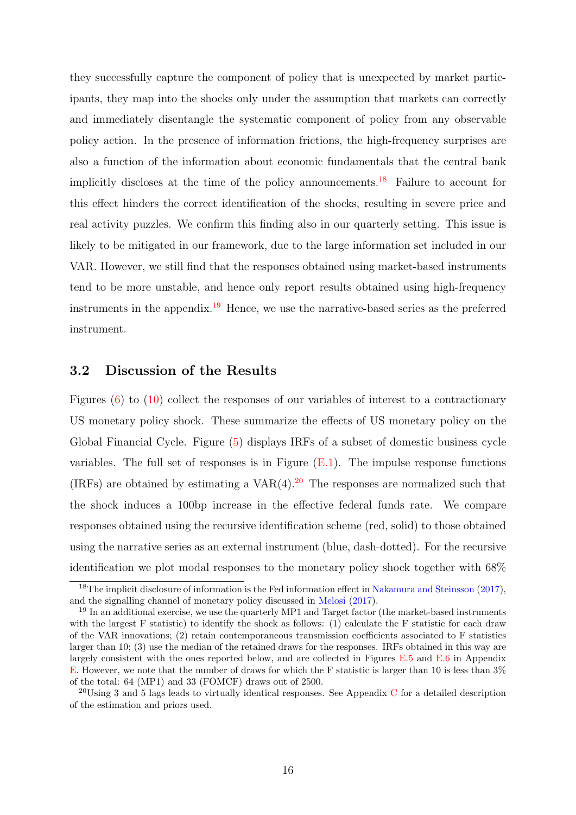they successfully capture the component of policy that is unexpected by market participants, they map into the shocks only under the assumption that markets can correctly and immediately disentangle the systematic component of policy from any observable policy action. In the presence of information frictions, the high-frequency surprises are also a function of the information about economic fundamentals that the central bank implicitly discloses at the time of the policy announcements.<sup>[18](#page-16-0)</sup> Failure to account for this effect hinders the correct identification of the shocks, resulting in severe price and real activity puzzles. We confirm this finding also in our quarterly setting. This issue is likely to be mitigated in our framework, due to the large information set included in our VAR. However, we still find that the responses obtained using market-based instruments tend to be more unstable, and hence only report results obtained using high-frequency instruments in the appendix.<sup>[19](#page-16-1)</sup> Hence, we use the narrative-based series as the preferred instrument.

## 3.2 Discussion of the Results

Figures [\(6\)](#page-19-0) to [\(10\)](#page-23-0) collect the responses of our variables of interest to a contractionary US monetary policy shock. These summarize the effects of US monetary policy on the Global Financial Cycle. Figure [\(5\)](#page-18-0) displays IRFs of a subset of domestic business cycle variables. The full set of responses is in Figure  $(E.1)$ . The impulse response functions (IRFs) are obtained by estimating a  $VAR(4).^{20}$  $VAR(4).^{20}$  $VAR(4).^{20}$  The responses are normalized such that the shock induces a 100bp increase in the effective federal funds rate. We compare responses obtained using the recursive identification scheme (red, solid) to those obtained using the narrative series as an external instrument (blue, dash-dotted). For the recursive identification we plot modal responses to the monetary policy shock together with 68%

<span id="page-16-0"></span><sup>&</sup>lt;sup>18</sup>The implicit disclosure of information is the Fed information effect in [Nakamura and Steinsson](#page-36-10) [\(2017\)](#page-36-10), and the signalling channel of monetary policy discussed in [Melosi](#page-36-11) [\(2017\)](#page-36-11).

<span id="page-16-1"></span><sup>&</sup>lt;sup>19</sup> In an additional exercise, we use the quarterly MP1 and Target factor (the market-based instruments with the largest F statistic) to identify the shock as follows: (1) calculate the F statistic for each draw of the VAR innovations; (2) retain contemporaneous transmission coefficients associated to F statistics larger than 10; (3) use the median of the retained draws for the responses. IRFs obtained in this way are largely consistent with the ones reported below, and are collected in Figures [E.5](#page-60-0) and [E.6](#page-61-0) in Appendix [E.](#page-55-0) However, we note that the number of draws for which the F statistic is larger than 10 is less than 3% of the total: 64 (MP1) and 33 (FOMCF) draws out of 2500.

<span id="page-16-2"></span> $^{20}$ Using 3 and 5 lags leads to virtually identical responses. See Appendix [C](#page-50-1) for a detailed description of the estimation and priors used.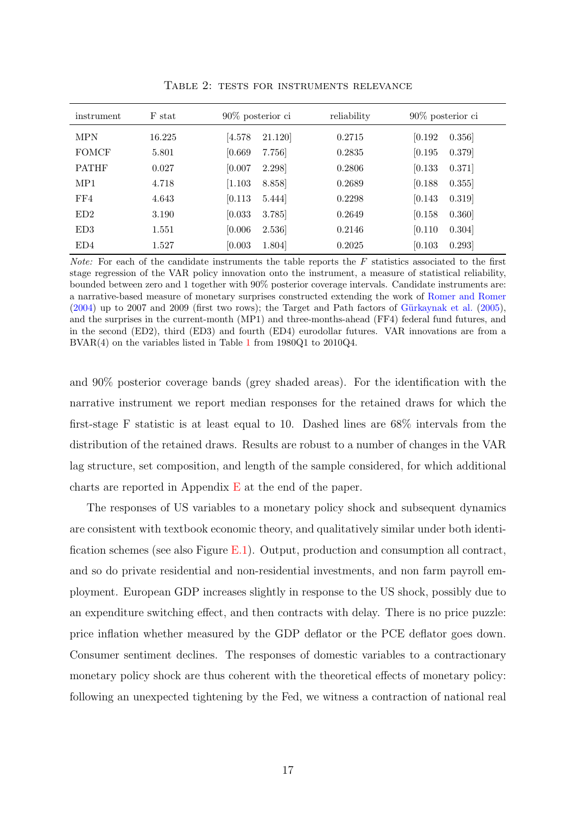<span id="page-17-0"></span>

| instrument   | F stat | $90\%$ posterior ci           | reliability | $90\%$ posterior ci |
|--------------|--------|-------------------------------|-------------|---------------------|
| <b>MPN</b>   | 16.225 | 21.120<br>[4.578]             | 0.2715      | 0.356<br>[0.192]    |
| <b>FOMCF</b> | 5.801  | 7.756<br>[0.669]              | 0.2835      | 0.379<br>[0.195]    |
| <b>PATHF</b> | 0.027  | 2.298<br>[0.007]              | 0.2806      | [0.133]<br>0.371]   |
| MP1          | 4.718  | $\left[1.103\right]$<br>8.858 | 0.2689      | [0.188]<br>0.355    |
| FF4          | 4.643  | [0.113]<br>5.444              | 0.2298      | [0.143]<br>0.319    |
| ED2          | 3.190  | [0.033]<br>3.785              | 0.2649      | [0.158]<br>0.360    |
| ED3          | 1.551  | 2.536<br>[0.006]              | 0.2146      | [0.110]<br>0.304]   |
| ED4          | 1.527  | 1.804<br>[0.003]              | 0.2025      | [0.103]<br>0.293    |

Table 2: tests for instruments relevance

*Note:* For each of the candidate instruments the table reports the  $F$  statistics associated to the first stage regression of the VAR policy innovation onto the instrument, a measure of statistical reliability, bounded between zero and 1 together with 90% posterior coverage intervals. Candidate instruments are: a narrative-based measure of monetary surprises constructed extending the work of [Romer and Romer](#page-37-3)  $(2004)$  up to 2007 and 2009 (first two rows); the Target and Path factors of Gürkaynak et al.  $(2005)$ , and the surprises in the current-month (MP1) and three-months-ahead (FF4) federal fund futures, and in the second (ED2), third (ED3) and fourth (ED4) eurodollar futures. VAR innovations are from a BVAR(4) on the variables listed in Table [1](#page-13-0) from 1980Q1 to 2010Q4.

and 90% posterior coverage bands (grey shaded areas). For the identification with the narrative instrument we report median responses for the retained draws for which the first-stage F statistic is at least equal to 10. Dashed lines are 68% intervals from the distribution of the retained draws. Results are robust to a number of changes in the VAR lag structure, set composition, and length of the sample considered, for which additional charts are reported in Appendix  $E$  at the end of the paper.

The responses of US variables to a monetary policy shock and subsequent dynamics are consistent with textbook economic theory, and qualitatively similar under both identification schemes (see also Figure [E.1\)](#page-56-0). Output, production and consumption all contract, and so do private residential and non-residential investments, and non farm payroll employment. European GDP increases slightly in response to the US shock, possibly due to an expenditure switching effect, and then contracts with delay. There is no price puzzle: price inflation whether measured by the GDP deflator or the PCE deflator goes down. Consumer sentiment declines. The responses of domestic variables to a contractionary monetary policy shock are thus coherent with the theoretical effects of monetary policy: following an unexpected tightening by the Fed, we witness a contraction of national real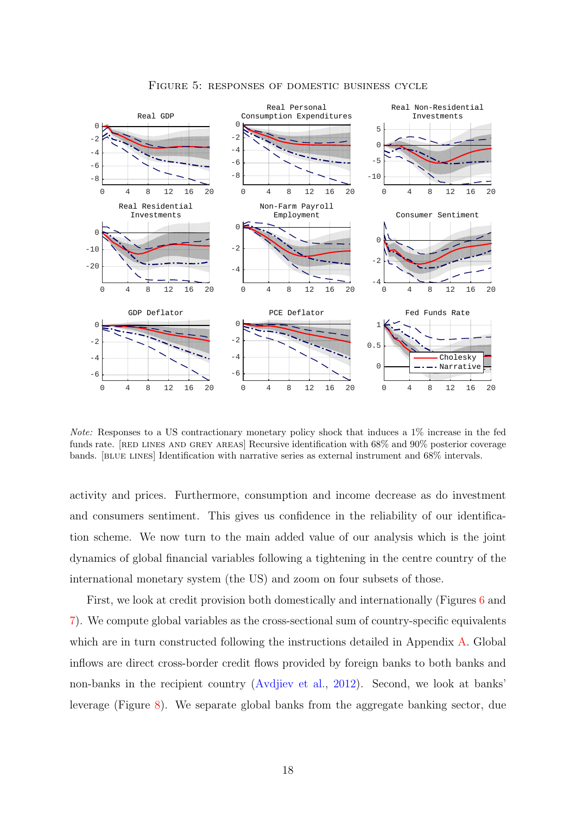<span id="page-18-0"></span>

Figure 5: responses of domestic business cycle

Note: Responses to a US contractionary monetary policy shock that induces a 1% increase in the fed funds rate. [RED LINES AND GREY AREAS] Recursive identification with 68% and 90% posterior coverage bands. [blue lines] Identification with narrative series as external instrument and 68% intervals.

activity and prices. Furthermore, consumption and income decrease as do investment and consumers sentiment. This gives us confidence in the reliability of our identification scheme. We now turn to the main added value of our analysis which is the joint dynamics of global financial variables following a tightening in the centre country of the international monetary system (the US) and zoom on four subsets of those.

First, we look at credit provision both domestically and internationally (Figures [6](#page-19-0) and [7\)](#page-20-0). We compute global variables as the cross-sectional sum of country-specific equivalents which are in turn constructed following the instructions detailed in Appendix [A.](#page-38-0) Global inflows are direct cross-border credit flows provided by foreign banks to both banks and non-banks in the recipient country [\(Avdjiev et al.,](#page-33-11) [2012\)](#page-33-11). Second, we look at banks' leverage (Figure [8\)](#page-21-0). We separate global banks from the aggregate banking sector, due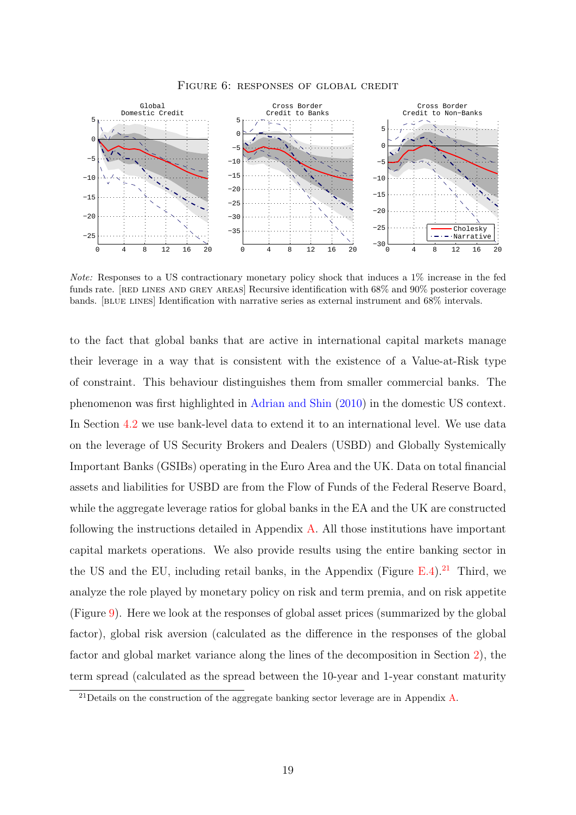<span id="page-19-0"></span>

Figure 6: responses of global credit

Note: Responses to a US contractionary monetary policy shock that induces a 1% increase in the fed funds rate. [RED LINES AND GREY AREAS] Recursive identification with 68% and 90% posterior coverage bands. [blue lines] Identification with narrative series as external instrument and 68% intervals.

to the fact that global banks that are active in international capital markets manage their leverage in a way that is consistent with the existence of a Value-at-Risk type of constraint. This behaviour distinguishes them from smaller commercial banks. The phenomenon was first highlighted in [Adrian and Shin](#page-33-12) [\(2010\)](#page-33-12) in the domestic US context. In Section [4.2](#page-28-0) we use bank-level data to extend it to an international level. We use data on the leverage of US Security Brokers and Dealers (USBD) and Globally Systemically Important Banks (GSIBs) operating in the Euro Area and the UK. Data on total financial assets and liabilities for USBD are from the Flow of Funds of the Federal Reserve Board, while the aggregate leverage ratios for global banks in the EA and the UK are constructed following the instructions detailed in Appendix [A.](#page-38-0) All those institutions have important capital markets operations. We also provide results using the entire banking sector in the US and the EU, including retail banks, in the Appendix (Figure  $E.4$ ).<sup>[21](#page-19-1)</sup> Third, we analyze the role played by monetary policy on risk and term premia, and on risk appetite (Figure [9\)](#page-22-0). Here we look at the responses of global asset prices (summarized by the global factor), global risk aversion (calculated as the difference in the responses of the global factor and global market variance along the lines of the decomposition in Section [2\)](#page-6-0), the term spread (calculated as the spread between the 10-year and 1-year constant maturity

<span id="page-19-1"></span><sup>21</sup>Details on the construction of the aggregate banking sector leverage are in Appendix [A.](#page-38-0)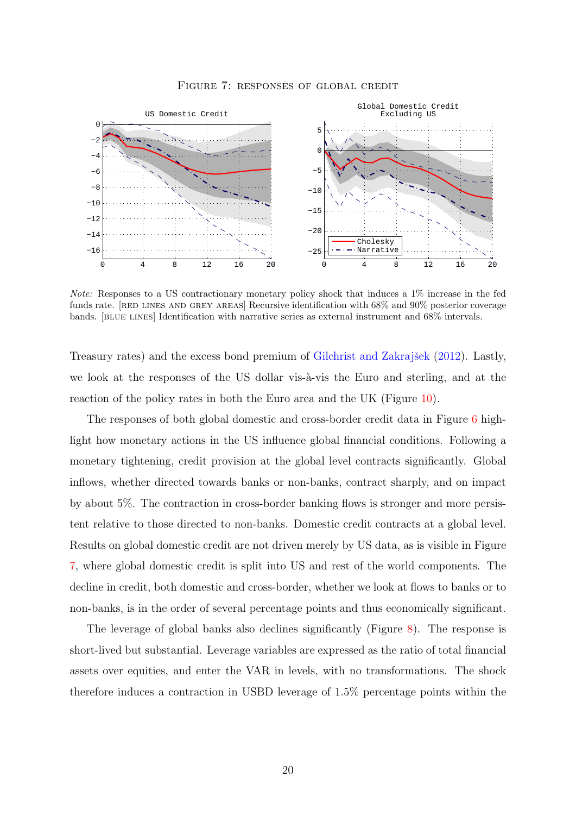<span id="page-20-0"></span>

Figure 7: responses of global credit

Note: Responses to a US contractionary monetary policy shock that induces a 1% increase in the fed funds rate. [RED LINES AND GREY AREAS] Recursive identification with 68% and 90% posterior coverage bands. [blue lines] Identification with narrative series as external instrument and 68% intervals.

Treasury rates) and the excess bond premium of Gilchrist and Zakrajšek [\(2012\)](#page-35-3). Lastly, we look at the responses of the US dollar vis- $\hat{a}$ -vis the Euro and sterling, and at the reaction of the policy rates in both the Euro area and the UK (Figure [10\)](#page-23-0).

The responses of both global domestic and cross-border credit data in Figure [6](#page-19-0) highlight how monetary actions in the US influence global financial conditions. Following a monetary tightening, credit provision at the global level contracts significantly. Global inflows, whether directed towards banks or non-banks, contract sharply, and on impact by about 5%. The contraction in cross-border banking flows is stronger and more persistent relative to those directed to non-banks. Domestic credit contracts at a global level. Results on global domestic credit are not driven merely by US data, as is visible in Figure [7,](#page-20-0) where global domestic credit is split into US and rest of the world components. The decline in credit, both domestic and cross-border, whether we look at flows to banks or to non-banks, is in the order of several percentage points and thus economically significant.

The leverage of global banks also declines significantly (Figure [8\)](#page-21-0). The response is short-lived but substantial. Leverage variables are expressed as the ratio of total financial assets over equities, and enter the VAR in levels, with no transformations. The shock therefore induces a contraction in USBD leverage of 1.5% percentage points within the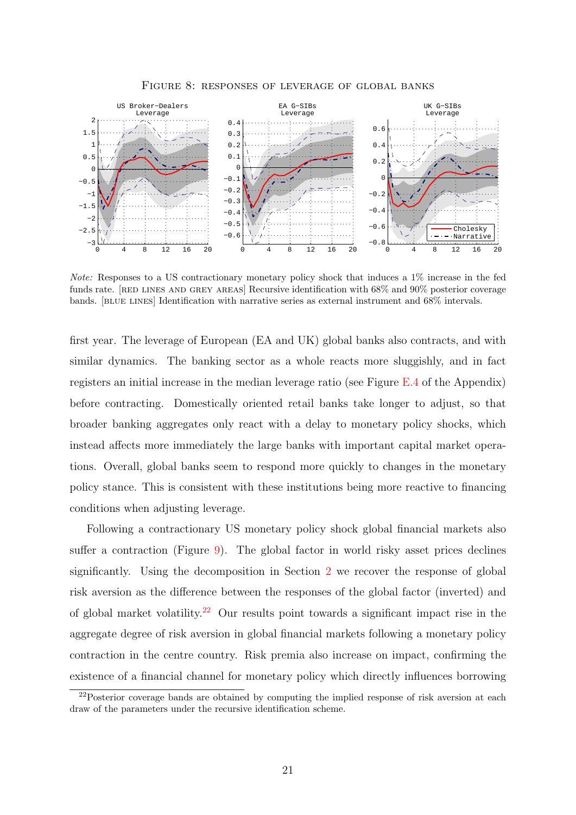<span id="page-21-0"></span>

Figure 8: responses of leverage of global banks

Note: Responses to a US contractionary monetary policy shock that induces a 1% increase in the fed funds rate. [RED LINES AND GREY AREAS] Recursive identification with 68% and 90% posterior coverage bands. [blue lines] Identification with narrative series as external instrument and 68% intervals.

first year. The leverage of European (EA and UK) global banks also contracts, and with similar dynamics. The banking sector as a whole reacts more sluggishly, and in fact registers an initial increase in the median leverage ratio (see Figure [E.4](#page-59-0) of the Appendix) before contracting. Domestically oriented retail banks take longer to adjust, so that broader banking aggregates only react with a delay to monetary policy shocks, which instead affects more immediately the large banks with important capital market operations. Overall, global banks seem to respond more quickly to changes in the monetary policy stance. This is consistent with these institutions being more reactive to financing conditions when adjusting leverage.

Following a contractionary US monetary policy shock global financial markets also suffer a contraction (Figure [9\)](#page-22-0). The global factor in world risky asset prices declines significantly. Using the decomposition in Section [2](#page-6-0) we recover the response of global risk aversion as the difference between the responses of the global factor (inverted) and of global market volatility.<sup>[22](#page-21-1)</sup> Our results point towards a significant impact rise in the aggregate degree of risk aversion in global financial markets following a monetary policy contraction in the centre country. Risk premia also increase on impact, confirming the existence of a financial channel for monetary policy which directly influences borrowing

<span id="page-21-1"></span><sup>&</sup>lt;sup>22</sup>Posterior coverage bands are obtained by computing the implied response of risk aversion at each draw of the parameters under the recursive identification scheme.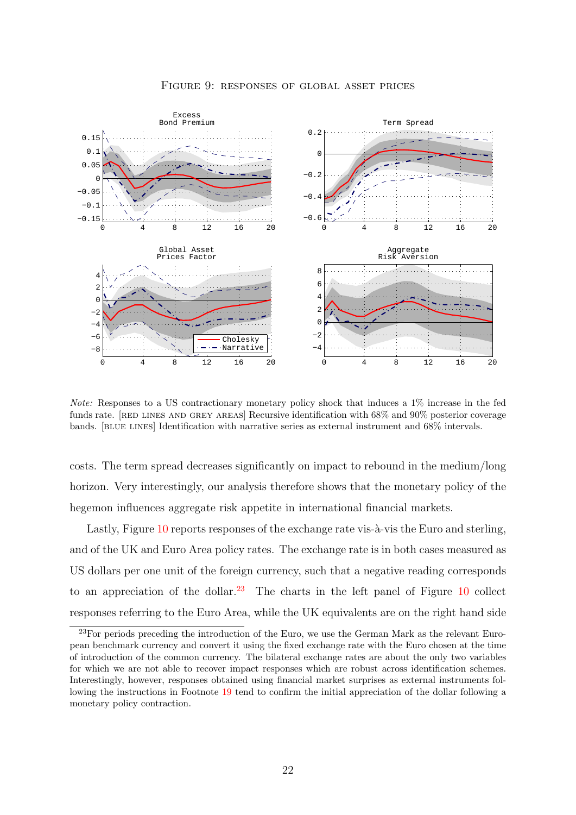<span id="page-22-0"></span>

Figure 9: responses of global asset prices

Note: Responses to a US contractionary monetary policy shock that induces a 1% increase in the fed funds rate. [RED LINES AND GREY AREAS] Recursive identification with 68% and 90% posterior coverage bands. [blue lines] Identification with narrative series as external instrument and 68% intervals.

costs. The term spread decreases significantly on impact to rebound in the medium/long horizon. Very interestingly, our analysis therefore shows that the monetary policy of the hegemon influences aggregate risk appetite in international financial markets.

Lastly, Figure [10](#page-23-0) reports responses of the exchange rate vis- $\alpha$ -vis the Euro and sterling, and of the UK and Euro Area policy rates. The exchange rate is in both cases measured as US dollars per one unit of the foreign currency, such that a negative reading corresponds to an appreciation of the dollar.<sup>[23](#page-22-1)</sup> The charts in the left panel of Figure  $10$  collect responses referring to the Euro Area, while the UK equivalents are on the right hand side

<span id="page-22-1"></span><sup>&</sup>lt;sup>23</sup>For periods preceding the introduction of the Euro, we use the German Mark as the relevant European benchmark currency and convert it using the fixed exchange rate with the Euro chosen at the time of introduction of the common currency. The bilateral exchange rates are about the only two variables for which we are not able to recover impact responses which are robust across identification schemes. Interestingly, however, responses obtained using financial market surprises as external instruments following the instructions in Footnote [19](#page-16-1) tend to confirm the initial appreciation of the dollar following a monetary policy contraction.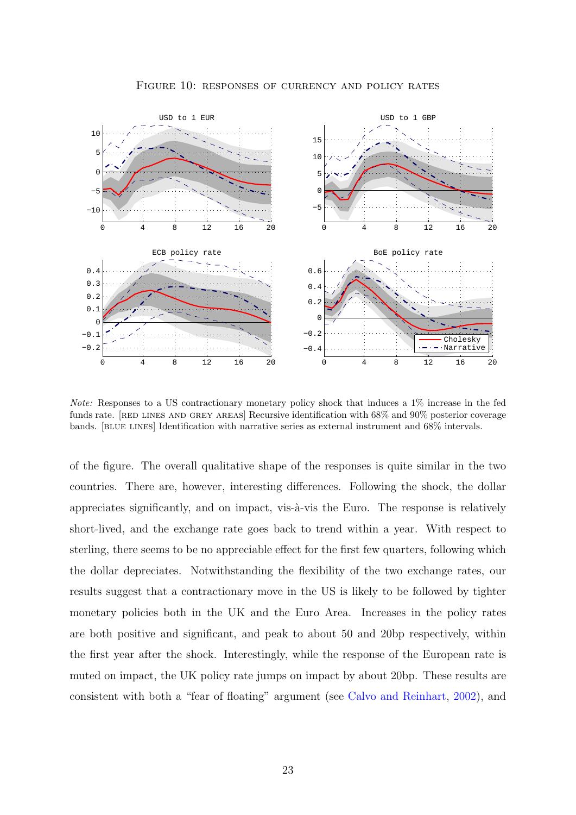<span id="page-23-0"></span>

Figure 10: responses of currency and policy rates

Note: Responses to a US contractionary monetary policy shock that induces a 1% increase in the fed funds rate. [RED LINES AND GREY AREAS] Recursive identification with 68% and 90% posterior coverage bands. [blue lines] Identification with narrative series as external instrument and 68% intervals.

of the figure. The overall qualitative shape of the responses is quite similar in the two countries. There are, however, interesting differences. Following the shock, the dollar appreciates significantly, and on impact, vis- $\grave{a}$ -vis the Euro. The response is relatively short-lived, and the exchange rate goes back to trend within a year. With respect to sterling, there seems to be no appreciable effect for the first few quarters, following which the dollar depreciates. Notwithstanding the flexibility of the two exchange rates, our results suggest that a contractionary move in the US is likely to be followed by tighter monetary policies both in the UK and the Euro Area. Increases in the policy rates are both positive and significant, and peak to about 50 and 20bp respectively, within the first year after the shock. Interestingly, while the response of the European rate is muted on impact, the UK policy rate jumps on impact by about 20bp. These results are consistent with both a "fear of floating" argument (see [Calvo and Reinhart,](#page-33-13) [2002\)](#page-33-13), and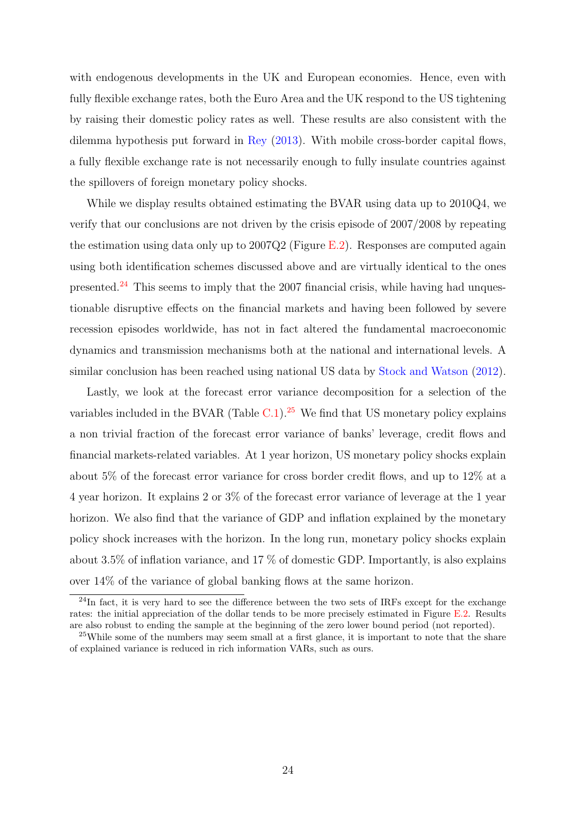with endogenous developments in the UK and European economies. Hence, even with fully flexible exchange rates, both the Euro Area and the UK respond to the US tightening by raising their domestic policy rates as well. These results are also consistent with the dilemma hypothesis put forward in [Rey](#page-36-1) [\(2013\)](#page-36-1). With mobile cross-border capital flows, a fully flexible exchange rate is not necessarily enough to fully insulate countries against the spillovers of foreign monetary policy shocks.

While we display results obtained estimating the BVAR using data up to 2010Q4, we verify that our conclusions are not driven by the crisis episode of 2007/2008 by repeating the estimation using data only up to  $2007Q2$  (Figure [E.2\)](#page-57-0). Responses are computed again using both identification schemes discussed above and are virtually identical to the ones presented.<sup>[24](#page-24-0)</sup> This seems to imply that the 2007 financial crisis, while having had unquestionable disruptive effects on the financial markets and having been followed by severe recession episodes worldwide, has not in fact altered the fundamental macroeconomic dynamics and transmission mechanisms both at the national and international levels. A similar conclusion has been reached using national US data by [Stock and Watson](#page-37-4) [\(2012\)](#page-37-4).

Lastly, we look at the forecast error variance decomposition for a selection of the variables included in the BVAR (Table  $C.1$ ).<sup>[25](#page-24-1)</sup> We find that US monetary policy explains a non trivial fraction of the forecast error variance of banks' leverage, credit flows and financial markets-related variables. At 1 year horizon, US monetary policy shocks explain about 5% of the forecast error variance for cross border credit flows, and up to 12% at a 4 year horizon. It explains 2 or 3% of the forecast error variance of leverage at the 1 year horizon. We also find that the variance of GDP and inflation explained by the monetary policy shock increases with the horizon. In the long run, monetary policy shocks explain about 3.5% of inflation variance, and 17 % of domestic GDP. Importantly, is also explains over 14% of the variance of global banking flows at the same horizon.

<span id="page-24-0"></span> $^{24}$ In fact, it is very hard to see the difference between the two sets of IRFs except for the exchange rates: the initial appreciation of the dollar tends to be more precisely estimated in Figure [E.2.](#page-57-0) Results are also robust to ending the sample at the beginning of the zero lower bound period (not reported).

<span id="page-24-1"></span><sup>&</sup>lt;sup>25</sup>While some of the numbers may seem small at a first glance, it is important to note that the share of explained variance is reduced in rich information VARs, such as ours.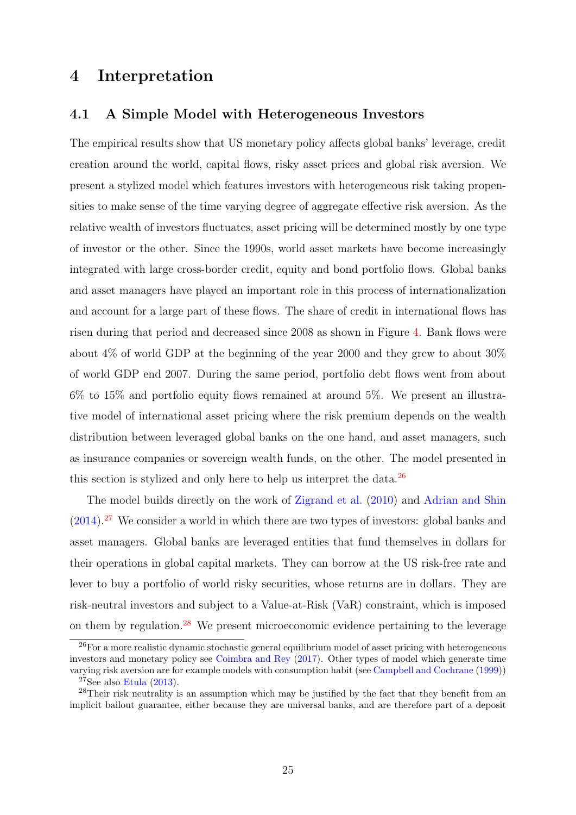# <span id="page-25-0"></span>4 Interpretation

## <span id="page-25-1"></span>4.1 A Simple Model with Heterogeneous Investors

The empirical results show that US monetary policy affects global banks' leverage, credit creation around the world, capital flows, risky asset prices and global risk aversion. We present a stylized model which features investors with heterogeneous risk taking propensities to make sense of the time varying degree of aggregate effective risk aversion. As the relative wealth of investors fluctuates, asset pricing will be determined mostly by one type of investor or the other. Since the 1990s, world asset markets have become increasingly integrated with large cross-border credit, equity and bond portfolio flows. Global banks and asset managers have played an important role in this process of internationalization and account for a large part of these flows. The share of credit in international flows has risen during that period and decreased since 2008 as shown in Figure [4.](#page-10-1) Bank flows were about 4% of world GDP at the beginning of the year 2000 and they grew to about 30% of world GDP end 2007. During the same period, portfolio debt flows went from about 6% to 15% and portfolio equity flows remained at around 5%. We present an illustrative model of international asset pricing where the risk premium depends on the wealth distribution between leveraged global banks on the one hand, and asset managers, such as insurance companies or sovereign wealth funds, on the other. The model presented in this section is stylized and only here to help us interpret the data.<sup>[26](#page-25-2)</sup>

The model builds directly on the work of [Zigrand et al.](#page-37-10) [\(2010\)](#page-37-10) and [Adrian and Shin](#page-33-14)  $(2014).^{27}$  $(2014).^{27}$  $(2014).^{27}$  $(2014).^{27}$  We consider a world in which there are two types of investors: global banks and asset managers. Global banks are leveraged entities that fund themselves in dollars for their operations in global capital markets. They can borrow at the US risk-free rate and lever to buy a portfolio of world risky securities, whose returns are in dollars. They are risk-neutral investors and subject to a Value-at-Risk (VaR) constraint, which is imposed on them by regulation.[28](#page-25-4) We present microeconomic evidence pertaining to the leverage

<span id="page-25-2"></span> $26$ For a more realistic dynamic stochastic general equilibrium model of asset pricing with heterogeneous investors and monetary policy see [Coimbra and Rey](#page-34-1) [\(2017\)](#page-34-1). Other types of model which generate time varying risk aversion are for example models with consumption habit (see [Campbell and Cochrane](#page-34-8) [\(1999\)](#page-34-8))

<span id="page-25-4"></span><span id="page-25-3"></span><sup>&</sup>lt;sup>27</sup>See also [Etula](#page-34-9)  $(2013)$ .

<sup>&</sup>lt;sup>28</sup>Their risk neutrality is an assumption which may be justified by the fact that they benefit from an implicit bailout guarantee, either because they are universal banks, and are therefore part of a deposit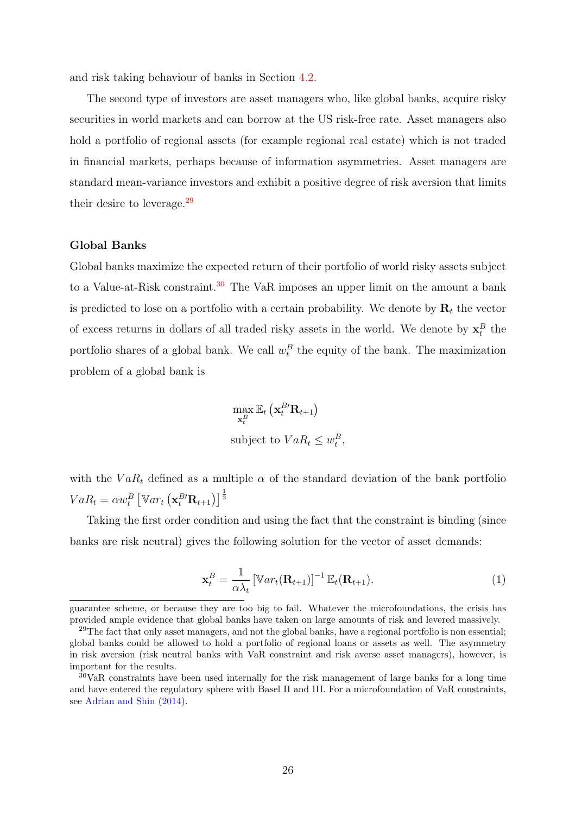and risk taking behaviour of banks in Section [4.2.](#page-28-0)

The second type of investors are asset managers who, like global banks, acquire risky securities in world markets and can borrow at the US risk-free rate. Asset managers also hold a portfolio of regional assets (for example regional real estate) which is not traded in financial markets, perhaps because of information asymmetries. Asset managers are standard mean-variance investors and exhibit a positive degree of risk aversion that limits their desire to leverage.[29](#page-26-0)

#### Global Banks

Global banks maximize the expected return of their portfolio of world risky assets subject to a Value-at-Risk constraint.<sup>[30](#page-26-1)</sup> The VaR imposes an upper limit on the amount a bank is predicted to lose on a portfolio with a certain probability. We denote by  $\mathbf{R}_t$  the vector of excess returns in dollars of all traded risky assets in the world. We denote by  $\mathbf{x}_t^B$  the portfolio shares of a global bank. We call  $w_t^B$  the equity of the bank. The maximization problem of a global bank is

$$
\max_{\mathbf{x}_t^B} \mathbb{E}_t\left(\mathbf{x}_t^{B'}\mathbf{R}_{t+1}\right)
$$
\nsubject to  $VaR_t \leq w_t^B$ ,

with the  $VaR_t$  defined as a multiple  $\alpha$  of the standard deviation of the bank portfolio  $VaR_t = \alpha w_t^B \left[ \mathbb{V}ar_t \left( \mathbf{x}_t^{B \prime} \mathbf{R}_{t+1} \right) \right]^{\frac{1}{2}}$ 

Taking the first order condition and using the fact that the constraint is binding (since banks are risk neutral) gives the following solution for the vector of asset demands:

<span id="page-26-2"></span>
$$
\mathbf{x}_t^B = \frac{1}{\alpha \lambda_t} \left[ \mathbb{V}ar_t(\mathbf{R}_{t+1}) \right]^{-1} \mathbb{E}_t(\mathbf{R}_{t+1}). \tag{1}
$$

guarantee scheme, or because they are too big to fail. Whatever the microfoundations, the crisis has provided ample evidence that global banks have taken on large amounts of risk and levered massively.

<span id="page-26-0"></span><sup>&</sup>lt;sup>29</sup>The fact that only asset managers, and not the global banks, have a regional portfolio is non essential; global banks could be allowed to hold a portfolio of regional loans or assets as well. The asymmetry in risk aversion (risk neutral banks with VaR constraint and risk averse asset managers), however, is important for the results.

<span id="page-26-1"></span><sup>30</sup>VaR constraints have been used internally for the risk management of large banks for a long time and have entered the regulatory sphere with Basel II and III. For a microfoundation of VaR constraints, see [Adrian and Shin](#page-33-14) [\(2014\)](#page-33-14).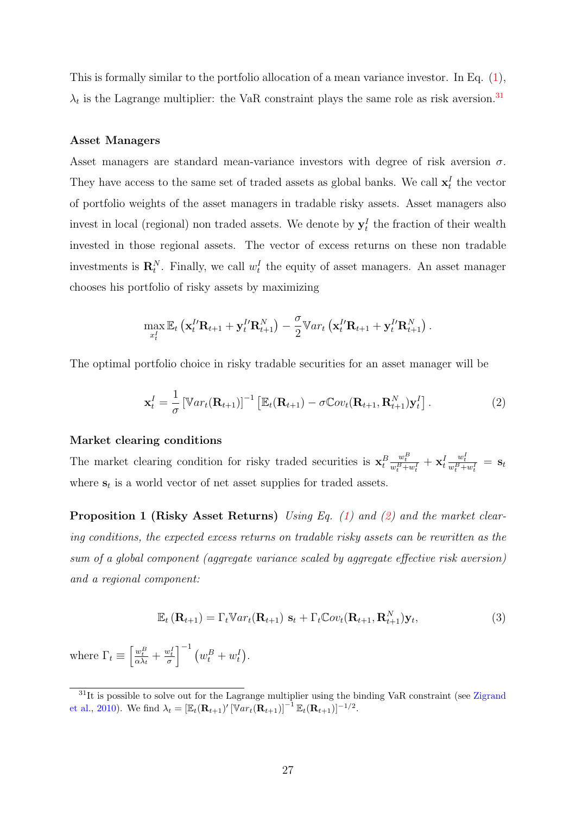This is formally similar to the portfolio allocation of a mean variance investor. In Eq. [\(1\)](#page-26-2),  $\lambda_t$  is the Lagrange multiplier: the VaR constraint plays the same role as risk aversion.<sup>[31](#page-27-0)</sup>

#### Asset Managers

Asset managers are standard mean-variance investors with degree of risk aversion  $\sigma$ . They have access to the same set of traded assets as global banks. We call  $\mathbf{x}_t^I$  the vector of portfolio weights of the asset managers in tradable risky assets. Asset managers also invest in local (regional) non traded assets. We denote by  $y_t^I$  the fraction of their wealth invested in those regional assets. The vector of excess returns on these non tradable investments is  $\mathbf{R}_t^N$ . Finally, we call  $w_t^I$  the equity of asset managers. An asset manager chooses his portfolio of risky assets by maximizing

$$
\max_{x_t^I} \mathbb{E}_t \left( \mathbf{x}_t^{I\prime} \mathbf{R}_{t+1} + \mathbf{y}_t^{I\prime} \mathbf{R}_{t+1}^N \right) - \frac{\sigma}{2} \mathbb{V}ar_t \left( \mathbf{x}_t^{I\prime} \mathbf{R}_{t+1} + \mathbf{y}_t^{I\prime} \mathbf{R}_{t+1}^N \right).
$$

The optimal portfolio choice in risky tradable securities for an asset manager will be

<span id="page-27-1"></span>
$$
\mathbf{x}_t^I = \frac{1}{\sigma} \left[ \mathbb{V}ar_t(\mathbf{R}_{t+1}) \right]^{-1} \left[ \mathbb{E}_t(\mathbf{R}_{t+1}) - \sigma \mathbb{C}ov_t(\mathbf{R}_{t+1}, \mathbf{R}_{t+1}^N) \mathbf{y}_t^I \right]. \tag{2}
$$

#### Market clearing conditions

The market clearing condition for risky traded securities is  $\mathbf{x}_t^B$  $\frac{w_t^B}{w_t^B+w_t^I}+\mathbf{x}_t^I$  $\frac{w_t^I}{w_t^B+w_t^I}\ =\ \mathbf{S}_t$ where  $s_t$  is a world vector of net asset supplies for traded assets.

**Proposition 1 (Risky Asset Returns)** Using Eq. [\(1\)](#page-26-2) and [\(2\)](#page-27-1) and the market clearing conditions, the expected excess returns on tradable risky assets can be rewritten as the sum of a global component (aggregate variance scaled by aggregate effective risk aversion) and a regional component:

<span id="page-27-2"></span>
$$
\mathbb{E}_t\left(\mathbf{R}_{t+1}\right) = \Gamma_t \mathbb{V}ar_t(\mathbf{R}_{t+1}) \mathbf{s}_t + \Gamma_t \mathbb{C}ov_t(\mathbf{R}_{t+1}, \mathbf{R}_{t+1}^N)\mathbf{y}_t, \tag{3}
$$

where  $\Gamma_t \equiv \left[\frac{w_t^B}{\alpha \lambda_t} + \frac{w_t^I}{\sigma}\right]^{-1} \left(w_t^B + w_t^I\right).$ 

<span id="page-27-0"></span><sup>&</sup>lt;sup>31</sup>It is possible to solve out for the Lagrange multiplier using the binding VaR constraint (see [Zigrand](#page-37-10) [et al.,](#page-37-10) [2010\)](#page-37-10). We find  $\lambda_t = [\mathbb{E}_t(\mathbf{R}_{t+1})' [\mathbb{V}ar_t(\mathbf{R}_{t+1})]^{-1} \mathbb{E}_t(\mathbf{R}_{t+1})]^{-1/2}$ .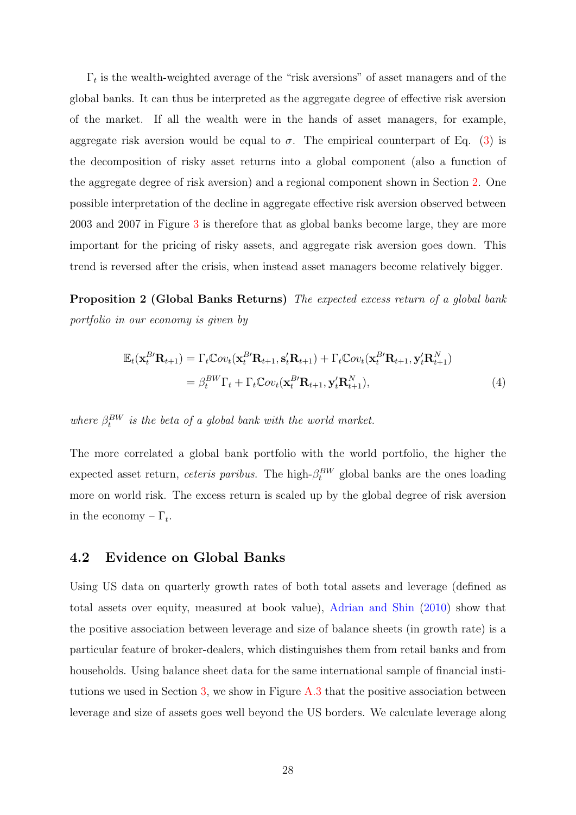$\Gamma_t$  is the wealth-weighted average of the "risk aversions" of asset managers and of the global banks. It can thus be interpreted as the aggregate degree of effective risk aversion of the market. If all the wealth were in the hands of asset managers, for example, aggregate risk aversion would be equal to  $\sigma$ . The empirical counterpart of Eq. [\(3\)](#page-27-2) is the decomposition of risky asset returns into a global component (also a function of the aggregate degree of risk aversion) and a regional component shown in Section [2.](#page-6-0) One possible interpretation of the decline in aggregate effective risk aversion observed between 2003 and 2007 in Figure [3](#page-9-1) is therefore that as global banks become large, they are more important for the pricing of risky assets, and aggregate risk aversion goes down. This trend is reversed after the crisis, when instead asset managers become relatively bigger.

Proposition 2 (Global Banks Returns) The expected excess return of a global bank portfolio in our economy is given by

<span id="page-28-1"></span>
$$
\mathbb{E}_{t}(\mathbf{x}_{t}^{B\prime}\mathbf{R}_{t+1}) = \Gamma_{t}\mathbb{C}ov_{t}(\mathbf{x}_{t}^{B\prime}\mathbf{R}_{t+1}, \mathbf{s}_{t}^{\prime}\mathbf{R}_{t+1}) + \Gamma_{t}\mathbb{C}ov_{t}(\mathbf{x}_{t}^{B\prime}\mathbf{R}_{t+1}, \mathbf{y}_{t}^{\prime}\mathbf{R}_{t+1}^{N})
$$
\n
$$
= \beta_{t}^{BW}\Gamma_{t} + \Gamma_{t}\mathbb{C}ov_{t}(\mathbf{x}_{t}^{B\prime}\mathbf{R}_{t+1}, \mathbf{y}_{t}^{\prime}\mathbf{R}_{t+1}^{N}), \tag{4}
$$

where  $\beta_t^{BW}$  is the beta of a global bank with the world market.

The more correlated a global bank portfolio with the world portfolio, the higher the expected asset return, *ceteris paribus*. The high- $\beta_t^{BW}$  global banks are the ones loading more on world risk. The excess return is scaled up by the global degree of risk aversion in the economy  $-\Gamma_t$ .

## <span id="page-28-0"></span>4.2 Evidence on Global Banks

Using US data on quarterly growth rates of both total assets and leverage (defined as total assets over equity, measured at book value), [Adrian and Shin](#page-33-12) [\(2010\)](#page-33-12) show that the positive association between leverage and size of balance sheets (in growth rate) is a particular feature of broker-dealers, which distinguishes them from retail banks and from households. Using balance sheet data for the same international sample of financial institutions we used in Section [3,](#page-10-0) we show in Figure [A.3](#page-46-0) that the positive association between leverage and size of assets goes well beyond the US borders. We calculate leverage along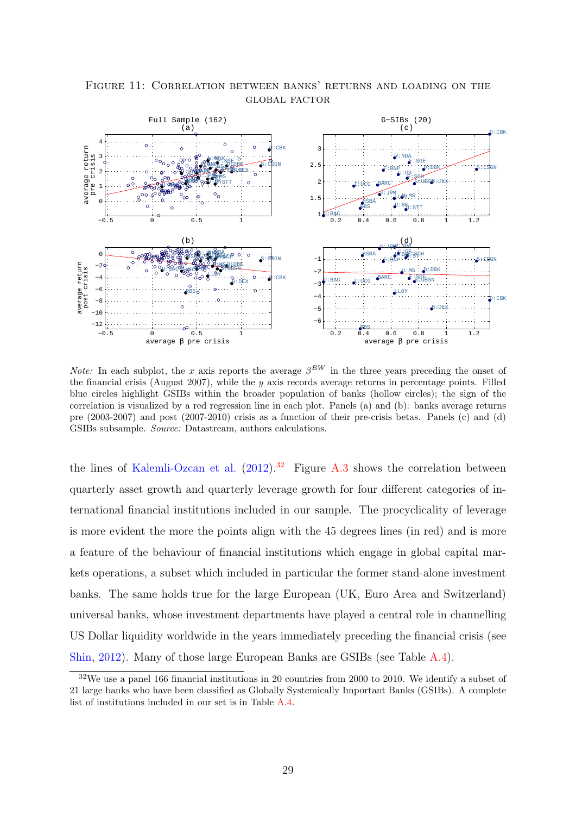

<span id="page-29-1"></span>Figure 11: Correlation between banks' returns and loading on the global factor

*Note:* In each subplot, the x axis reports the average  $\beta^{BW}$  in the three years preceding the onset of the financial crisis (August 2007), while the  $y$  axis records average returns in percentage points. Filled blue circles highlight GSIBs within the broader population of banks (hollow circles); the sign of the correlation is visualized by a red regression line in each plot. Panels (a) and (b): banks average returns pre (2003-2007) and post (2007-2010) crisis as a function of their pre-crisis betas. Panels (c) and (d) GSIBs subsample. Source: Datastream, authors calculations.

the lines of [Kalemli-Ozcan et al.](#page-35-7)  $(2012).^{32}$  $(2012).^{32}$  $(2012).^{32}$  $(2012).^{32}$  Figure [A.3](#page-46-0) shows the correlation between quarterly asset growth and quarterly leverage growth for four different categories of international financial institutions included in our sample. The procyclicality of leverage is more evident the more the points align with the 45 degrees lines (in red) and is more a feature of the behaviour of financial institutions which engage in global capital markets operations, a subset which included in particular the former stand-alone investment banks. The same holds true for the large European (UK, Euro Area and Switzerland) universal banks, whose investment departments have played a central role in channelling US Dollar liquidity worldwide in the years immediately preceding the financial crisis (see [Shin,](#page-37-7) [2012\)](#page-37-7). Many of those large European Banks are GSIBs (see Table [A.4\)](#page-42-0).

<span id="page-29-0"></span> $32\text{We}$  use a panel 166 financial institutions in 20 countries from 2000 to 2010. We identify a subset of 21 large banks who have been classified as Globally Systemically Important Banks (GSIBs). A complete list of institutions included in our set is in Table [A.4.](#page-42-0)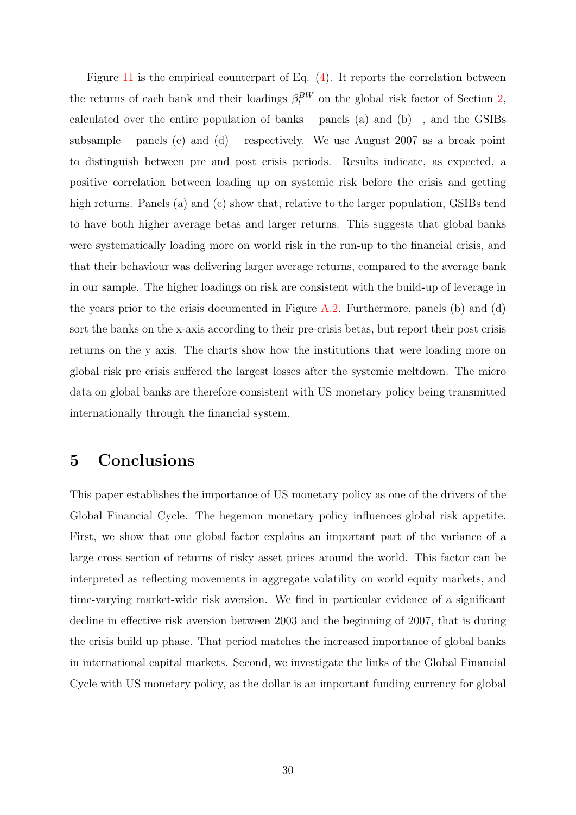Figure [11](#page-29-1) is the empirical counterpart of Eq. [\(4\)](#page-28-1). It reports the correlation between the returns of each bank and their loadings  $\beta_t^{BW}$  on the global risk factor of Section [2,](#page-6-0) calculated over the entire population of banks – panels (a) and (b) –, and the GSIBs subsample – panels (c) and (d) – respectively. We use August 2007 as a break point to distinguish between pre and post crisis periods. Results indicate, as expected, a positive correlation between loading up on systemic risk before the crisis and getting high returns. Panels (a) and (c) show that, relative to the larger population, GSIBs tend to have both higher average betas and larger returns. This suggests that global banks were systematically loading more on world risk in the run-up to the financial crisis, and that their behaviour was delivering larger average returns, compared to the average bank in our sample. The higher loadings on risk are consistent with the build-up of leverage in the years prior to the crisis documented in Figure  $A.2$ . Furthermore, panels (b) and (d) sort the banks on the x-axis according to their pre-crisis betas, but report their post crisis returns on the y axis. The charts show how the institutions that were loading more on global risk pre crisis suffered the largest losses after the systemic meltdown. The micro data on global banks are therefore consistent with US monetary policy being transmitted internationally through the financial system.

## <span id="page-30-0"></span>5 Conclusions

This paper establishes the importance of US monetary policy as one of the drivers of the Global Financial Cycle. The hegemon monetary policy influences global risk appetite. First, we show that one global factor explains an important part of the variance of a large cross section of returns of risky asset prices around the world. This factor can be interpreted as reflecting movements in aggregate volatility on world equity markets, and time-varying market-wide risk aversion. We find in particular evidence of a significant decline in effective risk aversion between 2003 and the beginning of 2007, that is during the crisis build up phase. That period matches the increased importance of global banks in international capital markets. Second, we investigate the links of the Global Financial Cycle with US monetary policy, as the dollar is an important funding currency for global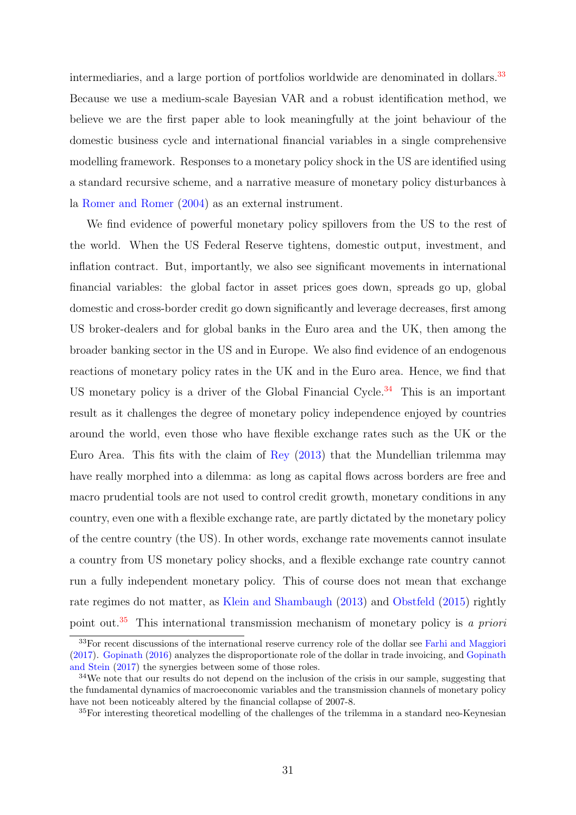intermediaries, and a large portion of portfolios worldwide are denominated in dollars.<sup>[33](#page-31-0)</sup> Because we use a medium-scale Bayesian VAR and a robust identification method, we believe we are the first paper able to look meaningfully at the joint behaviour of the domestic business cycle and international financial variables in a single comprehensive modelling framework. Responses to a monetary policy shock in the US are identified using a standard recursive scheme, and a narrative measure of monetary policy disturbances à la [Romer and Romer](#page-37-3) [\(2004\)](#page-37-3) as an external instrument.

We find evidence of powerful monetary policy spillovers from the US to the rest of the world. When the US Federal Reserve tightens, domestic output, investment, and inflation contract. But, importantly, we also see significant movements in international financial variables: the global factor in asset prices goes down, spreads go up, global domestic and cross-border credit go down significantly and leverage decreases, first among US broker-dealers and for global banks in the Euro area and the UK, then among the broader banking sector in the US and in Europe. We also find evidence of an endogenous reactions of monetary policy rates in the UK and in the Euro area. Hence, we find that US monetary policy is a driver of the Global Financial Cycle.<sup>[34](#page-31-1)</sup> This is an important result as it challenges the degree of monetary policy independence enjoyed by countries around the world, even those who have flexible exchange rates such as the UK or the Euro Area. This fits with the claim of [Rey](#page-36-1) [\(2013\)](#page-36-1) that the Mundellian trilemma may have really morphed into a dilemma: as long as capital flows across borders are free and macro prudential tools are not used to control credit growth, monetary conditions in any country, even one with a flexible exchange rate, are partly dictated by the monetary policy of the centre country (the US). In other words, exchange rate movements cannot insulate a country from US monetary policy shocks, and a flexible exchange rate country cannot run a fully independent monetary policy. This of course does not mean that exchange rate regimes do not matter, as [Klein and Shambaugh](#page-35-13) [\(2013\)](#page-35-13) and [Obstfeld](#page-36-12) [\(2015\)](#page-36-12) rightly point out.<sup>[35](#page-31-2)</sup> This international transmission mechanism of monetary policy is a priori

<span id="page-31-0"></span> $33$ For recent discussions of the international reserve currency role of the dollar see [Farhi and Maggiori](#page-34-0) [\(2017\)](#page-34-0). [Gopinath](#page-35-14) [\(2016\)](#page-35-14) analyzes the disproportionate role of the dollar in trade invoicing, and [Gopinath](#page-35-15) [and Stein](#page-35-15) [\(2017\)](#page-35-15) the synergies between some of those roles.

<span id="page-31-1"></span><sup>&</sup>lt;sup>34</sup>We note that our results do not depend on the inclusion of the crisis in our sample, suggesting that the fundamental dynamics of macroeconomic variables and the transmission channels of monetary policy have not been noticeably altered by the financial collapse of 2007-8.

<span id="page-31-2"></span><sup>35</sup>For interesting theoretical modelling of the challenges of the trilemma in a standard neo-Keynesian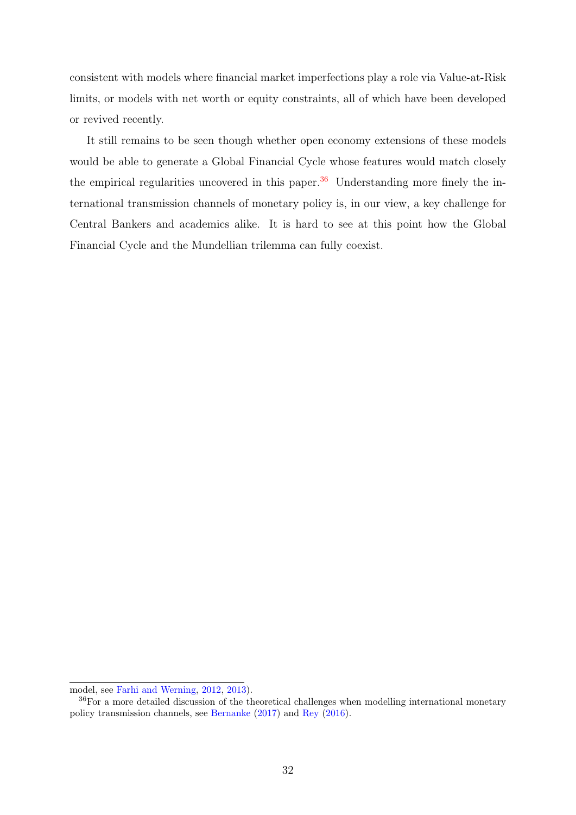consistent with models where financial market imperfections play a role via Value-at-Risk limits, or models with net worth or equity constraints, all of which have been developed or revived recently.

It still remains to be seen though whether open economy extensions of these models would be able to generate a Global Financial Cycle whose features would match closely the empirical regularities uncovered in this paper. $36$  Understanding more finely the international transmission channels of monetary policy is, in our view, a key challenge for Central Bankers and academics alike. It is hard to see at this point how the Global Financial Cycle and the Mundellian trilemma can fully coexist.

model, see [Farhi and Werning,](#page-34-10) [2012,](#page-34-10) [2013\)](#page-34-11).

<span id="page-32-0"></span><sup>36</sup>For a more detailed discussion of the theoretical challenges when modelling international monetary policy transmission channels, see [Bernanke](#page-33-5) [\(2017\)](#page-33-5) and [Rey](#page-37-1) [\(2016\)](#page-37-1).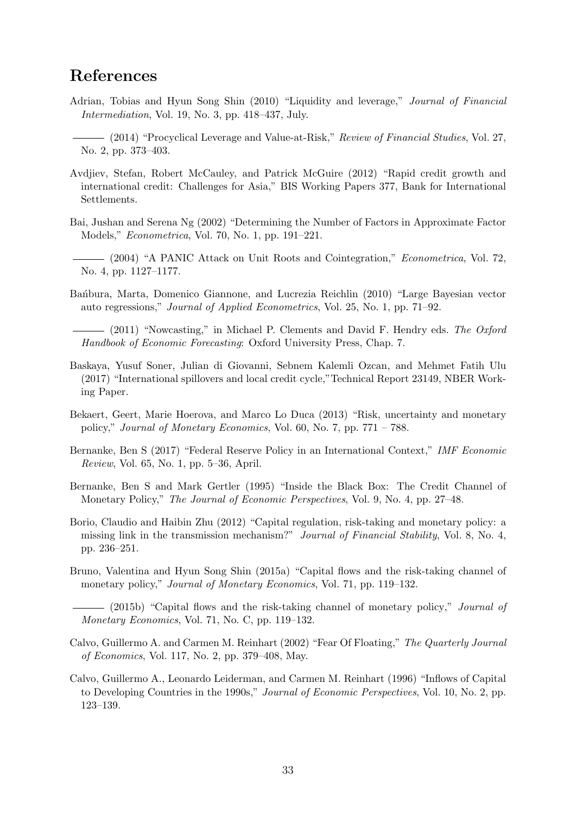# References

- <span id="page-33-12"></span>Adrian, Tobias and Hyun Song Shin (2010) "Liquidity and leverage," Journal of Financial Intermediation, Vol. 19, No. 3, pp. 418–437, July.
- <span id="page-33-14"></span>(2014) "Procyclical Leverage and Value-at-Risk," Review of Financial Studies, Vol. 27, No. 2, pp. 373–403.
- <span id="page-33-11"></span>Avdjiev, Stefan, Robert McCauley, and Patrick McGuire (2012) "Rapid credit growth and international credit: Challenges for Asia," BIS Working Papers 377, Bank for International Settlements.
- <span id="page-33-10"></span>Bai, Jushan and Serena Ng (2002) "Determining the Number of Factors in Approximate Factor Models," Econometrica, Vol. 70, No. 1, pp. 191–221.
- <span id="page-33-9"></span>(2004) "A PANIC Attack on Unit Roots and Cointegration," Econometrica, Vol. 72, No. 4, pp. 1127–1177.
- <span id="page-33-8"></span>Bańbura, Marta, Domenico Giannone, and Lucrezia Reichlin (2010) "Large Bayesian vector auto regressions," Journal of Applied Econometrics, Vol. 25, No. 1, pp. 71–92.

<span id="page-33-15"></span>(2011) "Nowcasting," in Michael P. Clements and David F. Hendry eds. The Oxford Handbook of Economic Forecasting: Oxford University Press, Chap. 7.

- <span id="page-33-4"></span>Baskaya, Yusuf Soner, Julian di Giovanni, Sebnem Kalemli Ozcan, and Mehmet Fatih Ulu (2017) "International spillovers and local credit cycle,"Technical Report 23149, NBER Working Paper.
- <span id="page-33-6"></span>Bekaert, Geert, Marie Hoerova, and Marco Lo Duca (2013) "Risk, uncertainty and monetary policy," Journal of Monetary Economics, Vol. 60, No. 7, pp. 771 – 788.
- <span id="page-33-5"></span>Bernanke, Ben S (2017) "Federal Reserve Policy in an International Context," IMF Economic Review, Vol. 65, No. 1, pp. 5–36, April.
- <span id="page-33-0"></span>Bernanke, Ben S and Mark Gertler (1995) "Inside the Black Box: The Credit Channel of Monetary Policy," The Journal of Economic Perspectives, Vol. 9, No. 4, pp. 27–48.
- <span id="page-33-1"></span>Borio, Claudio and Haibin Zhu (2012) "Capital regulation, risk-taking and monetary policy: a missing link in the transmission mechanism?" Journal of Financial Stability, Vol. 8, No. 4, pp. 236–251.
- <span id="page-33-2"></span>Bruno, Valentina and Hyun Song Shin (2015a) "Capital flows and the risk-taking channel of monetary policy," *Journal of Monetary Economics*, Vol. 71, pp. 119–132.
- <span id="page-33-7"></span> $-$  (2015b) "Capital flows and the risk-taking channel of monetary policy," *Journal of* Monetary Economics, Vol. 71, No. C, pp. 119–132.
- <span id="page-33-13"></span>Calvo, Guillermo A. and Carmen M. Reinhart (2002) "Fear Of Floating," The Quarterly Journal of Economics, Vol. 117, No. 2, pp. 379–408, May.
- <span id="page-33-3"></span>Calvo, Guillermo A., Leonardo Leiderman, and Carmen M. Reinhart (1996) "Inflows of Capital to Developing Countries in the 1990s," Journal of Economic Perspectives, Vol. 10, No. 2, pp. 123–139.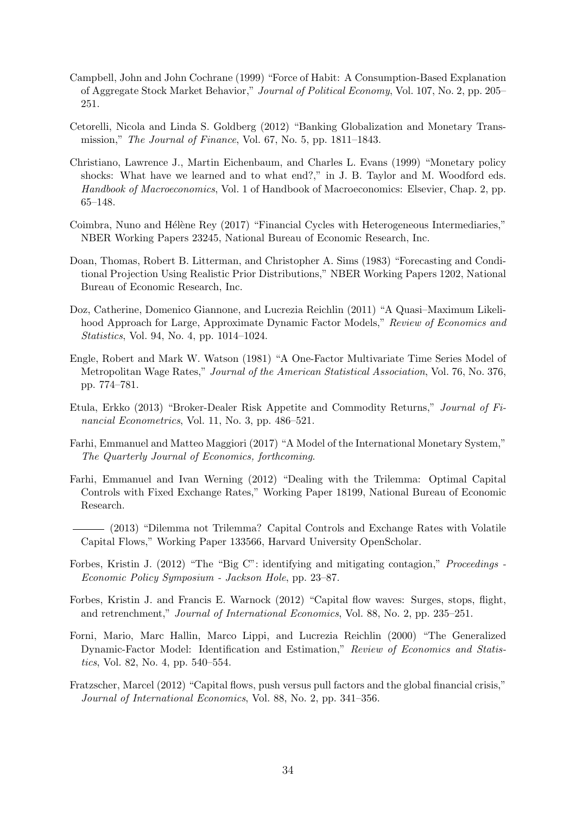- <span id="page-34-8"></span>Campbell, John and John Cochrane (1999) "Force of Habit: A Consumption-Based Explanation of Aggregate Stock Market Behavior," Journal of Political Economy, Vol. 107, No. 2, pp. 205– 251.
- <span id="page-34-2"></span>Cetorelli, Nicola and Linda S. Goldberg (2012) "Banking Globalization and Monetary Transmission," The Journal of Finance, Vol. 67, No. 5, pp. 1811–1843.
- <span id="page-34-5"></span>Christiano, Lawrence J., Martin Eichenbaum, and Charles L. Evans (1999) "Monetary policy shocks: What have we learned and to what end?," in J. B. Taylor and M. Woodford eds. Handbook of Macroeconomics, Vol. 1 of Handbook of Macroeconomics: Elsevier, Chap. 2, pp. 65–148.
- <span id="page-34-1"></span>Coimbra, Nuno and Hélène Rey (2017) "Financial Cycles with Heterogeneous Intermediaries," NBER Working Papers 23245, National Bureau of Economic Research, Inc.
- <span id="page-34-7"></span>Doan, Thomas, Robert B. Litterman, and Christopher A. Sims (1983) "Forecasting and Conditional Projection Using Realistic Prior Distributions," NBER Working Papers 1202, National Bureau of Economic Research, Inc.
- <span id="page-34-13"></span>Doz, Catherine, Domenico Giannone, and Lucrezia Reichlin (2011) "A Quasi–Maximum Likelihood Approach for Large, Approximate Dynamic Factor Models," Review of Economics and Statistics, Vol. 94, No. 4, pp. 1014–1024.
- <span id="page-34-14"></span>Engle, Robert and Mark W. Watson (1981) "A One-Factor Multivariate Time Series Model of Metropolitan Wage Rates," Journal of the American Statistical Association, Vol. 76, No. 376, pp. 774–781.
- <span id="page-34-9"></span>Etula, Erkko (2013) "Broker-Dealer Risk Appetite and Commodity Returns," Journal of Financial Econometrics, Vol. 11, No. 3, pp. 486–521.
- <span id="page-34-0"></span>Farhi, Emmanuel and Matteo Maggiori (2017) "A Model of the International Monetary System," The Quarterly Journal of Economics, forthcoming.
- <span id="page-34-10"></span>Farhi, Emmanuel and Ivan Werning (2012) "Dealing with the Trilemma: Optimal Capital Controls with Fixed Exchange Rates," Working Paper 18199, National Bureau of Economic Research.
- <span id="page-34-11"></span>(2013) "Dilemma not Trilemma? Capital Controls and Exchange Rates with Volatile Capital Flows," Working Paper 133566, Harvard University OpenScholar.
- <span id="page-34-12"></span>Forbes, Kristin J. (2012) "The "Big C": identifying and mitigating contagion," Proceedings - Economic Policy Symposium - Jackson Hole, pp. 23–87.
- <span id="page-34-4"></span>Forbes, Kristin J. and Francis E. Warnock (2012) "Capital flow waves: Surges, stops, flight, and retrenchment," Journal of International Economics, Vol. 88, No. 2, pp. 235–251.
- <span id="page-34-6"></span>Forni, Mario, Marc Hallin, Marco Lippi, and Lucrezia Reichlin (2000) "The Generalized Dynamic-Factor Model: Identification and Estimation," Review of Economics and Statistics, Vol. 82, No. 4, pp. 540–554.
- <span id="page-34-3"></span>Fratzscher, Marcel (2012) "Capital flows, push versus pull factors and the global financial crisis," Journal of International Economics, Vol. 88, No. 2, pp. 341–356.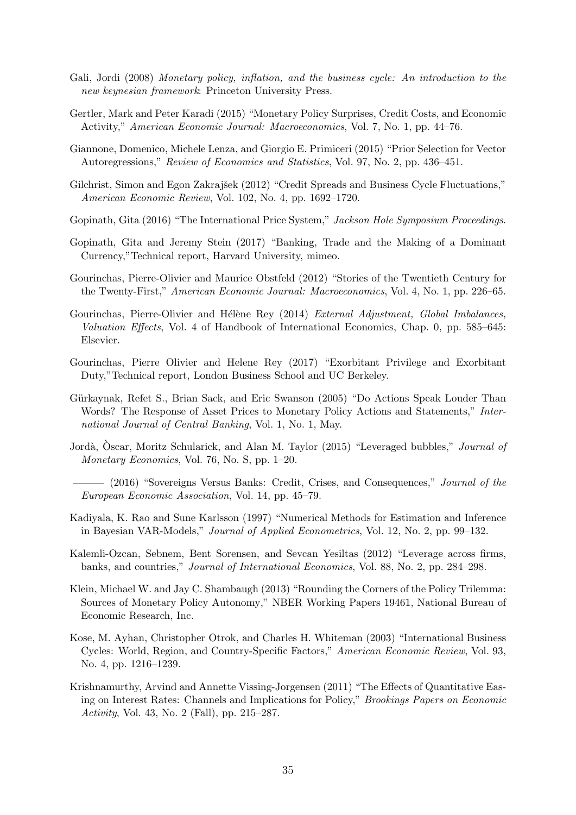- <span id="page-35-1"></span>Gali, Jordi (2008) Monetary policy, inflation, and the business cycle: An introduction to the new keynesian framework: Princeton University Press.
- <span id="page-35-4"></span>Gertler, Mark and Peter Karadi (2015) "Monetary Policy Surprises, Credit Costs, and Economic Activity," American Economic Journal: Macroeconomics, Vol. 7, No. 1, pp. 44–76.
- <span id="page-35-8"></span>Giannone, Domenico, Michele Lenza, and Giorgio E. Primiceri (2015) "Prior Selection for Vector Autoregressions," Review of Economics and Statistics, Vol. 97, No. 2, pp. 436–451.
- <span id="page-35-3"></span>Gilchrist, Simon and Egon Zakrajšek (2012) "Credit Spreads and Business Cycle Fluctuations," American Economic Review, Vol. 102, No. 4, pp. 1692–1720.
- <span id="page-35-14"></span>Gopinath, Gita (2016) "The International Price System," Jackson Hole Symposium Proceedings.
- <span id="page-35-15"></span>Gopinath, Gita and Jeremy Stein (2017) "Banking, Trade and the Making of a Dominant Currency,"Technical report, Harvard University, mimeo.
- <span id="page-35-5"></span>Gourinchas, Pierre-Olivier and Maurice Obstfeld (2012) "Stories of the Twentieth Century for the Twenty-First," American Economic Journal: Macroeconomics, Vol. 4, No. 1, pp. 226–65.
- <span id="page-35-2"></span>Gourinchas, Pierre-Olivier and Hélène Rey (2014) External Adjustment, Global Imbalances, Valuation Effects, Vol. 4 of Handbook of International Economics, Chap. 0, pp. 585–645: Elsevier.
- <span id="page-35-0"></span>Gourinchas, Pierre Olivier and Helene Rey (2017) "Exorbitant Privilege and Exorbitant Duty,"Technical report, London Business School and UC Berkeley.
- <span id="page-35-9"></span>Gürkaynak, Refet S., Brian Sack, and Eric Swanson (2005) "Do Actions Speak Louder Than Words? The Response of Asset Prices to Monetary Policy Actions and Statements," International Journal of Central Banking, Vol. 1, No. 1, May.
- <span id="page-35-10"></span><span id="page-35-6"></span>Jordà, Oscar, Moritz Schularick, and Alan M. Taylor (2015) "Leveraged bubbles," *Journal of* Monetary Economics, Vol. 76, No. S, pp. 1–20.
	- (2016) "Sovereigns Versus Banks: Credit, Crises, and Consequences," *Journal of the* European Economic Association, Vol. 14, pp. 45–79.
- <span id="page-35-16"></span>Kadiyala, K. Rao and Sune Karlsson (1997) "Numerical Methods for Estimation and Inference in Bayesian VAR-Models," Journal of Applied Econometrics, Vol. 12, No. 2, pp. 99–132.
- <span id="page-35-7"></span>Kalemli-Ozcan, Sebnem, Bent Sorensen, and Sevcan Yesiltas (2012) "Leverage across firms, banks, and countries," Journal of International Economics, Vol. 88, No. 2, pp. 284–298.
- <span id="page-35-13"></span>Klein, Michael W. and Jay C. Shambaugh (2013) "Rounding the Corners of the Policy Trilemma: Sources of Monetary Policy Autonomy," NBER Working Papers 19461, National Bureau of Economic Research, Inc.
- <span id="page-35-11"></span>Kose, M. Ayhan, Christopher Otrok, and Charles H. Whiteman (2003) "International Business Cycles: World, Region, and Country-Specific Factors," American Economic Review, Vol. 93, No. 4, pp. 1216–1239.
- <span id="page-35-12"></span>Krishnamurthy, Arvind and Annette Vissing-Jorgensen (2011) "The Effects of Quantitative Easing on Interest Rates: Channels and Implications for Policy," Brookings Papers on Economic Activity, Vol. 43, No. 2 (Fall), pp. 215–287.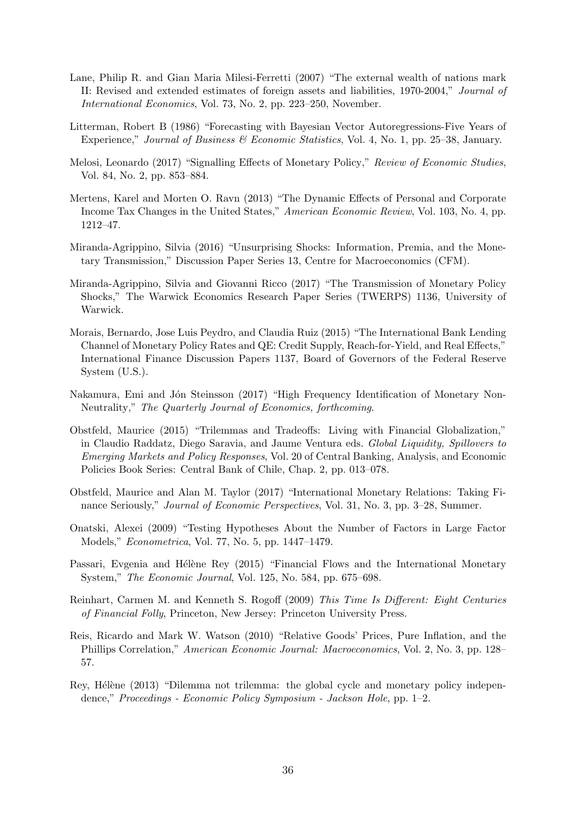- <span id="page-36-0"></span>Lane, Philip R. and Gian Maria Milesi-Ferretti (2007) "The external wealth of nations mark II: Revised and extended estimates of foreign assets and liabilities, 1970-2004," Journal of International Economics, Vol. 73, No. 2, pp. 223–250, November.
- <span id="page-36-7"></span>Litterman, Robert B (1986) "Forecasting with Bayesian Vector Autoregressions-Five Years of Experience," Journal of Business & Economic Statistics, Vol. 4, No. 1, pp. 25–38, January.
- <span id="page-36-11"></span>Melosi, Leonardo (2017) "Signalling Effects of Monetary Policy," Review of Economic Studies, Vol. 84, No. 2, pp. 853–884.
- <span id="page-36-4"></span>Mertens, Karel and Morten O. Ravn (2013) "The Dynamic Effects of Personal and Corporate Income Tax Changes in the United States," American Economic Review, Vol. 103, No. 4, pp. 1212–47.
- <span id="page-36-8"></span>Miranda-Agrippino, Silvia (2016) "Unsurprising Shocks: Information, Premia, and the Monetary Transmission," Discussion Paper Series 13, Centre for Macroeconomics (CFM).
- <span id="page-36-9"></span>Miranda-Agrippino, Silvia and Giovanni Ricco (2017) "The Transmission of Monetary Policy Shocks," The Warwick Economics Research Paper Series (TWERPS) 1136, University of Warwick.
- <span id="page-36-2"></span>Morais, Bernardo, Jose Luis Peydro, and Claudia Ruiz (2015) "The International Bank Lending Channel of Monetary Policy Rates and QE: Credit Supply, Reach-for-Yield, and Real Effects," International Finance Discussion Papers 1137, Board of Governors of the Federal Reserve System (U.S.).
- <span id="page-36-10"></span>Nakamura, Emi and Jón Steinsson (2017) "High Frequency Identification of Monetary Non-Neutrality," The Quarterly Journal of Economics, forthcoming.
- <span id="page-36-12"></span>Obstfeld, Maurice (2015) "Trilemmas and Tradeoffs: Living with Financial Globalization," in Claudio Raddatz, Diego Saravia, and Jaume Ventura eds. Global Liquidity, Spillovers to Emerging Markets and Policy Responses, Vol. 20 of Central Banking, Analysis, and Economic Policies Book Series: Central Bank of Chile, Chap. 2, pp. 013–078.
- <span id="page-36-6"></span>Obstfeld, Maurice and Alan M. Taylor (2017) "International Monetary Relations: Taking Finance Seriously," Journal of Economic Perspectives, Vol. 31, No. 3, pp. 3–28, Summer.
- <span id="page-36-14"></span>Onatski, Alexei (2009) "Testing Hypotheses About the Number of Factors in Large Factor Models," Econometrica, Vol. 77, No. 5, pp. 1447–1479.
- <span id="page-36-3"></span>Passari, Evgenia and Hélène Rey (2015) "Financial Flows and the International Monetary System," The Economic Journal, Vol. 125, No. 584, pp. 675–698.
- <span id="page-36-5"></span>Reinhart, Carmen M. and Kenneth S. Rogoff (2009) This Time Is Different: Eight Centuries of Financial Folly, Princeton, New Jersey: Princeton University Press.
- <span id="page-36-13"></span>Reis, Ricardo and Mark W. Watson (2010) "Relative Goods' Prices, Pure Inflation, and the Phillips Correlation," American Economic Journal: Macroeconomics, Vol. 2, No. 3, pp. 128– 57.
- <span id="page-36-1"></span>Rey, Hélène (2013) "Dilemma not trilemma: the global cycle and monetary policy independence," Proceedings - Economic Policy Symposium - Jackson Hole, pp. 1–2.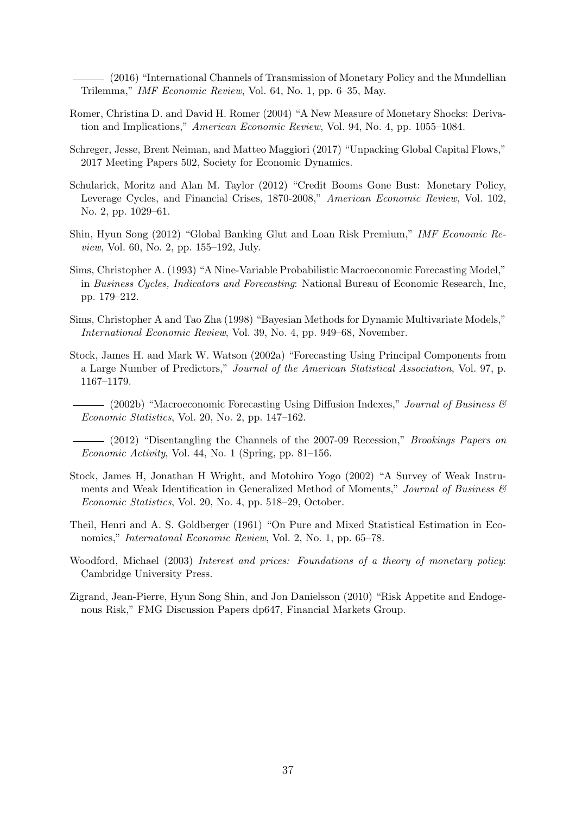<span id="page-37-1"></span>(2016) "International Channels of Transmission of Monetary Policy and the Mundellian Trilemma," IMF Economic Review, Vol. 64, No. 1, pp. 6–35, May.

- <span id="page-37-3"></span>Romer, Christina D. and David H. Romer (2004) "A New Measure of Monetary Shocks: Derivation and Implications," American Economic Review, Vol. 94, No. 4, pp. 1055–1084.
- <span id="page-37-8"></span>Schreger, Jesse, Brent Neiman, and Matteo Maggiori (2017) "Unpacking Global Capital Flows," 2017 Meeting Papers 502, Society for Economic Dynamics.
- <span id="page-37-2"></span>Schularick, Moritz and Alan M. Taylor (2012) "Credit Booms Gone Bust: Monetary Policy, Leverage Cycles, and Financial Crises, 1870-2008," American Economic Review, Vol. 102, No. 2, pp. 1029–61.
- <span id="page-37-7"></span>Shin, Hyun Song (2012) "Global Banking Glut and Loan Risk Premium," IMF Economic Review, Vol. 60, No. 2, pp. 155–192, July.
- <span id="page-37-12"></span>Sims, Christopher A. (1993) "A Nine-Variable Probabilistic Macroeconomic Forecasting Model," in Business Cycles, Indicators and Forecasting: National Bureau of Economic Research, Inc, pp. 179–212.
- <span id="page-37-11"></span>Sims, Christopher A and Tao Zha (1998) "Bayesian Methods for Dynamic Multivariate Models," International Economic Review, Vol. 39, No. 4, pp. 949–68, November.
- <span id="page-37-6"></span><span id="page-37-5"></span>Stock, James H. and Mark W. Watson (2002a) "Forecasting Using Principal Components from a Large Number of Predictors," Journal of the American Statistical Association, Vol. 97, p. 1167–1179.
	- $-$  (2002b) "Macroeconomic Forecasting Using Diffusion Indexes," *Journal of Business*  $\mathscr B$ Economic Statistics, Vol. 20, No. 2, pp. 147–162.

<span id="page-37-4"></span>(2012) "Disentangling the Channels of the 2007-09 Recession," *Brookings Papers on* Economic Activity, Vol. 44, No. 1 (Spring, pp. 81–156.

- <span id="page-37-9"></span>Stock, James H, Jonathan H Wright, and Motohiro Yogo (2002) "A Survey of Weak Instruments and Weak Identification in Generalized Method of Moments," Journal of Business  $\mathcal{C}$ Economic Statistics, Vol. 20, No. 4, pp. 518–29, October.
- <span id="page-37-13"></span>Theil, Henri and A. S. Goldberger (1961) "On Pure and Mixed Statistical Estimation in Economics," Internatonal Economic Review, Vol. 2, No. 1, pp. 65–78.
- <span id="page-37-0"></span>Woodford, Michael (2003) Interest and prices: Foundations of a theory of monetary policy: Cambridge University Press.
- <span id="page-37-10"></span>Zigrand, Jean-Pierre, Hyun Song Shin, and Jon Danielsson (2010) "Risk Appetite and Endogenous Risk," FMG Discussion Papers dp647, Financial Markets Group.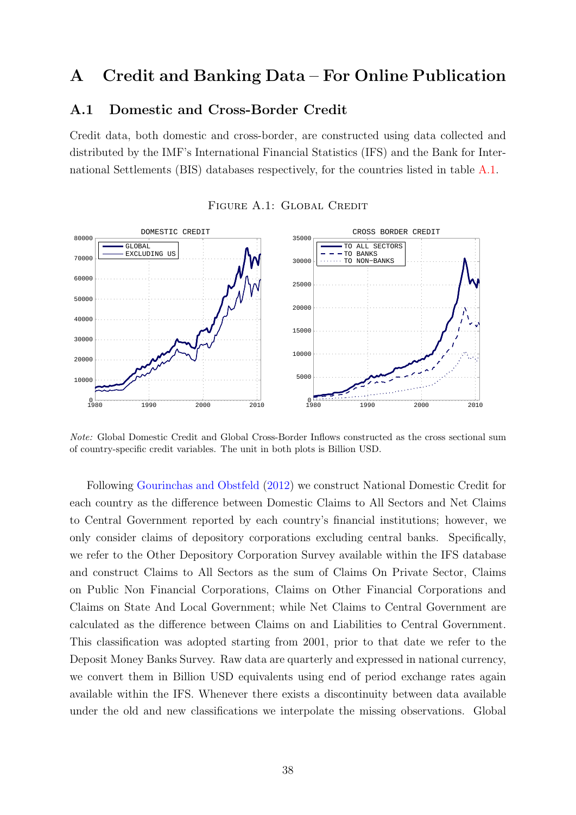# <span id="page-38-0"></span>A Credit and Banking Data – For Online Publication

## A.1 Domestic and Cross-Border Credit

Credit data, both domestic and cross-border, are constructed using data collected and distributed by the IMF's International Financial Statistics (IFS) and the Bank for International Settlements (BIS) databases respectively, for the countries listed in table [A.1.](#page-39-0)

<span id="page-38-1"></span>

#### FIGURE A.1: GLOBAL CREDIT

Note: Global Domestic Credit and Global Cross-Border Inflows constructed as the cross sectional sum of country-specific credit variables. The unit in both plots is Billion USD.

Following [Gourinchas and Obstfeld](#page-35-5) [\(2012\)](#page-35-5) we construct National Domestic Credit for each country as the difference between Domestic Claims to All Sectors and Net Claims to Central Government reported by each country's financial institutions; however, we only consider claims of depository corporations excluding central banks. Specifically, we refer to the Other Depository Corporation Survey available within the IFS database and construct Claims to All Sectors as the sum of Claims On Private Sector, Claims on Public Non Financial Corporations, Claims on Other Financial Corporations and Claims on State And Local Government; while Net Claims to Central Government are calculated as the difference between Claims on and Liabilities to Central Government. This classification was adopted starting from 2001, prior to that date we refer to the Deposit Money Banks Survey. Raw data are quarterly and expressed in national currency, we convert them in Billion USD equivalents using end of period exchange rates again available within the IFS. Whenever there exists a discontinuity between data available under the old and new classifications we interpolate the missing observations. Global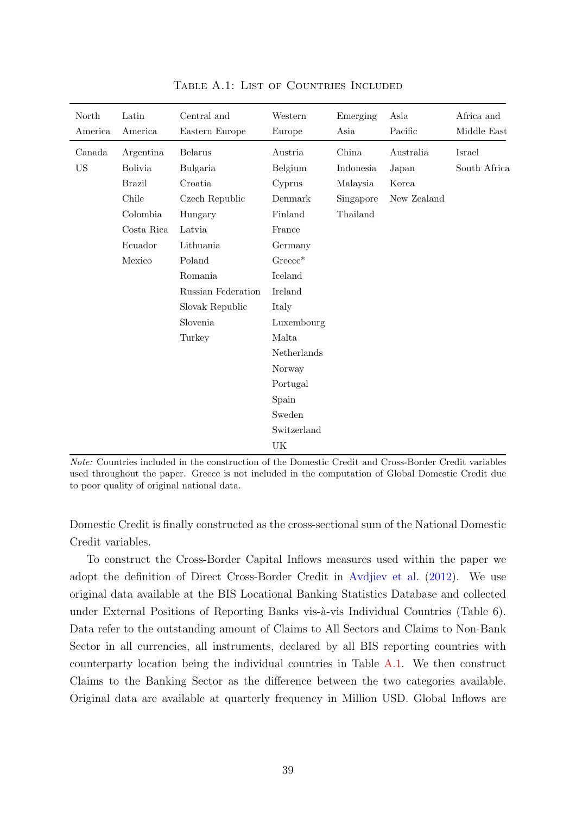<span id="page-39-0"></span>

| North<br>America | Latin<br>America | Central and<br>Eastern Europe | Western<br>Europe | Emerging<br>Asia | Asia<br>Pacific | Africa and<br>Middle East |
|------------------|------------------|-------------------------------|-------------------|------------------|-----------------|---------------------------|
| Canada           | Argentina        | Belarus                       | Austria           | China            | Australia       | Israel                    |
| <b>US</b>        | <b>Bolivia</b>   | Bulgaria                      | Belgium           | Indonesia        | Japan           | South Africa              |
|                  | <b>Brazil</b>    | Croatia                       | Cyprus            | Malaysia         | Korea           |                           |
|                  | Chile            | Czech Republic                | Denmark           | Singapore        | New Zealand     |                           |
|                  | Colombia         | Hungary                       | Finland           | Thailand         |                 |                           |
|                  | Costa Rica       | Latvia                        | France            |                  |                 |                           |
|                  | Ecuador          | Lithuania                     | Germany           |                  |                 |                           |
|                  | Mexico           | Poland                        | $Greeze^*$        |                  |                 |                           |
|                  |                  | Romania                       | Iceland           |                  |                 |                           |
|                  |                  | Russian Federation            | <b>Ireland</b>    |                  |                 |                           |
|                  |                  | Slovak Republic               | Italy             |                  |                 |                           |
|                  |                  | Slovenia                      | Luxembourg        |                  |                 |                           |
|                  |                  | Turkey                        | Malta             |                  |                 |                           |
|                  |                  |                               | Netherlands       |                  |                 |                           |
|                  |                  |                               | Norway            |                  |                 |                           |
|                  |                  |                               | Portugal          |                  |                 |                           |
|                  |                  |                               | Spain             |                  |                 |                           |
|                  |                  |                               | Sweden            |                  |                 |                           |
|                  |                  |                               | Switzerland       |                  |                 |                           |
|                  |                  |                               | UK                |                  |                 |                           |

TABLE A.1: LIST OF COUNTRIES INCLUDED

Note: Countries included in the construction of the Domestic Credit and Cross-Border Credit variables used throughout the paper. Greece is not included in the computation of Global Domestic Credit due to poor quality of original national data.

Domestic Credit is finally constructed as the cross-sectional sum of the National Domestic Credit variables.

To construct the Cross-Border Capital Inflows measures used within the paper we adopt the definition of Direct Cross-Border Credit in [Avdjiev et al.](#page-33-11) [\(2012\)](#page-33-11). We use original data available at the BIS Locational Banking Statistics Database and collected under External Positions of Reporting Banks vis-à-vis Individual Countries (Table 6). Data refer to the outstanding amount of Claims to All Sectors and Claims to Non-Bank Sector in all currencies, all instruments, declared by all BIS reporting countries with counterparty location being the individual countries in Table [A.1.](#page-39-0) We then construct Claims to the Banking Sector as the difference between the two categories available. Original data are available at quarterly frequency in Million USD. Global Inflows are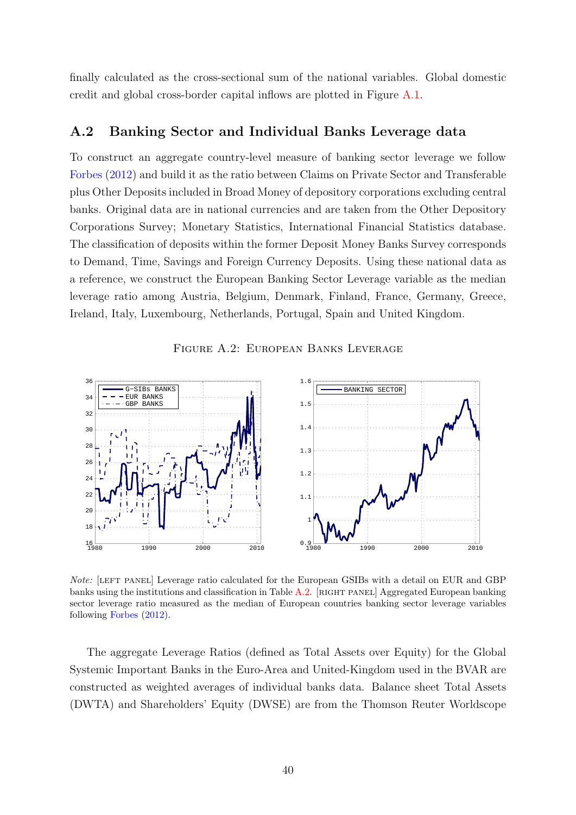finally calculated as the cross-sectional sum of the national variables. Global domestic credit and global cross-border capital inflows are plotted in Figure [A.1.](#page-38-1)

## A.2 Banking Sector and Individual Banks Leverage data

To construct an aggregate country-level measure of banking sector leverage we follow [Forbes](#page-34-12) [\(2012\)](#page-34-12) and build it as the ratio between Claims on Private Sector and Transferable plus Other Deposits included in Broad Money of depository corporations excluding central banks. Original data are in national currencies and are taken from the Other Depository Corporations Survey; Monetary Statistics, International Financial Statistics database. The classification of deposits within the former Deposit Money Banks Survey corresponds to Demand, Time, Savings and Foreign Currency Deposits. Using these national data as a reference, we construct the European Banking Sector Leverage variable as the median leverage ratio among Austria, Belgium, Denmark, Finland, France, Germany, Greece, Ireland, Italy, Luxembourg, Netherlands, Portugal, Spain and United Kingdom.



<span id="page-40-0"></span>

Note: [LEFT PANEL] Leverage ratio calculated for the European GSIBs with a detail on EUR and GBP banks using the institutions and classification in Table [A.2.](#page-41-0) [RIGHT PANEL] Aggregated European banking sector leverage ratio measured as the median of European countries banking sector leverage variables following [Forbes](#page-34-12) [\(2012\)](#page-34-12).

The aggregate Leverage Ratios (defined as Total Assets over Equity) for the Global Systemic Important Banks in the Euro-Area and United-Kingdom used in the BVAR are constructed as weighted averages of individual banks data. Balance sheet Total Assets (DWTA) and Shareholders' Equity (DWSE) are from the Thomson Reuter Worldscope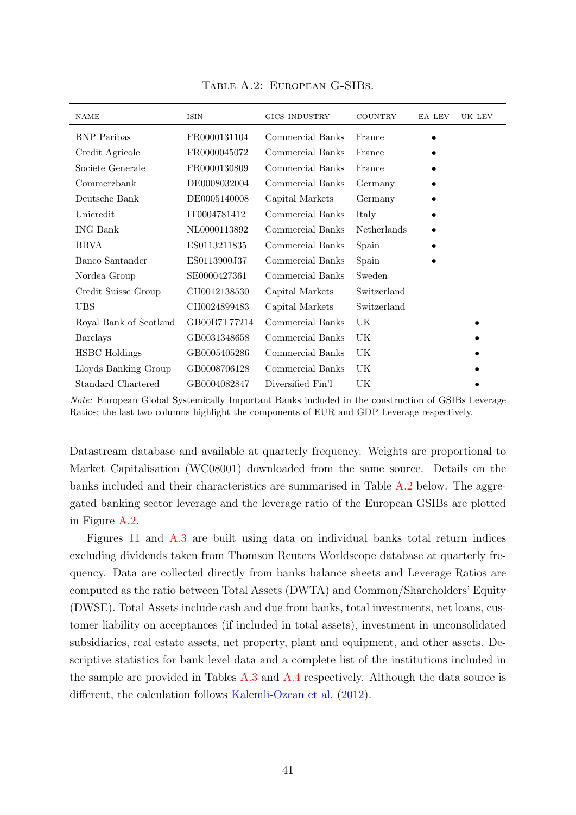<span id="page-41-0"></span>

| <b>NAME</b>            | <b>ISIN</b>  | <b>GICS INDUSTRY</b> | <b>COUNTRY</b> | EA LEV | UK LEV |
|------------------------|--------------|----------------------|----------------|--------|--------|
| <b>BNP</b> Paribas     | FR0000131104 | Commercial Banks     | France         |        |        |
| Credit Agricole        | FR0000045072 | Commercial Banks     | France         |        |        |
| Societe Generale       | FR0000130809 | Commercial Banks     | France         |        |        |
| Commerzbank            | DE0008032004 | Commercial Banks     | Germany        |        |        |
| Deutsche Bank          | DE0005140008 | Capital Markets      | Germany        |        |        |
| Unicredit              | IT0004781412 | Commercial Banks     | Italy          |        |        |
| <b>ING Bank</b>        | NL0000113892 | Commercial Banks     | Netherlands    |        |        |
| <b>BBVA</b>            | ES0113211835 | Commercial Banks     | Spain          |        |        |
| Banco Santander        | ES0113900J37 | Commercial Banks     | Spain          |        |        |
| Nordea Group           | SE0000427361 | Commercial Banks     | Sweden         |        |        |
| Credit Suisse Group    | CH0012138530 | Capital Markets      | Switzerland    |        |        |
| <b>UBS</b>             | CH0024899483 | Capital Markets      | Switzerland    |        |        |
| Royal Bank of Scotland | GB00B7T77214 | Commercial Banks     | UK             |        |        |
| <b>Barclays</b>        | GB0031348658 | Commercial Banks     | UK             |        |        |
| <b>HSBC</b> Holdings   | GB0005405286 | Commercial Banks     | UK             |        |        |
| Lloyds Banking Group   | GB0008706128 | Commercial Banks     | UK             |        |        |
| Standard Chartered     | GB0004082847 | Diversified Fin'l    | UK             |        |        |

Table A.2: European G-SIBs.

Note: European Global Systemically Important Banks included in the construction of GSIBs Leverage Ratios; the last two columns highlight the components of EUR and GDP Leverage respectively.

Datastream database and available at quarterly frequency. Weights are proportional to Market Capitalisation (WC08001) downloaded from the same source. Details on the banks included and their characteristics are summarised in Table [A.2](#page-41-0) below. The aggregated banking sector leverage and the leverage ratio of the European GSIBs are plotted in Figure [A.2.](#page-40-0)

Figures [11](#page-29-1) and [A.3](#page-46-0) are built using data on individual banks total return indices excluding dividends taken from Thomson Reuters Worldscope database at quarterly frequency. Data are collected directly from banks balance sheets and Leverage Ratios are computed as the ratio between Total Assets (DWTA) and Common/Shareholders' Equity (DWSE). Total Assets include cash and due from banks, total investments, net loans, customer liability on acceptances (if included in total assets), investment in unconsolidated subsidiaries, real estate assets, net property, plant and equipment, and other assets. Descriptive statistics for bank level data and a complete list of the institutions included in the sample are provided in Tables [A.3](#page-42-1) and [A.4](#page-42-0) respectively. Although the data source is different, the calculation follows [Kalemli-Ozcan et al.](#page-35-7) [\(2012\)](#page-35-7).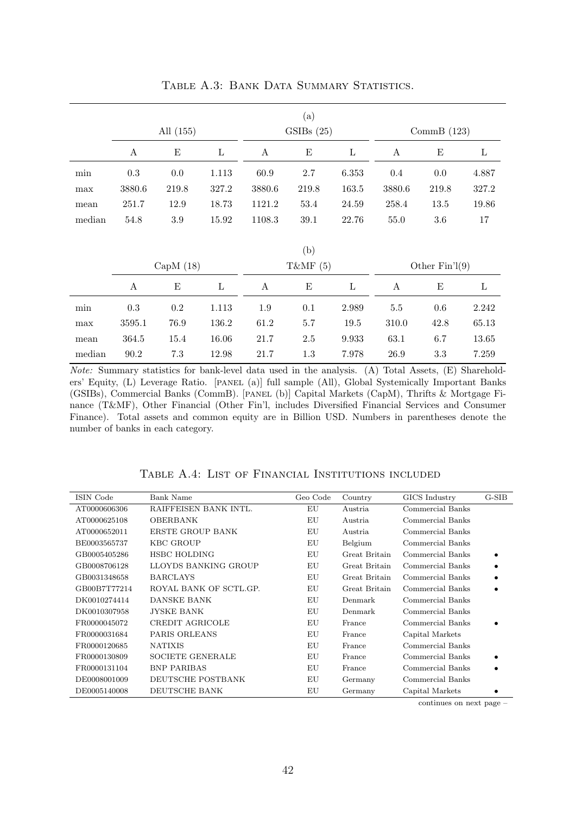<span id="page-42-1"></span>

|        |        | All (155)   |       |                  | (a)<br>GSIBs(25) |              |                  | CommB $(123)$    |         |
|--------|--------|-------------|-------|------------------|------------------|--------------|------------------|------------------|---------|
|        | A      | E           | L     | A                | E                | $\mathbf{L}$ | A                | Ε                | L       |
| min    | 0.3    | $0.0\,$     | 1.113 | 60.9             | $2.7\,$          | 6.353        | 0.4              | 0.0              | 4.887   |
| max    | 3880.6 | 219.8       | 327.2 | 3880.6           | 219.8            | 163.5        | 3880.6           | 219.8            | 327.2   |
| mean   | 251.7  | 12.9        | 18.73 | 1121.2           | 53.4             | 24.59        | 258.4            | 13.5             | 19.86   |
| median | 54.8   | $3.9\,$     | 15.92 | 1108.3           | 39.1             | 22.76        | 55.0             | 3.6              | $17\,$  |
|        |        | CapM $(18)$ |       |                  | (b)<br>T&MF (5)  |              |                  | Other $Fin'1(9)$ |         |
|        | A      | E           | L     | $\boldsymbol{A}$ | $\mathbf E$      | $\mathbf{L}$ | $\boldsymbol{A}$ | $\mathbf E$      | $\rm L$ |
| min    | 0.3    | 0.2         | 1.113 | 1.9              | 0.1              | 2.989        | $5.5\,$          | 0.6              | 2.242   |
| max    | 3595.1 | 76.9        | 136.2 | 61.2             | 5.7              | 19.5         | 310.0            | 42.8             | 65.13   |
| mean   | 364.5  | 15.4        | 16.06 | 21.7             | 2.5              | 9.933        | 63.1             | 6.7              | 13.65   |
| median | 90.2   | 7.3         | 12.98 | 21.7             | 1.3              | 7.978        | 26.9             | 3.3              | 7.259   |

TABLE A.3: BANK DATA SUMMARY STATISTICS.

Note: Summary statistics for bank-level data used in the analysis. (A) Total Assets, (E) Shareholders' Equity, (L) Leverage Ratio. [PANEL (a)] full sample (All), Global Systemically Important Banks (GSIBs), Commercial Banks (CommB). [panel (b)] Capital Markets (CapM), Thrifts & Mortgage Finance (T&MF), Other Financial (Other Fin'l, includes Diversified Financial Services and Consumer Finance). Total assets and common equity are in Billion USD. Numbers in parentheses denote the number of banks in each category.

<span id="page-42-0"></span>

| ISIN Code    | Bank Name               | Geo Code | Country       | GICS Industry    | G-SIB |
|--------------|-------------------------|----------|---------------|------------------|-------|
| AT0000606306 | RAIFFEISEN BANK INTL.   | EU       | Austria       | Commercial Banks |       |
| AT0000625108 | <b>OBERBANK</b>         | EU       | Austria       | Commercial Banks |       |
| AT0000652011 | ERSTE GROUP BANK        | EU       | Austria       | Commercial Banks |       |
| BE0003565737 | <b>KBC GROUP</b>        | EU       | Belgium       | Commercial Banks |       |
| GB0005405286 | <b>HSBC HOLDING</b>     | EU       | Great Britain | Commercial Banks |       |
| GB0008706128 | LLOYDS BANKING GROUP    | EU       | Great Britain | Commercial Banks |       |
| GB0031348658 | <b>BARCLAYS</b>         | EU       | Great Britain | Commercial Banks |       |
| GB00B7T77214 | ROYAL BANK OF SCTL.GP.  | EU       | Great Britain | Commercial Banks |       |
| DK0010274414 | DANSKE BANK             | ΕU       | Denmark       | Commercial Banks |       |
| DK0010307958 | <b>JYSKE BANK</b>       | EU       | Denmark       | Commercial Banks |       |
| FR0000045072 | CREDIT AGRICOLE         | EU       | France        | Commercial Banks |       |
| FR0000031684 | PARIS ORLEANS           | EU       | France        | Capital Markets  |       |
| FR0000120685 | <b>NATIXIS</b>          | EU       | France        | Commercial Banks |       |
| FR0000130809 | <b>SOCIETE GENERALE</b> | EU       | France        | Commercial Banks |       |
| FR0000131104 | <b>BNP PARIBAS</b>      | EU       | France        | Commercial Banks |       |
| DE0008001009 | DEUTSCHE POSTBANK       | EU       | Germany       | Commercial Banks |       |
| DE0005140008 | DEUTSCHE BANK           | EU       | Germany       | Capital Markets  |       |

Table A.4: List of Financial Institutions included

continues on next page –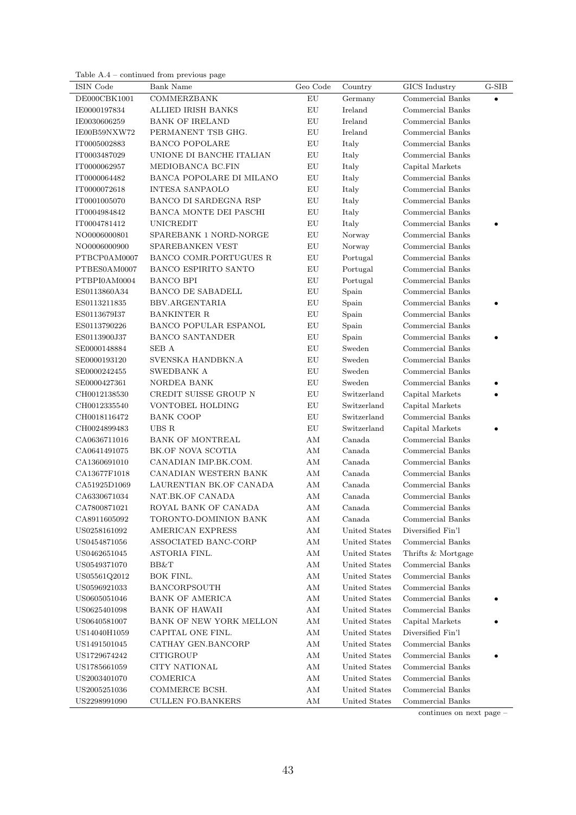Table A.4 – continued from previous page

| ISIN Code    | Bank Name                     | Geo Code      | Country       | GICS Industry      | $\operatorname{G-SIB}$ |
|--------------|-------------------------------|---------------|---------------|--------------------|------------------------|
| DE000CBK1001 | <b>COMMERZBANK</b>            | ${\rm EU}$    | Germany       | Commercial Banks   | $\bullet$              |
| IE0000197834 | <b>ALLIED IRISH BANKS</b>     | ${\rm EU}$    | Ireland       | Commercial Banks   |                        |
| IE0030606259 | <b>BANK OF IRELAND</b>        | ${\rm EU}$    | Ireland       | Commercial Banks   |                        |
| IE00B59NXW72 | PERMANENT TSB GHG.            | EU            | Ireland       | Commercial Banks   |                        |
| IT0005002883 | <b>BANCO POPOLARE</b>         | ${\rm EU}$    | Italy         | Commercial Banks   |                        |
| IT0003487029 | UNIONE DI BANCHE ITALIAN      | ${\rm EU}$    | Italy         | Commercial Banks   |                        |
| IT0000062957 | MEDIOBANCA BC.FIN             | ${\rm EU}$    | Italy         | Capital Markets    |                        |
| IT0000064482 | BANCA POPOLARE DI MILANO      | ${\rm EU}$    | Italy         | Commercial Banks   |                        |
| IT0000072618 | <b>INTESA SANPAOLO</b>        | ${\rm EU}$    | Italy         | Commercial Banks   |                        |
| IT0001005070 | BANCO DI SARDEGNA RSP         | EU            | Italy         | Commercial Banks   |                        |
| IT0004984842 | <b>BANCA MONTE DEI PASCHI</b> | EU            | Italy         | Commercial Banks   |                        |
| IT0004781412 | <b>UNICREDIT</b>              | ${\rm EU}$    | Italy         | Commercial Banks   |                        |
| NO0006000801 | SPAREBANK 1 NORD-NORGE        | ${\rm EU}$    | Norway        | Commercial Banks   |                        |
| NO0006000900 | SPAREBANKEN VEST              | ${\rm EU}$    | Norway        | Commercial Banks   |                        |
| PTBCP0AM0007 | BANCO COMR.PORTUGUES R        | ${\rm EU}$    | Portugal      | Commercial Banks   |                        |
| PTBES0AM0007 | <b>BANCO ESPIRITO SANTO</b>   | ${\rm EU}$    | Portugal      | Commercial Banks   |                        |
| PTBPI0AM0004 | <b>BANCO BPI</b>              | EU            | Portugal      | Commercial Banks   |                        |
| ES0113860A34 | <b>BANCO DE SABADELL</b>      | ${\rm EU}$    | Spain         | Commercial Banks   |                        |
| ES0113211835 | BBV.ARGENTARIA                | ${\rm EU}$    | Spain         | Commercial Banks   |                        |
| ES0113679I37 | <b>BANKINTER R</b>            | ${\rm EU}$    | Spain         | Commercial Banks   |                        |
| ES0113790226 | <b>BANCO POPULAR ESPANOL</b>  | ${\rm EU}$    | Spain         | Commercial Banks   |                        |
| ES0113900J37 | <b>BANCO SANTANDER</b>        | EU            | Spain         | Commercial Banks   |                        |
| SE0000148884 | SEB A                         | EU            | Sweden        | Commercial Banks   |                        |
| SE0000193120 | SVENSKA HANDBKN.A             | EU            | Sweden        | Commercial Banks   |                        |
| SE0000242455 | SWEDBANK A                    | ${\rm EU}$    | Sweden        | Commercial Banks   |                        |
| SE0000427361 | NORDEA BANK                   | ${\rm EU}$    | Sweden        | Commercial Banks   |                        |
| CH0012138530 | CREDIT SUISSE GROUP N         | ${\rm EU}$    | Switzerland   | Capital Markets    |                        |
| CH0012335540 | VONTOBEL HOLDING              | EU            | Switzerland   | Capital Markets    |                        |
| CH0018116472 | <b>BANK COOP</b>              | ${\rm EU}$    | Switzerland   | Commercial Banks   |                        |
| CH0024899483 | UBS R                         | ${\rm EU}$    | Switzerland   | Capital Markets    |                        |
| CA0636711016 | <b>BANK OF MONTREAL</b>       | $\rm AM$      | Canada        | Commercial Banks   |                        |
| CA0641491075 | BK.OF NOVA SCOTIA             | $\rm AM$      | Canada        | Commercial Banks   |                        |
| CA1360691010 | CANADIAN IMP.BK.COM.          | $\mathrm{AM}$ | Canada        | Commercial Banks   |                        |
| CA13677F1018 | CANADIAN WESTERN BANK         | AM            | Canada        | Commercial Banks   |                        |
| CA51925D1069 | LAURENTIAN BK.OF CANADA       | AM            | Canada        | Commercial Banks   |                        |
| CA6330671034 | NAT.BK.OF CANADA              | AM            | Canada        | Commercial Banks   |                        |
| CA7800871021 | ROYAL BANK OF CANADA          | AМ            | Canada        | Commercial Banks   |                        |
| CA8911605092 | TORONTO-DOMINION BANK         | $\rm AM$      | Canada        | Commercial Banks   |                        |
| US0258161092 | AMERICAN EXPRESS              | AM            | United States | Diversified Fin'l  |                        |
| US0454871056 | ASSOCIATED BANC-CORP          | AM            | United States | Commercial Banks   |                        |
| US0462651045 | ASTORIA FINL.                 | AM            | United States | Thrifts & Mortgage |                        |
| US0549371070 | BB&T                          | AM            | United States | Commercial Banks   |                        |
| US05561Q2012 | BOK FINL.                     | AM            | United States | Commercial Banks   |                        |
| US0596921033 | <b>BANCORPSOUTH</b>           | AM            | United States | Commercial Banks   |                        |
| US0605051046 | <b>BANK OF AMERICA</b>        | AM            | United States | Commercial Banks   |                        |
| US0625401098 | <b>BANK OF HAWAII</b>         | AM            | United States | Commercial Banks   |                        |
| US0640581007 | BANK OF NEW YORK MELLON       | ΑM            | United States | Capital Markets    |                        |
| US14040H1059 | CAPITAL ONE FINL.             | AM            | United States | Diversified Fin'l  |                        |
| US1491501045 | CATHAY GEN.BANCORP            | AM            | United States | Commercial Banks   |                        |
| US1729674242 | <b>CITIGROUP</b>              | $\rm AM$      | United States | Commercial Banks   |                        |
| US1785661059 | <b>CITY NATIONAL</b>          | $\mathrm{AM}$ | United States | Commercial Banks   |                        |
| US2003401070 | COMERICA                      | $\rm AM$      | United States | Commercial Banks   |                        |
| US2005251036 | COMMERCE BCSH.                | $\mathrm{AM}$ | United States | Commercial Banks   |                        |
| US2298991090 | <b>CULLEN FO.BANKERS</b>      | $\mathrm{AM}$ | United States | Commercial Banks   |                        |

continues on next page –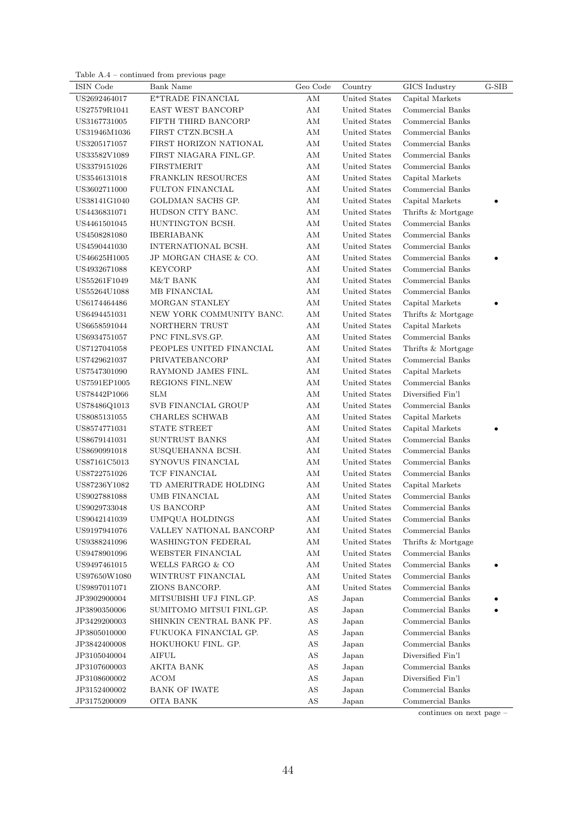|  | Table $A.4$ – continued from previous page |  |
|--|--------------------------------------------|--|
|  |                                            |  |
|  |                                            |  |
|  |                                            |  |
|  |                                            |  |
|  |                                            |  |

| ISIN Code    | Bank Name                | Geo Code               | Country       | GICS Industry      | $G-SIB$ |
|--------------|--------------------------|------------------------|---------------|--------------------|---------|
| US2692464017 | E*TRADE FINANCIAL        | ΑM                     | United States | Capital Markets    |         |
| US27579R1041 | EAST WEST BANCORP        | $\mathrm{AM}$          | United States | Commercial Banks   |         |
| US3167731005 | FIFTH THIRD BANCORP      | AM                     | United States | Commercial Banks   |         |
| US31946M1036 | FIRST CTZN.BCSH.A        | AМ                     | United States | Commercial Banks   |         |
| US3205171057 | FIRST HORIZON NATIONAL   | AM                     | United States | Commercial Banks   |         |
| US33582V1089 | FIRST NIAGARA FINL.GP.   | AM                     | United States | Commercial Banks   |         |
| US3379151026 | <b>FIRSTMERIT</b>        | AM                     | United States | Commercial Banks   |         |
| US3546131018 | FRANKLIN RESOURCES       | $\mathrm{AM}$          | United States | Capital Markets    |         |
| US3602711000 | <b>FULTON FINANCIAL</b>  | $\mathrm{AM}$          | United States | Commercial Banks   |         |
| US38141G1040 | GOLDMAN SACHS GP.        | $\mathrm{AM}$          | United States | Capital Markets    |         |
| US4436831071 | HUDSON CITY BANC.        | AM                     | United States | Thrifts & Mortgage |         |
| US4461501045 | HUNTINGTON BCSH.         | AM                     | United States | Commercial Banks   |         |
| US4508281080 | <b>IBERIABANK</b>        | AM                     | United States | Commercial Banks   |         |
| US4590441030 | INTERNATIONAL BCSH.      | AM                     | United States | Commercial Banks   |         |
| US46625H1005 | JP MORGAN CHASE & CO.    | AM                     | United States | Commercial Banks   |         |
| US4932671088 | <b>KEYCORP</b>           | AM                     | United States | Commercial Banks   |         |
| US55261F1049 | M&T BANK                 | AМ                     | United States | Commercial Banks   |         |
| US55264U1088 | MB FINANCIAL             | ΑM                     | United States | Commercial Banks   |         |
| US6174464486 | MORGAN STANLEY           | ΑM                     | United States | Capital Markets    |         |
| US6494451031 | NEW YORK COMMUNITY BANC. | AM                     | United States | Thrifts & Mortgage |         |
| US6658591044 | NORTHERN TRUST           | ΑM                     | United States | Capital Markets    |         |
| US6934751057 | PNC FINL.SVS.GP.         | AМ                     | United States | Commercial Banks   |         |
| US7127041058 | PEOPLES UNITED FINANCIAL | AM                     | United States | Thrifts & Mortgage |         |
| US7429621037 | PRIVATEBANCORP           | AM                     | United States | Commercial Banks   |         |
| US7547301090 | RAYMOND JAMES FINL.      | ΑM                     | United States | Capital Markets    |         |
| US7591EP1005 | REGIONS FINL.NEW         | AM                     | United States | Commercial Banks   |         |
| US78442P1066 | <b>SLM</b>               | $\mathrm{AM}$          | United States | Diversified Fin'l  |         |
| US78486Q1013 | SVB FINANCIAL GROUP      | $\mathrm{AM}$          | United States | Commercial Banks   |         |
| US8085131055 | <b>CHARLES SCHWAB</b>    | AM                     | United States | Capital Markets    |         |
| US8574771031 | STATE STREET             | AM                     | United States | Capital Markets    |         |
| US8679141031 | SUNTRUST BANKS           | AM                     | United States | Commercial Banks   |         |
| US8690991018 | SUSQUEHANNA BCSH.        | AM                     | United States | Commercial Banks   |         |
| US87161C5013 | SYNOVUS FINANCIAL        | AM                     | United States | Commercial Banks   |         |
| US8722751026 | TCF FINANCIAL            | AM                     | United States | Commercial Banks   |         |
| US87236Y1082 | TD AMERITRADE HOLDING    | AM                     | United States | Capital Markets    |         |
| US9027881088 | <b>UMB FINANCIAL</b>     | AM                     | United States | Commercial Banks   |         |
| US9029733048 | US BANCORP               | ΑM                     | United States | Commercial Banks   |         |
| US9042141039 | UMPQUA HOLDINGS          | AM                     | United States | Commercial Banks   |         |
| US9197941076 | VALLEY NATIONAL BANCORP  | $\mathrm{AM}$          | United States | Commercial Banks   |         |
| US9388241096 | WASHINGTON FEDERAL       | AM                     | United States | Thrifts & Mortgage |         |
| US9478901096 | WEBSTER FINANCIAL        | AM                     | United States | Commercial Banks   |         |
| US9497461015 | WELLS FARGO & CO         | AM                     | United States | Commercial Banks   |         |
| US97650W1080 | WINTRUST FINANCIAL       | AM                     | United States | Commercial Banks   |         |
| US9897011071 | ZIONS BANCORP.           | AM                     | United States | Commercial Banks   |         |
| JP3902900004 | MITSUBISHI UFJ FINL.GP.  | AS                     | Japan         | Commercial Banks   |         |
| JP3890350006 | SUMITOMO MITSUI FINL.GP. | AS                     | Japan         | Commercial Banks   |         |
| JP3429200003 | SHINKIN CENTRAL BANK PF. | $\mathbf{A}\mathbf{S}$ | Japan         | Commercial Banks   |         |
| JP3805010000 | FUKUOKA FINANCIAL GP.    | $\mathbf{A}\mathbf{S}$ | Japan         | Commercial Banks   |         |
| JP3842400008 | HOKUHOKU FINL. GP.       | $\mathbf{A}\mathbf{S}$ | Japan         | Commercial Banks   |         |
| JP3105040004 | <b>AIFUL</b>             | $\mathbf{A}\mathbf{S}$ | Japan         | Diversified Fin'l  |         |
| JP3107600003 | AKITA BANK               | $\mathbf{A}\mathbf{S}$ | Japan         | Commercial Banks   |         |
| JP3108600002 | <b>ACOM</b>              | $\mathbf{A}\mathbf{S}$ | Japan         | Diversified Fin'l  |         |
| JP3152400002 | <b>BANK OF IWATE</b>     | $\mathbf{A}\mathbf{S}$ | Japan         | Commercial Banks   |         |
| JP3175200009 | <b>OITA BANK</b>         | $\mathbf{A}\mathbf{S}$ | Japan         | Commercial Banks   |         |

continues on next page –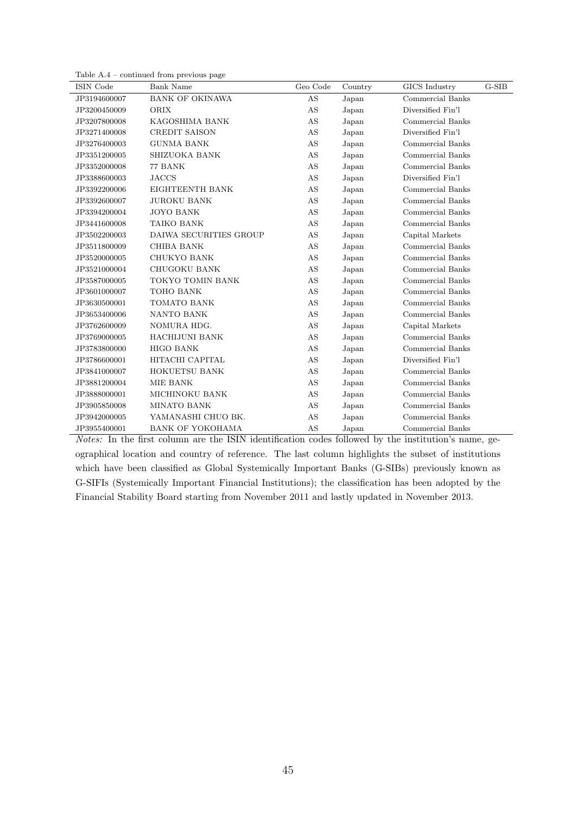| Table $A.4$ – continued from previous page |  |  |
|--------------------------------------------|--|--|
|--------------------------------------------|--|--|

| ISIN Code    | <b>Bank Name</b>        | Geo Code | Country | GICS Industry     | $G-SIB$ |
|--------------|-------------------------|----------|---------|-------------------|---------|
| JP3194600007 | <b>BANK OF OKINAWA</b>  | AS       | Japan   | Commercial Banks  |         |
| JP3200450009 | ORIX                    | AS       | Japan   | Diversified Fin'l |         |
| JP3207800008 | KAGOSHIMA BANK          | AS       | Japan   | Commercial Banks  |         |
| JP3271400008 | CREDIT SAISON           | AS       | Japan   | Diversified Fin'l |         |
| JP3276400003 | <b>GUNMA BANK</b>       | AS       | Japan   | Commercial Banks  |         |
| JP3351200005 | SHIZUOKA BANK           | AS       | Japan   | Commercial Banks  |         |
| JP3352000008 | 77 BANK                 | AS       | Japan   | Commercial Banks  |         |
| JP3388600003 | <b>JACCS</b>            | AS       | Japan   | Diversified Fin'l |         |
| JP3392200006 | EIGHTEENTH BANK         | AS       | Japan   | Commercial Banks  |         |
| JP3392600007 | <b>JUROKU BANK</b>      | AS       | Japan   | Commercial Banks  |         |
| JP3394200004 | <b>JOYO BANK</b>        | AS       | Japan   | Commercial Banks  |         |
| JP3441600008 | TAIKO BANK              | AS       | Japan   | Commercial Banks  |         |
| JP3502200003 | DAIWA SECURITIES GROUP  | AS       | Japan   | Capital Markets   |         |
| JP3511800009 | <b>CHIBA BANK</b>       | AS       | Japan   | Commercial Banks  |         |
| JP3520000005 | CHUKYO BANK             | AS       | Japan   | Commercial Banks  |         |
| JP3521000004 | CHUGOKU BANK            | AS       | Japan   | Commercial Banks  |         |
| JP3587000005 | TOKYO TOMIN BANK        | AS       | Japan   | Commercial Banks  |         |
| JP3601000007 | TOHO BANK               | AS       | Japan   | Commercial Banks  |         |
| JP3630500001 | TOMATO BANK             | AS       | Japan   | Commercial Banks  |         |
| JP3653400006 | NANTO BANK              | AS       | Japan   | Commercial Banks  |         |
| JP3762600009 | NOMURA HDG.             | AS       | Japan   | Capital Markets   |         |
| JP3769000005 | <b>HACHIJUNI BANK</b>   | AS       | Japan   | Commercial Banks  |         |
| JP3783800000 | <b>HIGO BANK</b>        | AS       | Japan   | Commercial Banks  |         |
| JP3786600001 | HITACHI CAPITAL         | AS       | Japan   | Diversified Fin'l |         |
| JP3841000007 | HOKUETSU BANK           | AS       | Japan   | Commercial Banks  |         |
| JP3881200004 | MIE BANK                | AS       | Japan   | Commercial Banks  |         |
| JP3888000001 | MICHINOKU BANK          | AS       | Japan   | Commercial Banks  |         |
| JP3905850008 | <b>MINATO BANK</b>      | AS       | Japan   | Commercial Banks  |         |
| JP3942000005 | YAMANASHI CHUO BK.      | AS       | Japan   | Commercial Banks  |         |
| JP3955400001 | <b>BANK OF YOKOHAMA</b> | AS       | Japan   | Commercial Banks  |         |

Notes: In the first column are the ISIN identification codes followed by the institution's name, geographical location and country of reference. The last column highlights the subset of institutions which have been classified as Global Systemically Important Banks (G-SIBs) previously known as G-SIFIs (Systemically Important Financial Institutions); the classification has been adopted by the Financial Stability Board starting from November 2011 and lastly updated in November 2013.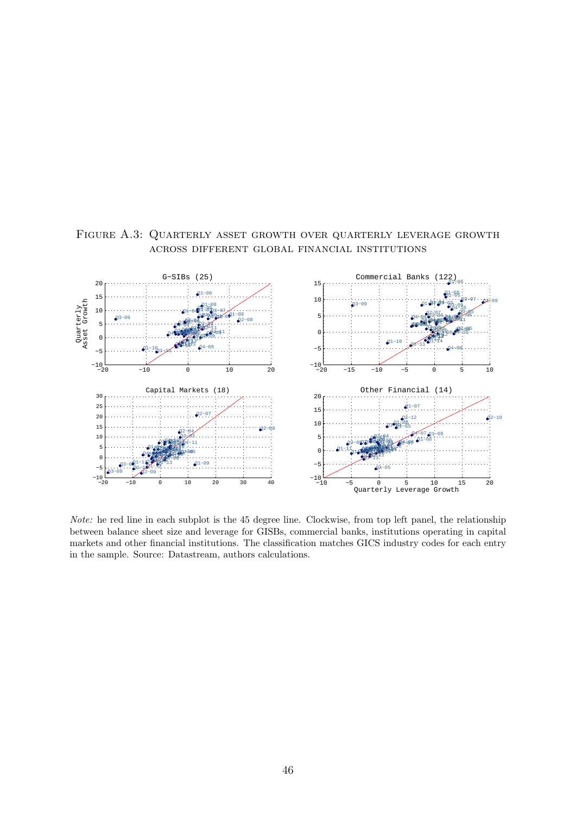

<span id="page-46-0"></span>Figure A.3: Quarterly asset growth over quarterly leverage growth across different global financial institutions

Note: he red line in each subplot is the 45 degree line. Clockwise, from top left panel, the relationship between balance sheet size and leverage for GISBs, commercial banks, institutions operating in capital markets and other financial institutions. The classification matches GICS industry codes for each entry in the sample. Source: Datastream, authors calculations.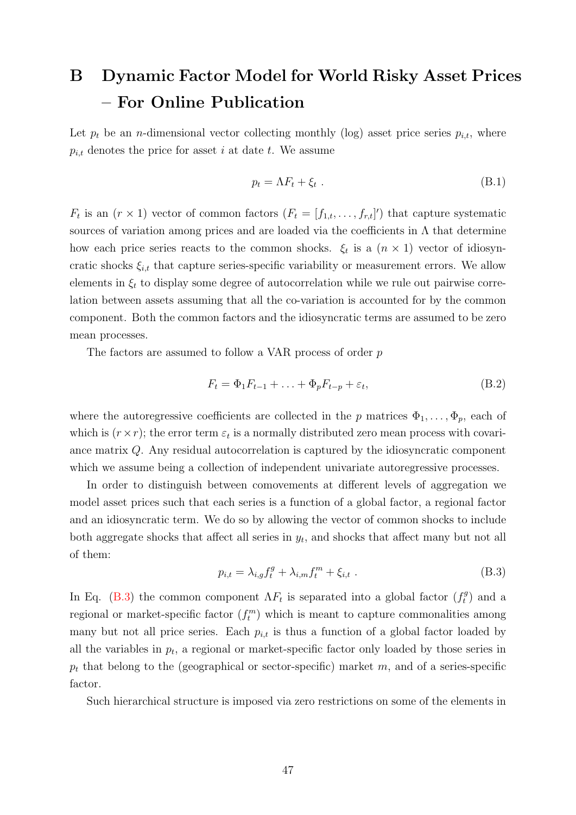# <span id="page-47-0"></span>B Dynamic Factor Model for World Risky Asset Prices – For Online Publication

Let  $p_t$  be an *n*-dimensional vector collecting monthly (log) asset price series  $p_{i,t}$ , where  $p_{i,t}$  denotes the price for asset i at date t. We assume

<span id="page-47-2"></span>
$$
p_t = \Lambda F_t + \xi_t \tag{B.1}
$$

 $F_t$  is an  $(r \times 1)$  vector of common factors  $(F_t = [f_{1,t}, \ldots, f_{r,t}])$  that capture systematic sources of variation among prices and are loaded via the coefficients in  $\Lambda$  that determine how each price series reacts to the common shocks.  $\xi_t$  is a  $(n \times 1)$  vector of idiosyncratic shocks  $\xi_{i,t}$  that capture series-specific variability or measurement errors. We allow elements in  $\xi_t$  to display some degree of autocorrelation while we rule out pairwise correlation between assets assuming that all the co-variation is accounted for by the common component. Both the common factors and the idiosyncratic terms are assumed to be zero mean processes.

The factors are assumed to follow a VAR process of order p

<span id="page-47-3"></span>
$$
F_t = \Phi_1 F_{t-1} + \ldots + \Phi_p F_{t-p} + \varepsilon_t, \tag{B.2}
$$

where the autoregressive coefficients are collected in the p matrices  $\Phi_1, \ldots, \Phi_p$ , each of which is  $(r \times r)$ ; the error term  $\varepsilon_t$  is a normally distributed zero mean process with covariance matrix Q. Any residual autocorrelation is captured by the idiosyncratic component which we assume being a collection of independent univariate autoregressive processes.

In order to distinguish between comovements at different levels of aggregation we model asset prices such that each series is a function of a global factor, a regional factor and an idiosyncratic term. We do so by allowing the vector of common shocks to include both aggregate shocks that affect all series in  $y_t$ , and shocks that affect many but not all of them:

<span id="page-47-1"></span>
$$
p_{i,t} = \lambda_{i,g} f_t^g + \lambda_{i,m} f_t^m + \xi_{i,t} . \tag{B.3}
$$

In Eq. [\(B.3\)](#page-47-1) the common component  $\Lambda F_t$  is separated into a global factor  $(f_t^g)$  $\binom{g}{t}$  and a regional or market-specific factor  $(f_t^m)$  which is meant to capture commonalities among many but not all price series. Each  $p_{i,t}$  is thus a function of a global factor loaded by all the variables in  $p_t$ , a regional or market-specific factor only loaded by those series in  $p_t$  that belong to the (geographical or sector-specific) market m, and of a series-specific factor.

Such hierarchical structure is imposed via zero restrictions on some of the elements in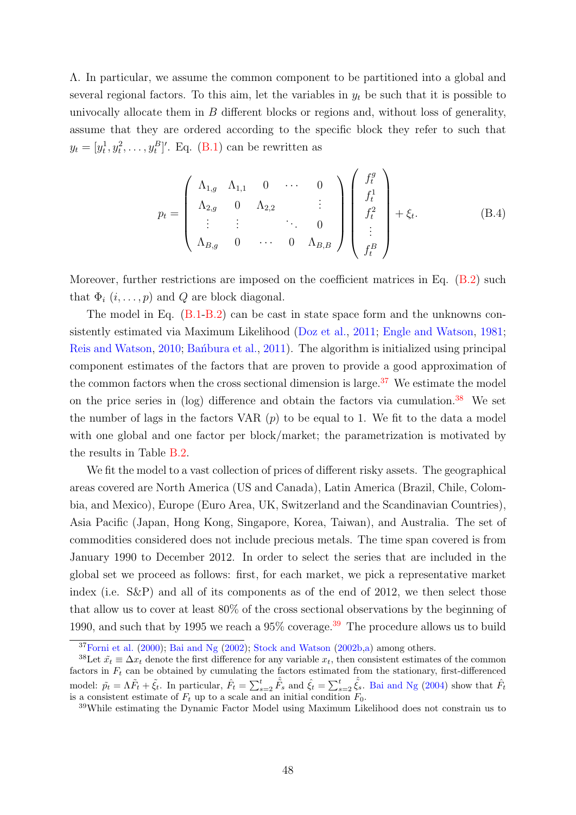Λ. In particular, we assume the common component to be partitioned into a global and several regional factors. To this aim, let the variables in  $y_t$  be such that it is possible to univocally allocate them in  $B$  different blocks or regions and, without loss of generality, assume that they are ordered according to the specific block they refer to such that  $y_t = [y_t^1, y_t^2, \dots, y_t^B]'$ . Eq. [\(B.1\)](#page-47-2) can be rewritten as

$$
p_{t} = \begin{pmatrix} \Lambda_{1,g} & \Lambda_{1,1} & 0 & \cdots & 0 \\ \Lambda_{2,g} & 0 & \Lambda_{2,2} & & \vdots \\ \vdots & \vdots & & \ddots & 0 \\ \Lambda_{B,g} & 0 & \cdots & 0 & \Lambda_{B,B} \end{pmatrix} \begin{pmatrix} f_{t}^{g} \\ f_{t}^{1} \\ f_{t}^{2} \\ \vdots \\ f_{t}^{B} \end{pmatrix} + \xi_{t}.
$$
 (B.4)

Moreover, further restrictions are imposed on the coefficient matrices in Eq.  $(B.2)$  such that  $\Phi_i$   $(i, \ldots, p)$  and  $Q$  are block diagonal.

The model in Eq. [\(B.1](#page-47-2)[-B.2\)](#page-47-3) can be cast in state space form and the unknowns consistently estimated via Maximum Likelihood [\(Doz et al.,](#page-34-13) [2011;](#page-34-13) [Engle and Watson,](#page-34-14) [1981;](#page-34-14) [Reis and Watson,](#page-36-13) [2010;](#page-36-13) Banbura et al., [2011\)](#page-33-15). The algorithm is initialized using principal component estimates of the factors that are proven to provide a good approximation of the common factors when the cross sectional dimension is large.<sup>[37](#page-48-0)</sup> We estimate the model on the price series in  $(log)$  difference and obtain the factors via cumulation.<sup>[38](#page-48-1)</sup> We set the number of lags in the factors VAR  $(p)$  to be equal to 1. We fit to the data a model with one global and one factor per block/market; the parametrization is motivated by the results in Table [B.2.](#page-50-0)

We fit the model to a vast collection of prices of different risky assets. The geographical areas covered are North America (US and Canada), Latin America (Brazil, Chile, Colombia, and Mexico), Europe (Euro Area, UK, Switzerland and the Scandinavian Countries), Asia Pacific (Japan, Hong Kong, Singapore, Korea, Taiwan), and Australia. The set of commodities considered does not include precious metals. The time span covered is from January 1990 to December 2012. In order to select the series that are included in the global set we proceed as follows: first, for each market, we pick a representative market index (i.e. S&P) and all of its components as of the end of 2012, we then select those that allow us to cover at least 80% of the cross sectional observations by the beginning of 1990, and such that by 1995 we reach a  $95\%$  coverage.<sup>[39](#page-48-2)</sup> The procedure allows us to build

<span id="page-48-1"></span><span id="page-48-0"></span> $37$ [Forni et al.](#page-34-6) [\(2000\)](#page-34-6); [Bai and Ng](#page-33-10) [\(2002\)](#page-33-10); [Stock and Watson](#page-37-6) [\(2002b,](#page-37-6)[a\)](#page-37-5) among others.

<sup>&</sup>lt;sup>38</sup>Let  $\tilde{x}_t \equiv \Delta x_t$  denote the first difference for any variable  $x_t$ , then consistent estimates of the common factors in  $F_t$  can be obtained by cumulating the factors estimated from the stationary, first-differenced model:  $\tilde{p}_t = \Lambda \tilde{F}_t + \tilde{\xi}_t$ . In particular,  $\hat{F}_t = \sum_{s=2}^t \hat{\tilde{F}}_s$  and  $\hat{\xi}_t = \sum_{s=2}^t \hat{\tilde{\xi}}_s$ . [Bai and Ng](#page-33-9) [\(2004\)](#page-33-9) show that  $\hat{F}_t$ is a consistent estimate of  $F_t$  up to a scale and an initial condition  $F_0$ .

<span id="page-48-2"></span><sup>39</sup>While estimating the Dynamic Factor Model using Maximum Likelihood does not constrain us to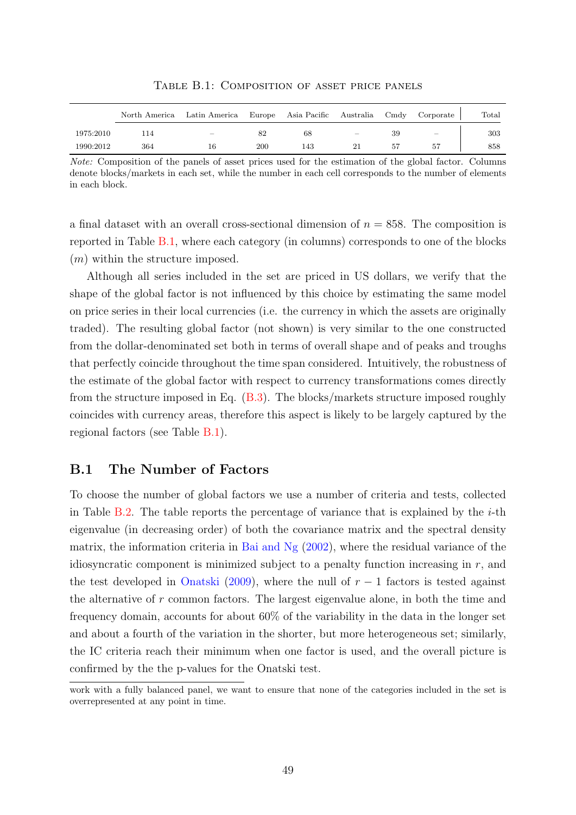<span id="page-49-0"></span>

|           |     | North America Latin America Europe Asia Pacific Australia Cmdy Corporate |     |     |          |     |     | $\text{Total}$ |
|-----------|-----|--------------------------------------------------------------------------|-----|-----|----------|-----|-----|----------------|
| 1975:2010 | 14  | -                                                                        |     | 68  | $\equiv$ | 39  | $-$ | 303            |
| 1990:2012 | 364 | 16                                                                       | 200 | 143 | 21       | -57 | 57  | 858            |

Table B.1: Composition of asset price panels

Note: Composition of the panels of asset prices used for the estimation of the global factor. Columns denote blocks/markets in each set, while the number in each cell corresponds to the number of elements in each block.

a final dataset with an overall cross-sectional dimension of  $n = 858$ . The composition is reported in Table [B.1,](#page-49-0) where each category (in columns) corresponds to one of the blocks  $(m)$  within the structure imposed.

Although all series included in the set are priced in US dollars, we verify that the shape of the global factor is not influenced by this choice by estimating the same model on price series in their local currencies (i.e. the currency in which the assets are originally traded). The resulting global factor (not shown) is very similar to the one constructed from the dollar-denominated set both in terms of overall shape and of peaks and troughs that perfectly coincide throughout the time span considered. Intuitively, the robustness of the estimate of the global factor with respect to currency transformations comes directly from the structure imposed in Eq. [\(B.3\)](#page-47-1). The blocks/markets structure imposed roughly coincides with currency areas, therefore this aspect is likely to be largely captured by the regional factors (see Table [B.1\)](#page-49-0).

## B.1 The Number of Factors

To choose the number of global factors we use a number of criteria and tests, collected in Table [B.2.](#page-50-0) The table reports the percentage of variance that is explained by the  $i$ -th eigenvalue (in decreasing order) of both the covariance matrix and the spectral density matrix, the information criteria in [Bai and Ng](#page-33-10)  $(2002)$ , where the residual variance of the idiosyncratic component is minimized subject to a penalty function increasing in  $r$ , and the test developed in [Onatski](#page-36-14) [\(2009\)](#page-36-14), where the null of  $r-1$  factors is tested against the alternative of r common factors. The largest eigenvalue alone, in both the time and frequency domain, accounts for about 60% of the variability in the data in the longer set and about a fourth of the variation in the shorter, but more heterogeneous set; similarly, the IC criteria reach their minimum when one factor is used, and the overall picture is confirmed by the the p-values for the Onatski test.

work with a fully balanced panel, we want to ensure that none of the categories included in the set is overrepresented at any point in time.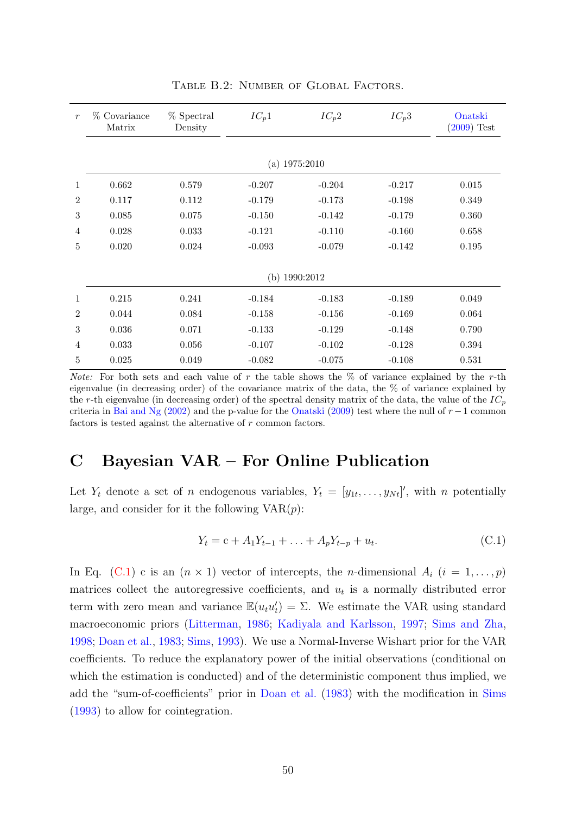<span id="page-50-0"></span>

| $\boldsymbol{r}$ | % Covariance<br>Matrix | % Spectral<br>Density | $IC_p1$  | $IC_p2$  | $IC_p3$  | Onatski<br>$(2009)$ Test |  |  |  |  |  |  |  |
|------------------|------------------------|-----------------------|----------|----------|----------|--------------------------|--|--|--|--|--|--|--|
|                  |                        |                       |          |          |          |                          |  |  |  |  |  |  |  |
|                  | (a) $1975:2010$        |                       |          |          |          |                          |  |  |  |  |  |  |  |
| $\mathbf{1}$     | 0.662                  | 0.579                 | $-0.207$ | $-0.204$ | $-0.217$ | 0.015                    |  |  |  |  |  |  |  |
| $\overline{2}$   | 0.117                  | 0.112                 | $-0.179$ | $-0.173$ | $-0.198$ | 0.349                    |  |  |  |  |  |  |  |
| 3                | 0.085                  | 0.075                 | $-0.150$ | $-0.142$ | $-0.179$ | 0.360                    |  |  |  |  |  |  |  |
| 4                | 0.028                  | 0.033                 | $-0.121$ | $-0.110$ | $-0.160$ | 0.658                    |  |  |  |  |  |  |  |
| 5                | 0.020                  | 0.024                 | $-0.093$ | $-0.079$ | $-0.142$ | 0.195                    |  |  |  |  |  |  |  |
|                  |                        |                       |          |          |          |                          |  |  |  |  |  |  |  |
|                  | (b) $1990:2012$        |                       |          |          |          |                          |  |  |  |  |  |  |  |
| 1                | 0.215                  | 0.241                 | $-0.184$ | $-0.183$ | $-0.189$ | 0.049                    |  |  |  |  |  |  |  |
| $\overline{2}$   | 0.044                  | 0.084                 | $-0.158$ | $-0.156$ | $-0.169$ | 0.064                    |  |  |  |  |  |  |  |
| 3                | 0.036                  | 0.071                 | $-0.133$ | $-0.129$ | $-0.148$ | 0.790                    |  |  |  |  |  |  |  |
| 4                | 0.033                  | 0.056                 | $-0.107$ | $-0.102$ | $-0.128$ | 0.394                    |  |  |  |  |  |  |  |
| $\overline{5}$   | 0.025                  | 0.049                 | $-0.082$ | $-0.075$ | $-0.108$ | 0.531                    |  |  |  |  |  |  |  |

Table B.2: Number of Global Factors.

*Note:* For both sets and each value of r the table shows the  $\%$  of variance explained by the r-th eigenvalue (in decreasing order) of the covariance matrix of the data, the % of variance explained by the r-th eigenvalue (in decreasing order) of the spectral density matrix of the data, the value of the  $IC_p$ criteria in [Bai and Ng](#page-33-10) [\(2002\)](#page-33-10) and the p-value for the [Onatski](#page-36-14) [\(2009\)](#page-36-14) test where the null of  $r - 1$  common factors is tested against the alternative of r common factors.

# <span id="page-50-1"></span>C Bayesian VAR – For Online Publication

Let  $Y_t$  denote a set of *n* endogenous variables,  $Y_t = [y_{1t}, \ldots, y_{Nt}]'$ , with *n* potentially large, and consider for it the following  $VAR(p)$ :

<span id="page-50-2"></span>
$$
Y_t = c + A_1 Y_{t-1} + \ldots + A_p Y_{t-p} + u_t.
$$
 (C.1)

In Eq. [\(C.1\)](#page-50-2) c is an  $(n \times 1)$  vector of intercepts, the *n*-dimensional  $A_i$   $(i = 1, ..., p)$ matrices collect the autoregressive coefficients, and  $u_t$  is a normally distributed error term with zero mean and variance  $\mathbb{E}(u_t u_t') = \Sigma$ . We estimate the VAR using standard macroeconomic priors [\(Litterman,](#page-36-7) [1986;](#page-36-7) [Kadiyala and Karlsson,](#page-35-16) [1997;](#page-35-16) [Sims and Zha,](#page-37-11) [1998;](#page-37-11) [Doan et al.,](#page-34-7) [1983;](#page-34-7) [Sims,](#page-37-12) [1993\)](#page-37-12). We use a Normal-Inverse Wishart prior for the VAR coefficients. To reduce the explanatory power of the initial observations (conditional on which the estimation is conducted) and of the deterministic component thus implied, we add the "sum-of-coefficients" prior in [Doan et al.](#page-34-7) [\(1983\)](#page-34-7) with the modification in [Sims](#page-37-12) [\(1993\)](#page-37-12) to allow for cointegration.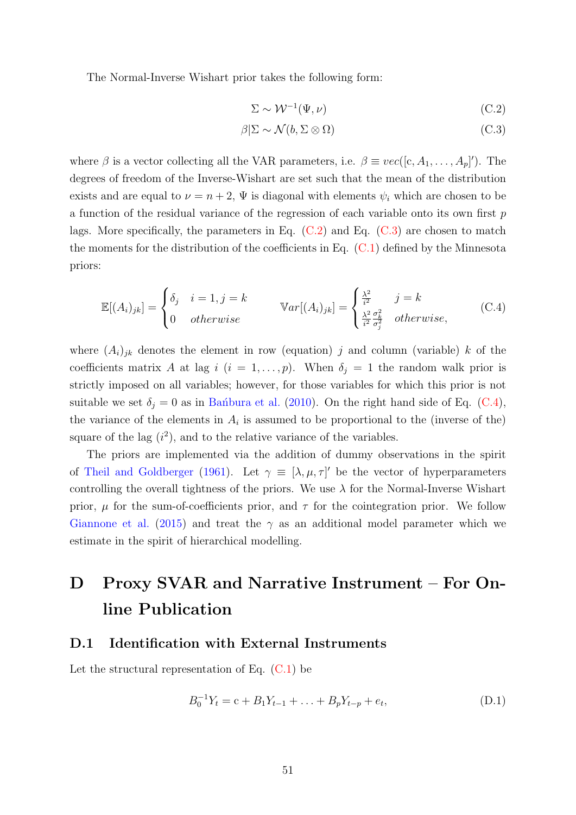The Normal-Inverse Wishart prior takes the following form:

<span id="page-51-2"></span><span id="page-51-1"></span>
$$
\Sigma \sim \mathcal{W}^{-1}(\Psi, \nu) \tag{C.2}
$$

<span id="page-51-3"></span>
$$
\beta|\Sigma \sim \mathcal{N}(b, \Sigma \otimes \Omega) \tag{C.3}
$$

where  $\beta$  is a vector collecting all the VAR parameters, i.e.  $\beta \equiv vec([c, A_1, \ldots, A_p])$ . The degrees of freedom of the Inverse-Wishart are set such that the mean of the distribution exists and are equal to  $\nu = n + 2$ ,  $\Psi$  is diagonal with elements  $\psi_i$  which are chosen to be a function of the residual variance of the regression of each variable onto its own first  $p$ lags. More specifically, the parameters in Eq.  $(C.2)$  and Eq.  $(C.3)$  are chosen to match the moments for the distribution of the coefficients in Eq.  $(C.1)$  defined by the Minnesota priors:

$$
\mathbb{E}[(A_i)_{jk}] = \begin{cases} \delta_j & i = 1, j = k \\ 0 & otherwise \end{cases} \qquad \mathbb{V}ar[(A_i)_{jk}] = \begin{cases} \frac{\lambda^2}{i^2} & j = k \\ \frac{\lambda^2}{i^2} \frac{\sigma_k^2}{\sigma_j^2} & otherwise, \end{cases} \tag{C.4}
$$

where  $(A_i)_{jk}$  denotes the element in row (equation) j and column (variable) k of the coefficients matrix A at lag i  $(i = 1, \ldots, p)$ . When  $\delta_j = 1$  the random walk prior is strictly imposed on all variables; however, for those variables for which this prior is not suitable we set  $\delta_i = 0$  as in Ban´bura et al. [\(2010\)](#page-33-8). On the right hand side of Eq. [\(C.4\)](#page-51-3), the variance of the elements in  $A_i$  is assumed to be proportional to the (inverse of the) square of the lag  $(i^2)$ , and to the relative variance of the variables.

The priors are implemented via the addition of dummy observations in the spirit of [Theil and Goldberger](#page-37-13) [\(1961\)](#page-37-13). Let  $\gamma \equiv [\lambda, \mu, \tau]'$  be the vector of hyperparameters controlling the overall tightness of the priors. We use  $\lambda$  for the Normal-Inverse Wishart prior,  $\mu$  for the sum-of-coefficients prior, and  $\tau$  for the cointegration prior. We follow [Giannone et al.](#page-35-8) [\(2015\)](#page-35-8) and treat the  $\gamma$  as an additional model parameter which we estimate in the spirit of hierarchical modelling.

# <span id="page-51-0"></span>D Proxy SVAR and Narrative Instrument – For Online Publication

## D.1 Identification with External Instruments

Let the structural representation of Eq.  $(C.1)$  be

$$
B_0^{-1}Y_t = c + B_1Y_{t-1} + \ldots + B_pY_{t-p} + e_t,
$$
\n(D.1)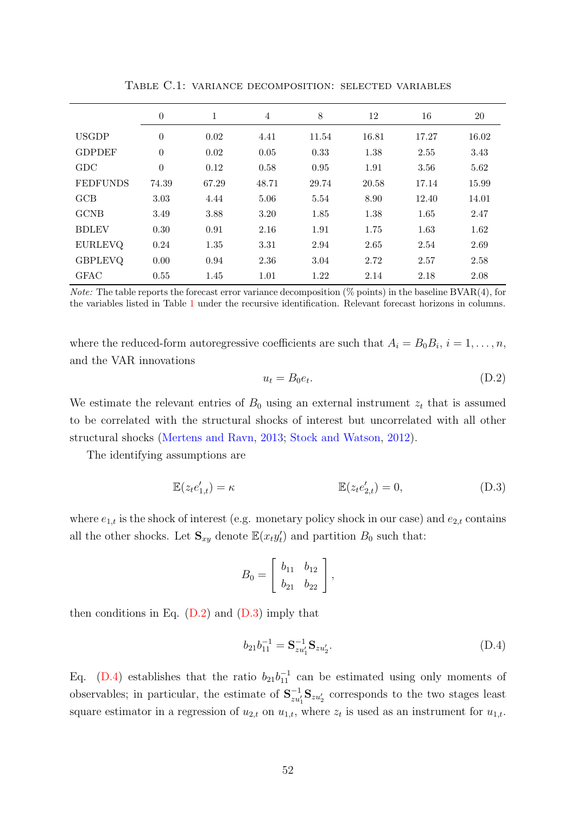<span id="page-52-0"></span>

|                 | $\theta$ | $\mathbf{1}$ | $\overline{4}$ | 8     | 12    | 16    | 20    |
|-----------------|----------|--------------|----------------|-------|-------|-------|-------|
| <b>USGDP</b>    | $\theta$ | 0.02         | 4.41           | 11.54 | 16.81 | 17.27 | 16.02 |
| <b>GDPDEF</b>   | $\theta$ | 0.02         | 0.05           | 0.33  | 1.38  | 2.55  | 3.43  |
| GDC             | $\theta$ | 0.12         | 0.58           | 0.95  | 1.91  | 3.56  | 5.62  |
| <b>FEDFUNDS</b> | 74.39    | 67.29        | 48.71          | 29.74 | 20.58 | 17.14 | 15.99 |
| GCB             | 3.03     | 4.44         | 5.06           | 5.54  | 8.90  | 12.40 | 14.01 |
| <b>GCNB</b>     | 3.49     | 3.88         | 3.20           | 1.85  | 1.38  | 1.65  | 2.47  |
| <b>BDLEV</b>    | 0.30     | 0.91         | 2.16           | 1.91  | 1.75  | 1.63  | 1.62  |
| <b>EURLEVQ</b>  | 0.24     | 1.35         | 3.31           | 2.94  | 2.65  | 2.54  | 2.69  |
| <b>GBPLEVQ</b>  | 0.00     | 0.94         | 2.36           | 3.04  | 2.72  | 2.57  | 2.58  |
| <b>GFAC</b>     | 0.55     | 1.45         | 1.01           | 1.22  | 2.14  | 2.18  | 2.08  |

Table C.1: variance decomposition: selected variables

*Note:* The table reports the forecast error variance decomposition  $(\%$  points) in the baseline BVAR(4), for the variables listed in Table [1](#page-13-0) under the recursive identification. Relevant forecast horizons in columns.

where the reduced-form autoregressive coefficients are such that  $A_i = B_0 B_i$ ,  $i = 1, ..., n$ , and the VAR innovations

<span id="page-52-2"></span><span id="page-52-1"></span>
$$
u_t = B_0 e_t. \tag{D.2}
$$

We estimate the relevant entries of  $B_0$  using an external instrument  $z_t$  that is assumed to be correlated with the structural shocks of interest but uncorrelated with all other structural shocks [\(Mertens and Ravn,](#page-36-4) [2013;](#page-36-4) [Stock and Watson,](#page-37-4) [2012\)](#page-37-4).

The identifying assumptions are

$$
\mathbb{E}(z_t e'_{1,t}) = \kappa \qquad \qquad \mathbb{E}(z_t e'_{2,t}) = 0,\tag{D.3}
$$

where  $e_{1,t}$  is the shock of interest (e.g. monetary policy shock in our case) and  $e_{2,t}$  contains all the other shocks. Let  $\mathbf{S}_{xy}$  denote  $\mathbb{E}(x_t y_t)$  and partition  $B_0$  such that:

$$
B_0 = \left[ \begin{array}{cc} b_{11} & b_{12} \\ b_{21} & b_{22} \end{array} \right],
$$

then conditions in Eq.  $(D.2)$  and  $(D.3)$  imply that

<span id="page-52-3"></span>
$$
b_{21}b_{11}^{-1} = \mathbf{S}_{zu_1'}^{-1}\mathbf{S}_{zu_2'}.
$$
 (D.4)

Eq. [\(D.4\)](#page-52-3) establishes that the ratio  $b_{21}b_{11}^{-1}$  can be estimated using only moments of observables; in particular, the estimate of  $S_{zu_1'}^{-1}S_{zu_2'}$  corresponds to the two stages least square estimator in a regression of  $u_{2,t}$  on  $u_{1,t}$ , where  $z_t$  is used as an instrument for  $u_{1,t}$ .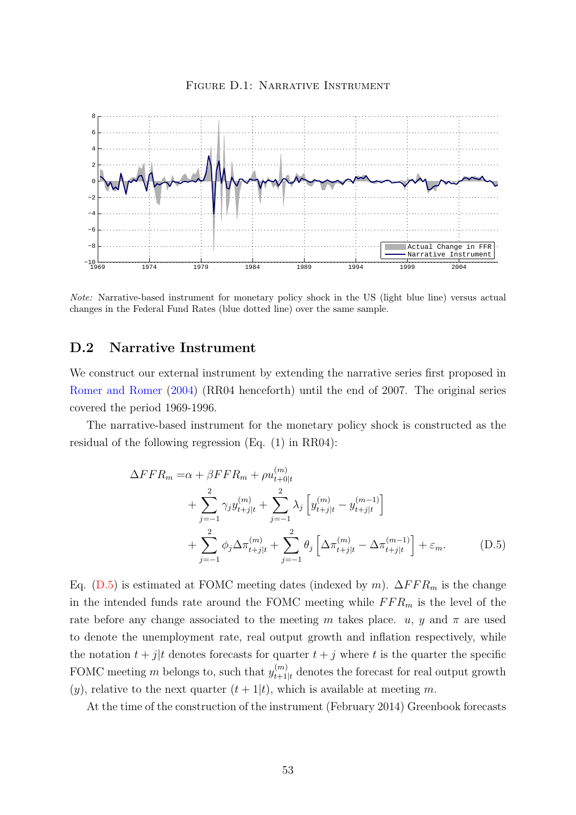<span id="page-53-1"></span>

FIGURE D.1: NARRATIVE INSTRUMENT

Note: Narrative-based instrument for monetary policy shock in the US (light blue line) versus actual changes in the Federal Fund Rates (blue dotted line) over the same sample.

## D.2 Narrative Instrument

We construct our external instrument by extending the narrative series first proposed in [Romer and Romer](#page-37-3) [\(2004\)](#page-37-3) (RR04 henceforth) until the end of 2007. The original series covered the period 1969-1996.

The narrative-based instrument for the monetary policy shock is constructed as the residual of the following regression (Eq. (1) in RR04):

<span id="page-53-0"></span>
$$
\Delta FFR_m = \alpha + \beta FFR_m + \rho u_{t+0|t}^{(m)} \n+ \sum_{j=-1}^{2} \gamma_j y_{t+j|t}^{(m)} + \sum_{j=-1}^{2} \lambda_j \left[ y_{t+j|t}^{(m)} - y_{t+j|t}^{(m-1)} \right] \n+ \sum_{j=-1}^{2} \phi_j \Delta \pi_{t+j|t}^{(m)} + \sum_{j=-1}^{2} \theta_j \left[ \Delta \pi_{t+j|t}^{(m)} - \Delta \pi_{t+j|t}^{(m-1)} \right] + \varepsilon_m.
$$
\n(D.5)

Eq. [\(D.5\)](#page-53-0) is estimated at FOMC meeting dates (indexed by m).  $\Delta FFR_m$  is the change in the intended funds rate around the FOMC meeting while  $FFR_m$  is the level of the rate before any change associated to the meeting m takes place. u, y and  $\pi$  are used to denote the unemployment rate, real output growth and inflation respectively, while the notation  $t + j/t$  denotes forecasts for quarter  $t + j$  where t is the quarter the specific FOMC meeting m belongs to, such that  $y_{t+1}^{(m)}$  $t_{t+1|t}^{(m)}$  denotes the forecast for real output growth  $(y)$ , relative to the next quarter  $(t+1|t)$ , which is available at meeting m.

At the time of the construction of the instrument (February 2014) Greenbook forecasts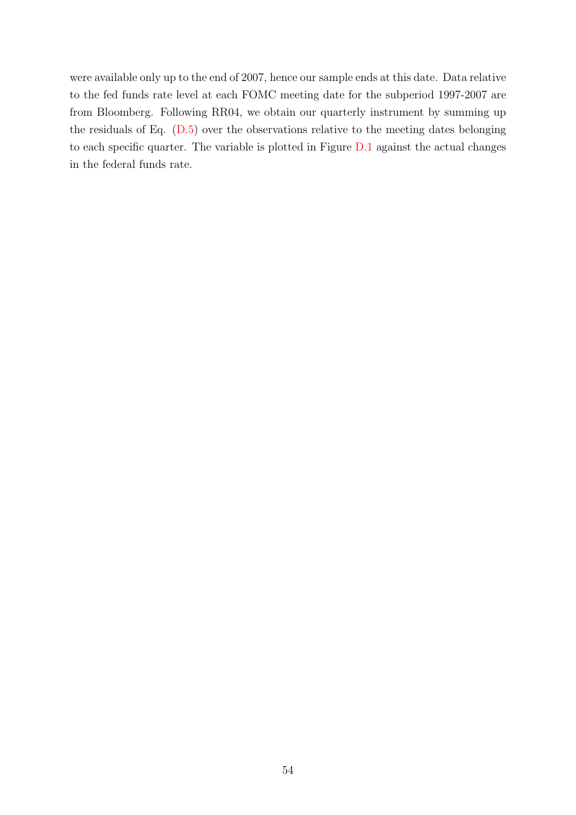were available only up to the end of 2007, hence our sample ends at this date. Data relative to the fed funds rate level at each FOMC meeting date for the subperiod 1997-2007 are from Bloomberg. Following RR04, we obtain our quarterly instrument by summing up the residuals of Eq. [\(D.5\)](#page-53-0) over the observations relative to the meeting dates belonging to each specific quarter. The variable is plotted in Figure [D.1](#page-53-1) against the actual changes in the federal funds rate.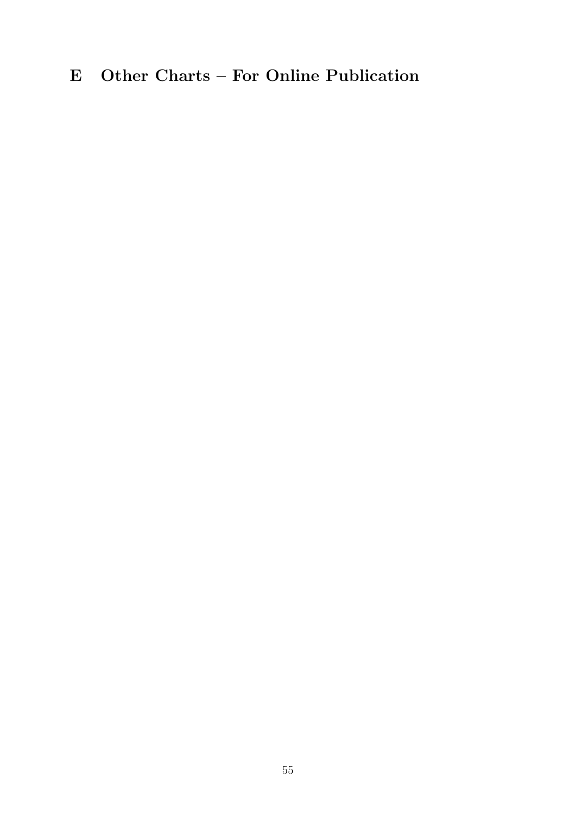# <span id="page-55-0"></span>E Other Charts – For Online Publication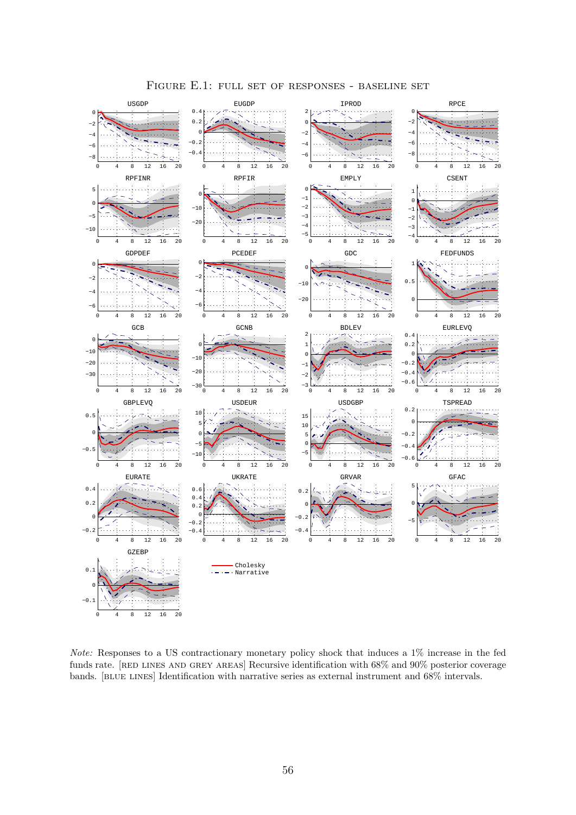<span id="page-56-0"></span>

Figure E.1: full set of responses - baseline set

Note: Responses to a US contractionary monetary policy shock that induces a 1% increase in the fed funds rate. [RED LINES AND GREY AREAS] Recursive identification with 68% and 90% posterior coverage bands. [blue lines] Identification with narrative series as external instrument and 68% intervals.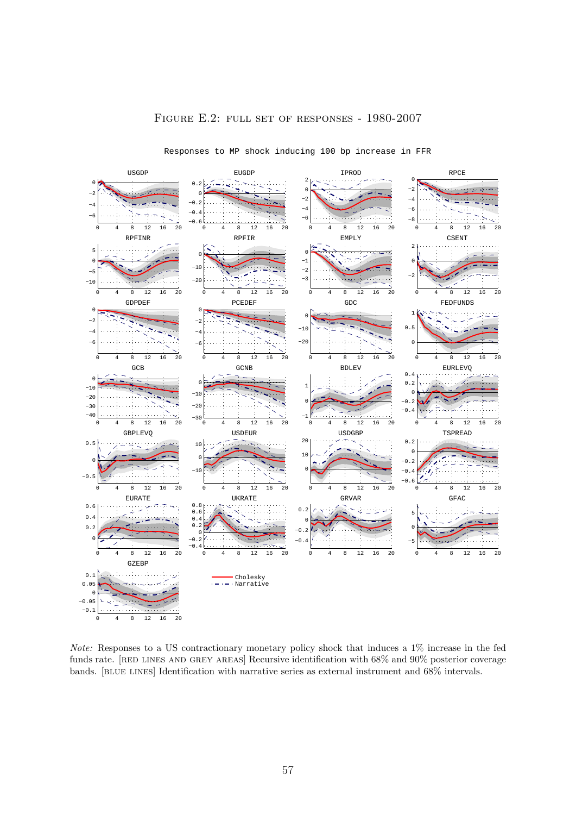<span id="page-57-0"></span>

#### Figure E.2: full set of responses - 1980-2007

Responses to MP shock inducing 100 bp increase in FFR

Note: Responses to a US contractionary monetary policy shock that induces a 1% increase in the fed funds rate. [RED LINES AND GREY AREAS] Recursive identification with 68% and 90% posterior coverage bands. [BLUE LINES] Identification with narrative series as external instrument and 68% intervals.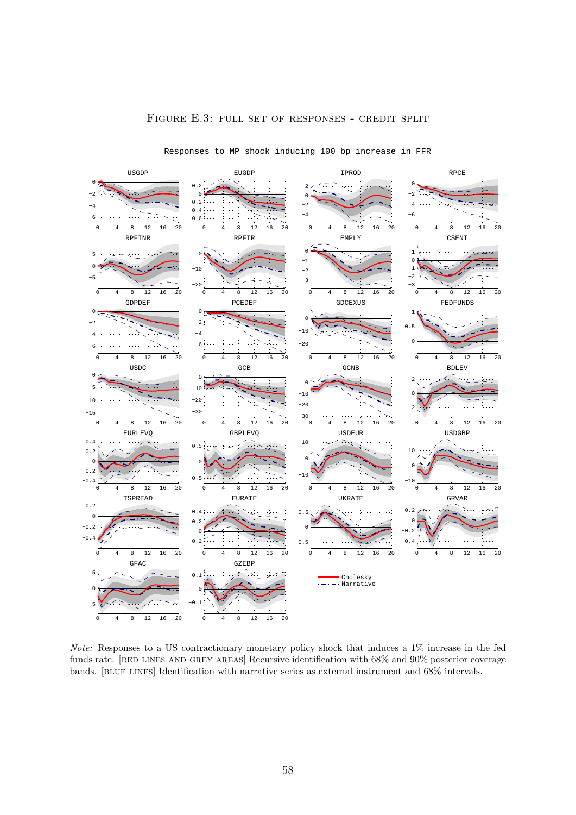

### Figure E.3: full set of responses - credit split

Note: Responses to a US contractionary monetary policy shock that induces a 1% increase in the fed funds rate. [RED LINES AND GREY AREAS] Recursive identification with 68% and 90% posterior coverage bands. [BLUE LINES] Identification with narrative series as external instrument and 68% intervals.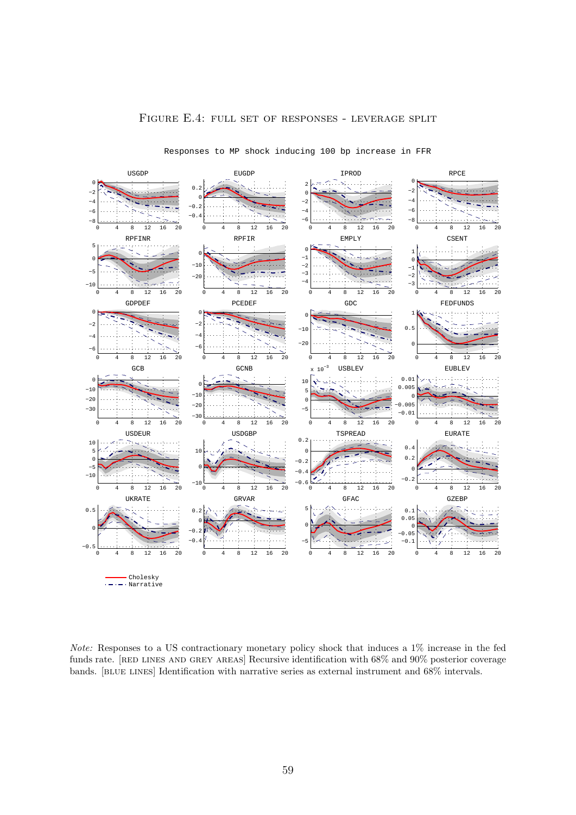<span id="page-59-0"></span>

#### Figure E.4: full set of responses - leverage split

Note: Responses to a US contractionary monetary policy shock that induces a 1% increase in the fed funds rate. [RED LINES AND GREY AREAS] Recursive identification with 68% and 90% posterior coverage bands. [BLUE LINES] Identification with narrative series as external instrument and 68% intervals.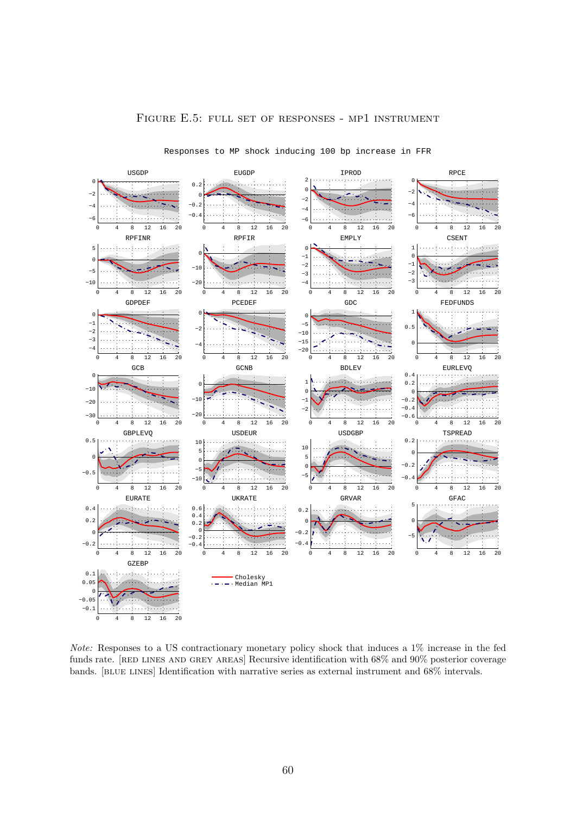<span id="page-60-0"></span>

### Figure E.5: full set of responses - mp1 instrument

Note: Responses to a US contractionary monetary policy shock that induces a 1% increase in the fed funds rate. [RED LINES AND GREY AREAS] Recursive identification with 68% and 90% posterior coverage bands. [BLUE LINES] Identification with narrative series as external instrument and 68% intervals.